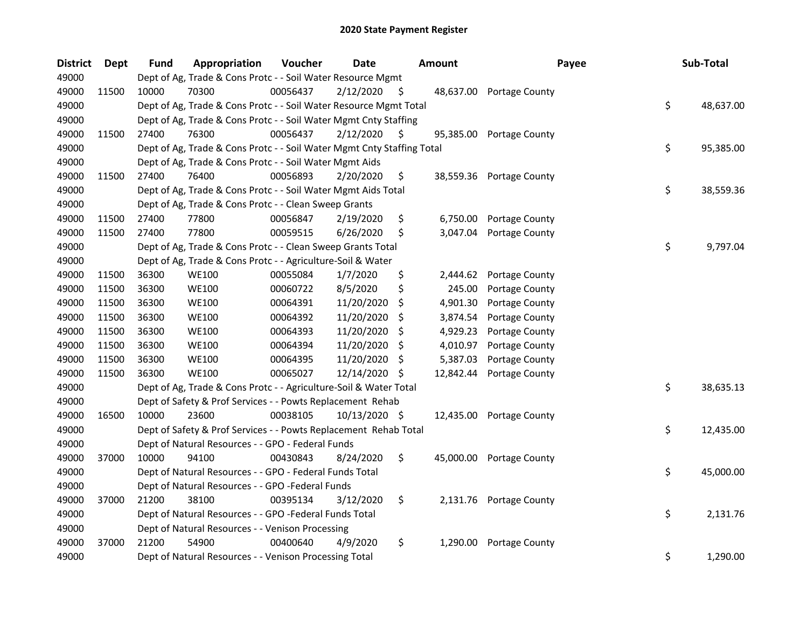| <b>District</b> | <b>Dept</b> | <b>Fund</b> | Appropriation                                                          | Voucher  | <b>Date</b>   |     | <b>Amount</b> | Payee                    | Sub-Total       |
|-----------------|-------------|-------------|------------------------------------------------------------------------|----------|---------------|-----|---------------|--------------------------|-----------------|
| 49000           |             |             | Dept of Ag, Trade & Cons Protc - - Soil Water Resource Mgmt            |          |               |     |               |                          |                 |
| 49000           | 11500       | 10000       | 70300                                                                  | 00056437 | 2/12/2020     | S.  |               | 48,637.00 Portage County |                 |
| 49000           |             |             | Dept of Ag, Trade & Cons Protc - - Soil Water Resource Mgmt Total      |          |               |     |               |                          | \$<br>48,637.00 |
| 49000           |             |             | Dept of Ag, Trade & Cons Protc - - Soil Water Mgmt Cnty Staffing       |          |               |     |               |                          |                 |
| 49000           | 11500       | 27400       | 76300                                                                  | 00056437 | 2/12/2020     | \$. | 95,385.00     | Portage County           |                 |
| 49000           |             |             | Dept of Ag, Trade & Cons Protc - - Soil Water Mgmt Cnty Staffing Total |          |               |     |               |                          | \$<br>95,385.00 |
| 49000           |             |             | Dept of Ag, Trade & Cons Protc - - Soil Water Mgmt Aids                |          |               |     |               |                          |                 |
| 49000           | 11500       | 27400       | 76400                                                                  | 00056893 | 2/20/2020     | \$  |               | 38,559.36 Portage County |                 |
| 49000           |             |             | Dept of Ag, Trade & Cons Protc - - Soil Water Mgmt Aids Total          |          |               |     |               |                          | \$<br>38,559.36 |
| 49000           |             |             | Dept of Ag, Trade & Cons Protc - - Clean Sweep Grants                  |          |               |     |               |                          |                 |
| 49000           | 11500       | 27400       | 77800                                                                  | 00056847 | 2/19/2020     | \$  |               | 6,750.00 Portage County  |                 |
| 49000           | 11500       | 27400       | 77800                                                                  | 00059515 | 6/26/2020     | S.  | 3,047.04      | Portage County           |                 |
| 49000           |             |             | Dept of Ag, Trade & Cons Protc - - Clean Sweep Grants Total            |          |               |     |               |                          | \$<br>9,797.04  |
| 49000           |             |             | Dept of Ag, Trade & Cons Protc - - Agriculture-Soil & Water            |          |               |     |               |                          |                 |
| 49000           | 11500       | 36300       | <b>WE100</b>                                                           | 00055084 | 1/7/2020      | \$  | 2,444.62      | Portage County           |                 |
| 49000           | 11500       | 36300       | <b>WE100</b>                                                           | 00060722 | 8/5/2020      | \$  | 245.00        | Portage County           |                 |
| 49000           | 11500       | 36300       | <b>WE100</b>                                                           | 00064391 | 11/20/2020    | \$  | 4,901.30      | Portage County           |                 |
| 49000           | 11500       | 36300       | <b>WE100</b>                                                           | 00064392 | 11/20/2020    | S   | 3,874.54      | Portage County           |                 |
| 49000           | 11500       | 36300       | <b>WE100</b>                                                           | 00064393 | 11/20/2020    | \$  | 4,929.23      | Portage County           |                 |
| 49000           | 11500       | 36300       | <b>WE100</b>                                                           | 00064394 | 11/20/2020    | \$  | 4,010.97      | Portage County           |                 |
| 49000           | 11500       | 36300       | <b>WE100</b>                                                           | 00064395 | 11/20/2020    | S   | 5,387.03      | Portage County           |                 |
| 49000           | 11500       | 36300       | <b>WE100</b>                                                           | 00065027 | 12/14/2020    | -S  | 12,842.44     | Portage County           |                 |
| 49000           |             |             | Dept of Ag, Trade & Cons Protc - - Agriculture-Soil & Water Total      |          |               |     |               |                          | \$<br>38,635.13 |
| 49000           |             |             | Dept of Safety & Prof Services - - Powts Replacement Rehab             |          |               |     |               |                          |                 |
| 49000           | 16500       | 10000       | 23600                                                                  | 00038105 | 10/13/2020 \$ |     | 12,435.00     | Portage County           |                 |
| 49000           |             |             | Dept of Safety & Prof Services - - Powts Replacement Rehab Total       |          |               |     |               |                          | \$<br>12,435.00 |
| 49000           |             |             | Dept of Natural Resources - - GPO - Federal Funds                      |          |               |     |               |                          |                 |
| 49000           | 37000       | 10000       | 94100                                                                  | 00430843 | 8/24/2020     | \$  | 45,000.00     | Portage County           |                 |
| 49000           |             |             | Dept of Natural Resources - - GPO - Federal Funds Total                |          |               |     |               |                          | \$<br>45,000.00 |
| 49000           |             |             | Dept of Natural Resources - - GPO -Federal Funds                       |          |               |     |               |                          |                 |
| 49000           | 37000       | 21200       | 38100                                                                  | 00395134 | 3/12/2020     | \$  |               | 2,131.76 Portage County  |                 |
| 49000           |             |             | Dept of Natural Resources - - GPO -Federal Funds Total                 |          |               |     |               |                          | \$<br>2,131.76  |
| 49000           |             |             | Dept of Natural Resources - - Venison Processing                       |          |               |     |               |                          |                 |
| 49000           | 37000       | 21200       | 54900                                                                  | 00400640 | 4/9/2020      | \$  | 1,290.00      | Portage County           |                 |
| 49000           |             |             | Dept of Natural Resources - - Venison Processing Total                 |          |               |     |               |                          | \$<br>1,290.00  |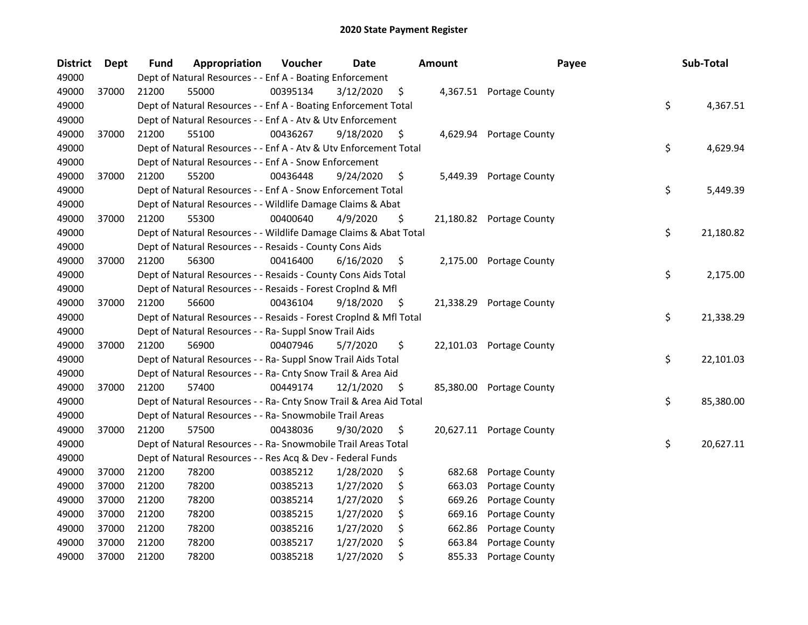| <b>District</b> | Dept  | <b>Fund</b> | Appropriation                                                      | Voucher  | <b>Date</b> |     | Amount | Payee                    | Sub-Total       |
|-----------------|-------|-------------|--------------------------------------------------------------------|----------|-------------|-----|--------|--------------------------|-----------------|
| 49000           |       |             | Dept of Natural Resources - - Enf A - Boating Enforcement          |          |             |     |        |                          |                 |
| 49000           | 37000 | 21200       | 55000                                                              | 00395134 | 3/12/2020   | \$. |        | 4,367.51 Portage County  |                 |
| 49000           |       |             | Dept of Natural Resources - - Enf A - Boating Enforcement Total    |          |             |     |        |                          | \$<br>4,367.51  |
| 49000           |       |             | Dept of Natural Resources - - Enf A - Atv & Utv Enforcement        |          |             |     |        |                          |                 |
| 49000           | 37000 | 21200       | 55100                                                              | 00436267 | 9/18/2020   | \$  |        | 4,629.94 Portage County  |                 |
| 49000           |       |             | Dept of Natural Resources - - Enf A - Atv & Utv Enforcement Total  |          |             |     |        |                          | \$<br>4,629.94  |
| 49000           |       |             | Dept of Natural Resources - - Enf A - Snow Enforcement             |          |             |     |        |                          |                 |
| 49000           | 37000 | 21200       | 55200                                                              | 00436448 | 9/24/2020   | \$  |        | 5,449.39 Portage County  |                 |
| 49000           |       |             | Dept of Natural Resources - - Enf A - Snow Enforcement Total       |          |             |     |        |                          | \$<br>5,449.39  |
| 49000           |       |             | Dept of Natural Resources - - Wildlife Damage Claims & Abat        |          |             |     |        |                          |                 |
| 49000           | 37000 | 21200       | 55300                                                              | 00400640 | 4/9/2020    | \$  |        | 21,180.82 Portage County |                 |
| 49000           |       |             | Dept of Natural Resources - - Wildlife Damage Claims & Abat Total  |          |             |     |        |                          | \$<br>21,180.82 |
| 49000           |       |             | Dept of Natural Resources - - Resaids - County Cons Aids           |          |             |     |        |                          |                 |
| 49000           | 37000 | 21200       | 56300                                                              | 00416400 | 6/16/2020   | \$  |        | 2,175.00 Portage County  |                 |
| 49000           |       |             | Dept of Natural Resources - - Resaids - County Cons Aids Total     |          |             |     |        |                          | \$<br>2,175.00  |
| 49000           |       |             | Dept of Natural Resources - - Resaids - Forest Croplnd & Mfl       |          |             |     |        |                          |                 |
| 49000           | 37000 | 21200       | 56600                                                              | 00436104 | 9/18/2020   | \$  |        | 21,338.29 Portage County |                 |
| 49000           |       |             | Dept of Natural Resources - - Resaids - Forest CropInd & Mfl Total |          |             |     |        |                          | \$<br>21,338.29 |
| 49000           |       |             | Dept of Natural Resources - - Ra- Suppl Snow Trail Aids            |          |             |     |        |                          |                 |
| 49000           | 37000 | 21200       | 56900                                                              | 00407946 | 5/7/2020    | \$  |        | 22,101.03 Portage County |                 |
| 49000           |       |             | Dept of Natural Resources - - Ra- Suppl Snow Trail Aids Total      |          |             |     |        |                          | \$<br>22,101.03 |
| 49000           |       |             | Dept of Natural Resources - - Ra- Cnty Snow Trail & Area Aid       |          |             |     |        |                          |                 |
| 49000           | 37000 | 21200       | 57400                                                              | 00449174 | 12/1/2020   | \$  |        | 85,380.00 Portage County |                 |
| 49000           |       |             | Dept of Natural Resources - - Ra- Cnty Snow Trail & Area Aid Total |          |             |     |        |                          | \$<br>85,380.00 |
| 49000           |       |             | Dept of Natural Resources - - Ra- Snowmobile Trail Areas           |          |             |     |        |                          |                 |
| 49000           | 37000 | 21200       | 57500                                                              | 00438036 | 9/30/2020   | \$  |        | 20,627.11 Portage County |                 |
| 49000           |       |             | Dept of Natural Resources - - Ra- Snowmobile Trail Areas Total     |          |             |     |        |                          | \$<br>20,627.11 |
| 49000           |       |             | Dept of Natural Resources - - Res Acq & Dev - Federal Funds        |          |             |     |        |                          |                 |
| 49000           | 37000 | 21200       | 78200                                                              | 00385212 | 1/28/2020   | \$  | 682.68 | Portage County           |                 |
| 49000           | 37000 | 21200       | 78200                                                              | 00385213 | 1/27/2020   | \$  | 663.03 | Portage County           |                 |
| 49000           | 37000 | 21200       | 78200                                                              | 00385214 | 1/27/2020   | \$  | 669.26 | Portage County           |                 |
| 49000           | 37000 | 21200       | 78200                                                              | 00385215 | 1/27/2020   | \$  | 669.16 | Portage County           |                 |
| 49000           | 37000 | 21200       | 78200                                                              | 00385216 | 1/27/2020   | \$  | 662.86 | Portage County           |                 |
| 49000           | 37000 | 21200       | 78200                                                              | 00385217 | 1/27/2020   | \$  | 663.84 | Portage County           |                 |
| 49000           | 37000 | 21200       | 78200                                                              | 00385218 | 1/27/2020   | \$  | 855.33 | Portage County           |                 |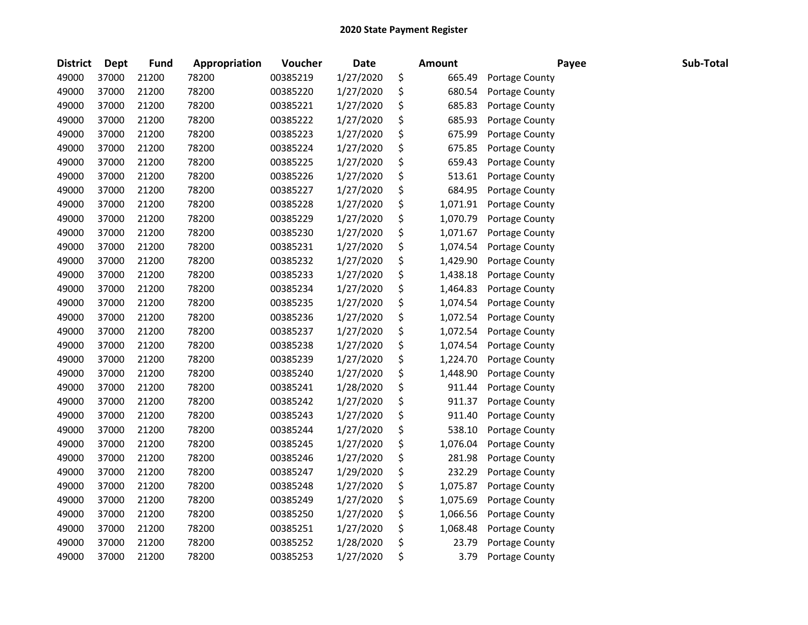| <b>District</b> | <b>Dept</b> | Fund  | Appropriation | Voucher  | <b>Date</b> | <b>Amount</b>  | Payee          | Sub-Total |
|-----------------|-------------|-------|---------------|----------|-------------|----------------|----------------|-----------|
| 49000           | 37000       | 21200 | 78200         | 00385219 | 1/27/2020   | \$<br>665.49   | Portage County |           |
| 49000           | 37000       | 21200 | 78200         | 00385220 | 1/27/2020   | \$<br>680.54   | Portage County |           |
| 49000           | 37000       | 21200 | 78200         | 00385221 | 1/27/2020   | \$<br>685.83   | Portage County |           |
| 49000           | 37000       | 21200 | 78200         | 00385222 | 1/27/2020   | \$<br>685.93   | Portage County |           |
| 49000           | 37000       | 21200 | 78200         | 00385223 | 1/27/2020   | \$<br>675.99   | Portage County |           |
| 49000           | 37000       | 21200 | 78200         | 00385224 | 1/27/2020   | \$<br>675.85   | Portage County |           |
| 49000           | 37000       | 21200 | 78200         | 00385225 | 1/27/2020   | \$<br>659.43   | Portage County |           |
| 49000           | 37000       | 21200 | 78200         | 00385226 | 1/27/2020   | \$<br>513.61   | Portage County |           |
| 49000           | 37000       | 21200 | 78200         | 00385227 | 1/27/2020   | \$<br>684.95   | Portage County |           |
| 49000           | 37000       | 21200 | 78200         | 00385228 | 1/27/2020   | \$<br>1,071.91 | Portage County |           |
| 49000           | 37000       | 21200 | 78200         | 00385229 | 1/27/2020   | \$<br>1,070.79 | Portage County |           |
| 49000           | 37000       | 21200 | 78200         | 00385230 | 1/27/2020   | \$<br>1,071.67 | Portage County |           |
| 49000           | 37000       | 21200 | 78200         | 00385231 | 1/27/2020   | \$<br>1,074.54 | Portage County |           |
| 49000           | 37000       | 21200 | 78200         | 00385232 | 1/27/2020   | \$<br>1,429.90 | Portage County |           |
| 49000           | 37000       | 21200 | 78200         | 00385233 | 1/27/2020   | \$<br>1,438.18 | Portage County |           |
| 49000           | 37000       | 21200 | 78200         | 00385234 | 1/27/2020   | \$<br>1,464.83 | Portage County |           |
| 49000           | 37000       | 21200 | 78200         | 00385235 | 1/27/2020   | \$<br>1,074.54 | Portage County |           |
| 49000           | 37000       | 21200 | 78200         | 00385236 | 1/27/2020   | \$<br>1,072.54 | Portage County |           |
| 49000           | 37000       | 21200 | 78200         | 00385237 | 1/27/2020   | \$<br>1,072.54 | Portage County |           |
| 49000           | 37000       | 21200 | 78200         | 00385238 | 1/27/2020   | \$<br>1,074.54 | Portage County |           |
| 49000           | 37000       | 21200 | 78200         | 00385239 | 1/27/2020   | \$<br>1,224.70 | Portage County |           |
| 49000           | 37000       | 21200 | 78200         | 00385240 | 1/27/2020   | \$<br>1,448.90 | Portage County |           |
| 49000           | 37000       | 21200 | 78200         | 00385241 | 1/28/2020   | \$<br>911.44   | Portage County |           |
| 49000           | 37000       | 21200 | 78200         | 00385242 | 1/27/2020   | \$<br>911.37   | Portage County |           |
| 49000           | 37000       | 21200 | 78200         | 00385243 | 1/27/2020   | \$<br>911.40   | Portage County |           |
| 49000           | 37000       | 21200 | 78200         | 00385244 | 1/27/2020   | \$<br>538.10   | Portage County |           |
| 49000           | 37000       | 21200 | 78200         | 00385245 | 1/27/2020   | \$<br>1,076.04 | Portage County |           |
| 49000           | 37000       | 21200 | 78200         | 00385246 | 1/27/2020   | \$<br>281.98   | Portage County |           |
| 49000           | 37000       | 21200 | 78200         | 00385247 | 1/29/2020   | \$<br>232.29   | Portage County |           |
| 49000           | 37000       | 21200 | 78200         | 00385248 | 1/27/2020   | \$<br>1,075.87 | Portage County |           |
| 49000           | 37000       | 21200 | 78200         | 00385249 | 1/27/2020   | \$<br>1,075.69 | Portage County |           |
| 49000           | 37000       | 21200 | 78200         | 00385250 | 1/27/2020   | \$<br>1,066.56 | Portage County |           |
| 49000           | 37000       | 21200 | 78200         | 00385251 | 1/27/2020   | \$<br>1,068.48 | Portage County |           |
| 49000           | 37000       | 21200 | 78200         | 00385252 | 1/28/2020   | \$<br>23.79    | Portage County |           |
| 49000           | 37000       | 21200 | 78200         | 00385253 | 1/27/2020   | \$<br>3.79     | Portage County |           |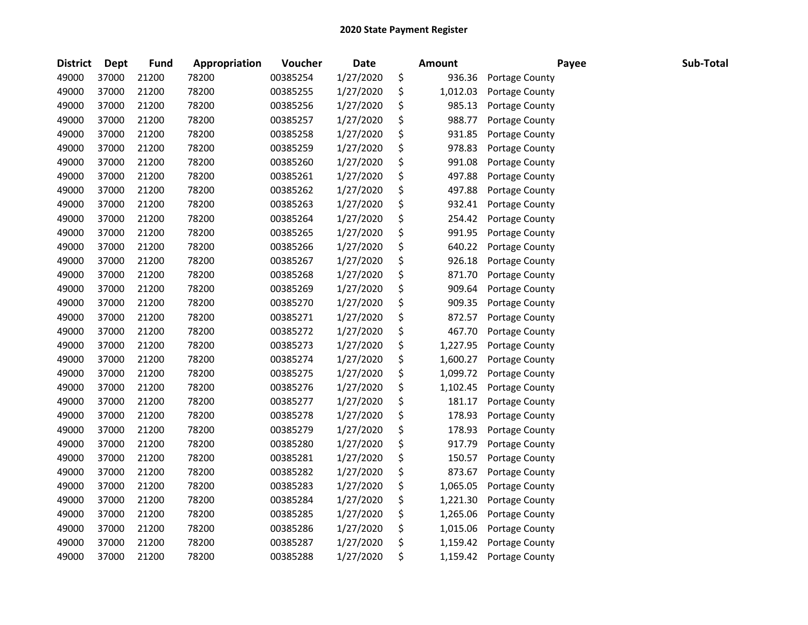| <b>District</b> | <b>Dept</b> | <b>Fund</b> | Appropriation | Voucher  | <b>Date</b> | Amount         | Payee          | Sub-Total |
|-----------------|-------------|-------------|---------------|----------|-------------|----------------|----------------|-----------|
| 49000           | 37000       | 21200       | 78200         | 00385254 | 1/27/2020   | \$<br>936.36   | Portage County |           |
| 49000           | 37000       | 21200       | 78200         | 00385255 | 1/27/2020   | \$<br>1,012.03 | Portage County |           |
| 49000           | 37000       | 21200       | 78200         | 00385256 | 1/27/2020   | \$<br>985.13   | Portage County |           |
| 49000           | 37000       | 21200       | 78200         | 00385257 | 1/27/2020   | \$<br>988.77   | Portage County |           |
| 49000           | 37000       | 21200       | 78200         | 00385258 | 1/27/2020   | \$<br>931.85   | Portage County |           |
| 49000           | 37000       | 21200       | 78200         | 00385259 | 1/27/2020   | \$<br>978.83   | Portage County |           |
| 49000           | 37000       | 21200       | 78200         | 00385260 | 1/27/2020   | \$<br>991.08   | Portage County |           |
| 49000           | 37000       | 21200       | 78200         | 00385261 | 1/27/2020   | \$<br>497.88   | Portage County |           |
| 49000           | 37000       | 21200       | 78200         | 00385262 | 1/27/2020   | \$<br>497.88   | Portage County |           |
| 49000           | 37000       | 21200       | 78200         | 00385263 | 1/27/2020   | \$<br>932.41   | Portage County |           |
| 49000           | 37000       | 21200       | 78200         | 00385264 | 1/27/2020   | \$<br>254.42   | Portage County |           |
| 49000           | 37000       | 21200       | 78200         | 00385265 | 1/27/2020   | \$<br>991.95   | Portage County |           |
| 49000           | 37000       | 21200       | 78200         | 00385266 | 1/27/2020   | \$<br>640.22   | Portage County |           |
| 49000           | 37000       | 21200       | 78200         | 00385267 | 1/27/2020   | \$<br>926.18   | Portage County |           |
| 49000           | 37000       | 21200       | 78200         | 00385268 | 1/27/2020   | \$<br>871.70   | Portage County |           |
| 49000           | 37000       | 21200       | 78200         | 00385269 | 1/27/2020   | \$<br>909.64   | Portage County |           |
| 49000           | 37000       | 21200       | 78200         | 00385270 | 1/27/2020   | \$<br>909.35   | Portage County |           |
| 49000           | 37000       | 21200       | 78200         | 00385271 | 1/27/2020   | \$<br>872.57   | Portage County |           |
| 49000           | 37000       | 21200       | 78200         | 00385272 | 1/27/2020   | \$<br>467.70   | Portage County |           |
| 49000           | 37000       | 21200       | 78200         | 00385273 | 1/27/2020   | \$<br>1,227.95 | Portage County |           |
| 49000           | 37000       | 21200       | 78200         | 00385274 | 1/27/2020   | \$<br>1,600.27 | Portage County |           |
| 49000           | 37000       | 21200       | 78200         | 00385275 | 1/27/2020   | \$<br>1,099.72 | Portage County |           |
| 49000           | 37000       | 21200       | 78200         | 00385276 | 1/27/2020   | \$<br>1,102.45 | Portage County |           |
| 49000           | 37000       | 21200       | 78200         | 00385277 | 1/27/2020   | \$<br>181.17   | Portage County |           |
| 49000           | 37000       | 21200       | 78200         | 00385278 | 1/27/2020   | \$<br>178.93   | Portage County |           |
| 49000           | 37000       | 21200       | 78200         | 00385279 | 1/27/2020   | \$<br>178.93   | Portage County |           |
| 49000           | 37000       | 21200       | 78200         | 00385280 | 1/27/2020   | \$<br>917.79   | Portage County |           |
| 49000           | 37000       | 21200       | 78200         | 00385281 | 1/27/2020   | \$<br>150.57   | Portage County |           |
| 49000           | 37000       | 21200       | 78200         | 00385282 | 1/27/2020   | \$<br>873.67   | Portage County |           |
| 49000           | 37000       | 21200       | 78200         | 00385283 | 1/27/2020   | \$<br>1,065.05 | Portage County |           |
| 49000           | 37000       | 21200       | 78200         | 00385284 | 1/27/2020   | \$<br>1,221.30 | Portage County |           |
| 49000           | 37000       | 21200       | 78200         | 00385285 | 1/27/2020   | \$<br>1,265.06 | Portage County |           |
| 49000           | 37000       | 21200       | 78200         | 00385286 | 1/27/2020   | \$<br>1,015.06 | Portage County |           |
| 49000           | 37000       | 21200       | 78200         | 00385287 | 1/27/2020   | \$<br>1,159.42 | Portage County |           |
| 49000           | 37000       | 21200       | 78200         | 00385288 | 1/27/2020   | \$<br>1,159.42 | Portage County |           |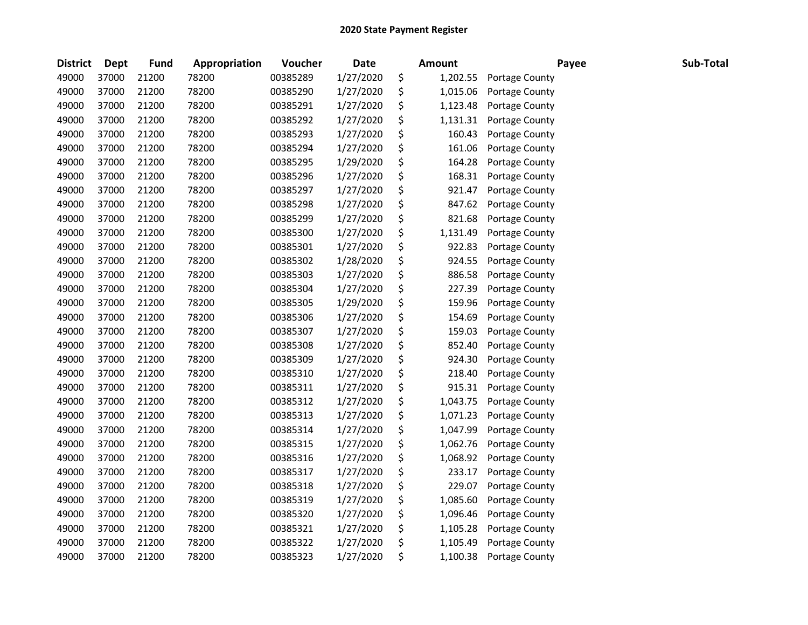| <b>District</b> | <b>Dept</b> | <b>Fund</b> | Appropriation | Voucher  | <b>Date</b> | Amount         | Payee          | Sub-Total |
|-----------------|-------------|-------------|---------------|----------|-------------|----------------|----------------|-----------|
| 49000           | 37000       | 21200       | 78200         | 00385289 | 1/27/2020   | \$<br>1,202.55 | Portage County |           |
| 49000           | 37000       | 21200       | 78200         | 00385290 | 1/27/2020   | \$<br>1,015.06 | Portage County |           |
| 49000           | 37000       | 21200       | 78200         | 00385291 | 1/27/2020   | \$<br>1,123.48 | Portage County |           |
| 49000           | 37000       | 21200       | 78200         | 00385292 | 1/27/2020   | \$<br>1,131.31 | Portage County |           |
| 49000           | 37000       | 21200       | 78200         | 00385293 | 1/27/2020   | \$<br>160.43   | Portage County |           |
| 49000           | 37000       | 21200       | 78200         | 00385294 | 1/27/2020   | \$<br>161.06   | Portage County |           |
| 49000           | 37000       | 21200       | 78200         | 00385295 | 1/29/2020   | \$<br>164.28   | Portage County |           |
| 49000           | 37000       | 21200       | 78200         | 00385296 | 1/27/2020   | \$<br>168.31   | Portage County |           |
| 49000           | 37000       | 21200       | 78200         | 00385297 | 1/27/2020   | \$<br>921.47   | Portage County |           |
| 49000           | 37000       | 21200       | 78200         | 00385298 | 1/27/2020   | \$<br>847.62   | Portage County |           |
| 49000           | 37000       | 21200       | 78200         | 00385299 | 1/27/2020   | \$<br>821.68   | Portage County |           |
| 49000           | 37000       | 21200       | 78200         | 00385300 | 1/27/2020   | \$<br>1,131.49 | Portage County |           |
| 49000           | 37000       | 21200       | 78200         | 00385301 | 1/27/2020   | \$<br>922.83   | Portage County |           |
| 49000           | 37000       | 21200       | 78200         | 00385302 | 1/28/2020   | \$<br>924.55   | Portage County |           |
| 49000           | 37000       | 21200       | 78200         | 00385303 | 1/27/2020   | \$<br>886.58   | Portage County |           |
| 49000           | 37000       | 21200       | 78200         | 00385304 | 1/27/2020   | \$<br>227.39   | Portage County |           |
| 49000           | 37000       | 21200       | 78200         | 00385305 | 1/29/2020   | \$<br>159.96   | Portage County |           |
| 49000           | 37000       | 21200       | 78200         | 00385306 | 1/27/2020   | \$<br>154.69   | Portage County |           |
| 49000           | 37000       | 21200       | 78200         | 00385307 | 1/27/2020   | \$<br>159.03   | Portage County |           |
| 49000           | 37000       | 21200       | 78200         | 00385308 | 1/27/2020   | \$<br>852.40   | Portage County |           |
| 49000           | 37000       | 21200       | 78200         | 00385309 | 1/27/2020   | \$<br>924.30   | Portage County |           |
| 49000           | 37000       | 21200       | 78200         | 00385310 | 1/27/2020   | \$<br>218.40   | Portage County |           |
| 49000           | 37000       | 21200       | 78200         | 00385311 | 1/27/2020   | \$<br>915.31   | Portage County |           |
| 49000           | 37000       | 21200       | 78200         | 00385312 | 1/27/2020   | \$<br>1,043.75 | Portage County |           |
| 49000           | 37000       | 21200       | 78200         | 00385313 | 1/27/2020   | \$<br>1,071.23 | Portage County |           |
| 49000           | 37000       | 21200       | 78200         | 00385314 | 1/27/2020   | \$<br>1,047.99 | Portage County |           |
| 49000           | 37000       | 21200       | 78200         | 00385315 | 1/27/2020   | \$<br>1,062.76 | Portage County |           |
| 49000           | 37000       | 21200       | 78200         | 00385316 | 1/27/2020   | \$<br>1,068.92 | Portage County |           |
| 49000           | 37000       | 21200       | 78200         | 00385317 | 1/27/2020   | \$<br>233.17   | Portage County |           |
| 49000           | 37000       | 21200       | 78200         | 00385318 | 1/27/2020   | \$<br>229.07   | Portage County |           |
| 49000           | 37000       | 21200       | 78200         | 00385319 | 1/27/2020   | \$<br>1,085.60 | Portage County |           |
| 49000           | 37000       | 21200       | 78200         | 00385320 | 1/27/2020   | \$<br>1,096.46 | Portage County |           |
| 49000           | 37000       | 21200       | 78200         | 00385321 | 1/27/2020   | \$<br>1,105.28 | Portage County |           |
| 49000           | 37000       | 21200       | 78200         | 00385322 | 1/27/2020   | \$<br>1,105.49 | Portage County |           |
| 49000           | 37000       | 21200       | 78200         | 00385323 | 1/27/2020   | \$<br>1,100.38 | Portage County |           |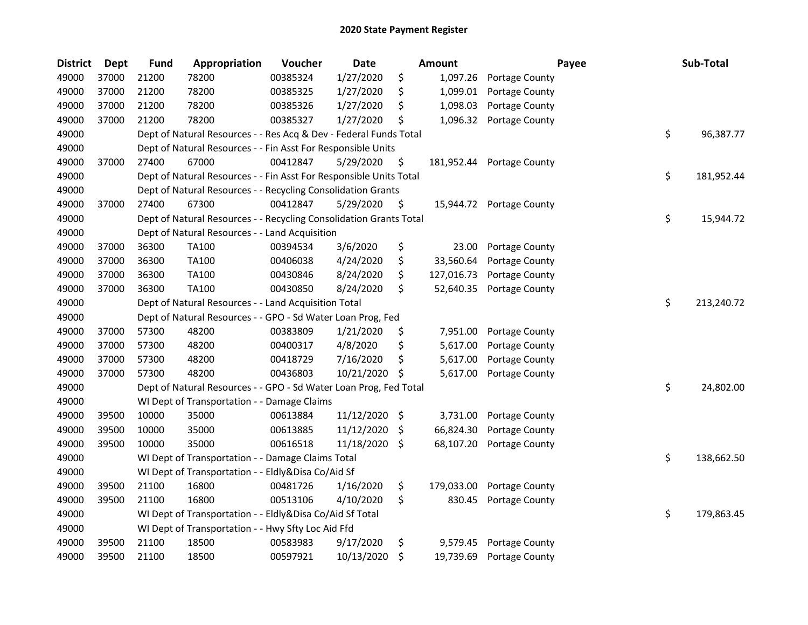| <b>District</b> | <b>Dept</b> | <b>Fund</b> | Appropriation                                                      | Voucher  | <b>Date</b> | <b>Amount</b>    |                          | Payee | Sub-Total        |
|-----------------|-------------|-------------|--------------------------------------------------------------------|----------|-------------|------------------|--------------------------|-------|------------------|
| 49000           | 37000       | 21200       | 78200                                                              | 00385324 | 1/27/2020   | \$<br>1,097.26   | Portage County           |       |                  |
| 49000           | 37000       | 21200       | 78200                                                              | 00385325 | 1/27/2020   | \$<br>1,099.01   | Portage County           |       |                  |
| 49000           | 37000       | 21200       | 78200                                                              | 00385326 | 1/27/2020   | \$<br>1,098.03   | Portage County           |       |                  |
| 49000           | 37000       | 21200       | 78200                                                              | 00385327 | 1/27/2020   | \$<br>1,096.32   | Portage County           |       |                  |
| 49000           |             |             | Dept of Natural Resources - - Res Acq & Dev - Federal Funds Total  |          |             |                  |                          |       | \$<br>96,387.77  |
| 49000           |             |             | Dept of Natural Resources - - Fin Asst For Responsible Units       |          |             |                  |                          |       |                  |
| 49000           | 37000       | 27400       | 67000                                                              | 00412847 | 5/29/2020   | \$<br>181,952.44 | Portage County           |       |                  |
| 49000           |             |             | Dept of Natural Resources - - Fin Asst For Responsible Units Total |          |             |                  |                          |       | \$<br>181,952.44 |
| 49000           |             |             | Dept of Natural Resources - - Recycling Consolidation Grants       |          |             |                  |                          |       |                  |
| 49000           | 37000       | 27400       | 67300                                                              | 00412847 | 5/29/2020   | \$               | 15,944.72 Portage County |       |                  |
| 49000           |             |             | Dept of Natural Resources - - Recycling Consolidation Grants Total |          |             |                  |                          |       | \$<br>15,944.72  |
| 49000           |             |             | Dept of Natural Resources - - Land Acquisition                     |          |             |                  |                          |       |                  |
| 49000           | 37000       | 36300       | <b>TA100</b>                                                       | 00394534 | 3/6/2020    | \$<br>23.00      | Portage County           |       |                  |
| 49000           | 37000       | 36300       | <b>TA100</b>                                                       | 00406038 | 4/24/2020   | \$<br>33,560.64  | Portage County           |       |                  |
| 49000           | 37000       | 36300       | TA100                                                              | 00430846 | 8/24/2020   | \$<br>127,016.73 | Portage County           |       |                  |
| 49000           | 37000       | 36300       | <b>TA100</b>                                                       | 00430850 | 8/24/2020   | \$<br>52,640.35  | Portage County           |       |                  |
| 49000           |             |             | Dept of Natural Resources - - Land Acquisition Total               |          |             |                  |                          |       | \$<br>213,240.72 |
| 49000           |             |             | Dept of Natural Resources - - GPO - Sd Water Loan Prog, Fed        |          |             |                  |                          |       |                  |
| 49000           | 37000       | 57300       | 48200                                                              | 00383809 | 1/21/2020   | \$<br>7,951.00   | Portage County           |       |                  |
| 49000           | 37000       | 57300       | 48200                                                              | 00400317 | 4/8/2020    | \$<br>5,617.00   | Portage County           |       |                  |
| 49000           | 37000       | 57300       | 48200                                                              | 00418729 | 7/16/2020   | \$<br>5,617.00   | Portage County           |       |                  |
| 49000           | 37000       | 57300       | 48200                                                              | 00436803 | 10/21/2020  | \$<br>5,617.00   | Portage County           |       |                  |
| 49000           |             |             | Dept of Natural Resources - - GPO - Sd Water Loan Prog, Fed Total  |          |             |                  |                          |       | \$<br>24,802.00  |
| 49000           |             |             | WI Dept of Transportation - - Damage Claims                        |          |             |                  |                          |       |                  |
| 49000           | 39500       | 10000       | 35000                                                              | 00613884 | 11/12/2020  | \$<br>3,731.00   | Portage County           |       |                  |
| 49000           | 39500       | 10000       | 35000                                                              | 00613885 | 11/12/2020  | \$<br>66,824.30  | Portage County           |       |                  |
| 49000           | 39500       | 10000       | 35000                                                              | 00616518 | 11/18/2020  | \$<br>68,107.20  | Portage County           |       |                  |
| 49000           |             |             | WI Dept of Transportation - - Damage Claims Total                  |          |             |                  |                          |       | \$<br>138,662.50 |
| 49000           |             |             | WI Dept of Transportation - - Eldly&Disa Co/Aid Sf                 |          |             |                  |                          |       |                  |
| 49000           | 39500       | 21100       | 16800                                                              | 00481726 | 1/16/2020   | \$<br>179,033.00 | Portage County           |       |                  |
| 49000           | 39500       | 21100       | 16800                                                              | 00513106 | 4/10/2020   | \$<br>830.45     | Portage County           |       |                  |
| 49000           |             |             | WI Dept of Transportation - - Eldly&Disa Co/Aid Sf Total           |          |             |                  |                          |       | \$<br>179,863.45 |
| 49000           |             |             | WI Dept of Transportation - - Hwy Sfty Loc Aid Ffd                 |          |             |                  |                          |       |                  |
| 49000           | 39500       | 21100       | 18500                                                              | 00583983 | 9/17/2020   | \$<br>9,579.45   | Portage County           |       |                  |
| 49000           | 39500       | 21100       | 18500                                                              | 00597921 | 10/13/2020  | \$<br>19,739.69  | Portage County           |       |                  |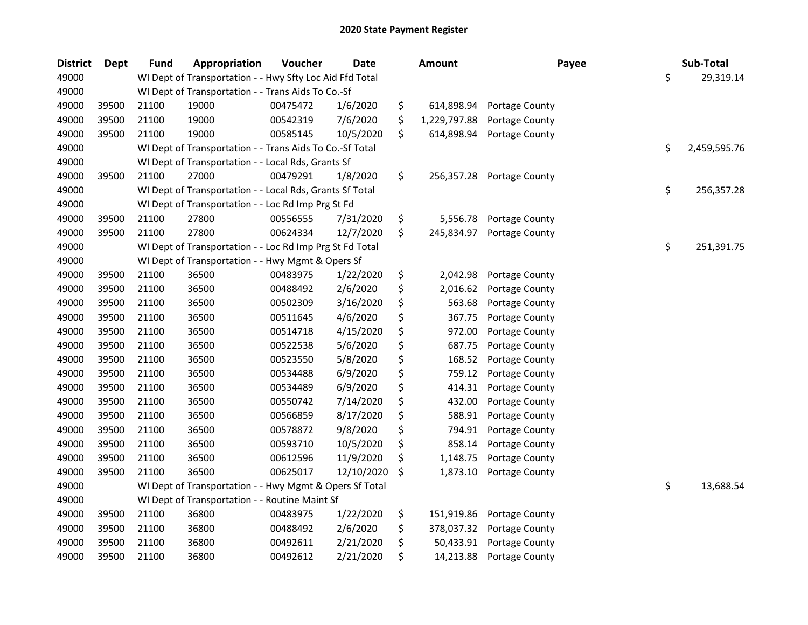| <b>District</b> | <b>Dept</b> | <b>Fund</b> | Appropriation                                            | Voucher  | <b>Date</b> | <b>Amount</b>      | Payee          | Sub-Total          |
|-----------------|-------------|-------------|----------------------------------------------------------|----------|-------------|--------------------|----------------|--------------------|
| 49000           |             |             | WI Dept of Transportation - - Hwy Sfty Loc Aid Ffd Total |          |             |                    |                | \$<br>29,319.14    |
| 49000           |             |             | WI Dept of Transportation - - Trans Aids To Co.-Sf       |          |             |                    |                |                    |
| 49000           | 39500       | 21100       | 19000                                                    | 00475472 | 1/6/2020    | \$<br>614,898.94   | Portage County |                    |
| 49000           | 39500       | 21100       | 19000                                                    | 00542319 | 7/6/2020    | \$<br>1,229,797.88 | Portage County |                    |
| 49000           | 39500       | 21100       | 19000                                                    | 00585145 | 10/5/2020   | \$<br>614,898.94   | Portage County |                    |
| 49000           |             |             | WI Dept of Transportation - - Trans Aids To Co.-Sf Total |          |             |                    |                | \$<br>2,459,595.76 |
| 49000           |             |             | WI Dept of Transportation - - Local Rds, Grants Sf       |          |             |                    |                |                    |
| 49000           | 39500       | 21100       | 27000                                                    | 00479291 | 1/8/2020    | \$<br>256,357.28   | Portage County |                    |
| 49000           |             |             | WI Dept of Transportation - - Local Rds, Grants Sf Total |          |             |                    |                | \$<br>256,357.28   |
| 49000           |             |             | WI Dept of Transportation - - Loc Rd Imp Prg St Fd       |          |             |                    |                |                    |
| 49000           | 39500       | 21100       | 27800                                                    | 00556555 | 7/31/2020   | \$<br>5,556.78     | Portage County |                    |
| 49000           | 39500       | 21100       | 27800                                                    | 00624334 | 12/7/2020   | \$<br>245,834.97   | Portage County |                    |
| 49000           |             |             | WI Dept of Transportation - - Loc Rd Imp Prg St Fd Total |          |             |                    |                | \$<br>251,391.75   |
| 49000           |             |             | WI Dept of Transportation - - Hwy Mgmt & Opers Sf        |          |             |                    |                |                    |
| 49000           | 39500       | 21100       | 36500                                                    | 00483975 | 1/22/2020   | \$<br>2,042.98     | Portage County |                    |
| 49000           | 39500       | 21100       | 36500                                                    | 00488492 | 2/6/2020    | \$<br>2,016.62     | Portage County |                    |
| 49000           | 39500       | 21100       | 36500                                                    | 00502309 | 3/16/2020   | \$<br>563.68       | Portage County |                    |
| 49000           | 39500       | 21100       | 36500                                                    | 00511645 | 4/6/2020    | \$<br>367.75       | Portage County |                    |
| 49000           | 39500       | 21100       | 36500                                                    | 00514718 | 4/15/2020   | \$<br>972.00       | Portage County |                    |
| 49000           | 39500       | 21100       | 36500                                                    | 00522538 | 5/6/2020    | \$<br>687.75       | Portage County |                    |
| 49000           | 39500       | 21100       | 36500                                                    | 00523550 | 5/8/2020    | \$<br>168.52       | Portage County |                    |
| 49000           | 39500       | 21100       | 36500                                                    | 00534488 | 6/9/2020    | \$<br>759.12       | Portage County |                    |
| 49000           | 39500       | 21100       | 36500                                                    | 00534489 | 6/9/2020    | \$<br>414.31       | Portage County |                    |
| 49000           | 39500       | 21100       | 36500                                                    | 00550742 | 7/14/2020   | \$<br>432.00       | Portage County |                    |
| 49000           | 39500       | 21100       | 36500                                                    | 00566859 | 8/17/2020   | \$<br>588.91       | Portage County |                    |
| 49000           | 39500       | 21100       | 36500                                                    | 00578872 | 9/8/2020    | \$<br>794.91       | Portage County |                    |
| 49000           | 39500       | 21100       | 36500                                                    | 00593710 | 10/5/2020   | \$<br>858.14       | Portage County |                    |
| 49000           | 39500       | 21100       | 36500                                                    | 00612596 | 11/9/2020   | \$<br>1,148.75     | Portage County |                    |
| 49000           | 39500       | 21100       | 36500                                                    | 00625017 | 12/10/2020  | \$<br>1,873.10     | Portage County |                    |
| 49000           |             |             | WI Dept of Transportation - - Hwy Mgmt & Opers Sf Total  |          |             |                    |                | \$<br>13,688.54    |
| 49000           |             |             | WI Dept of Transportation - - Routine Maint Sf           |          |             |                    |                |                    |
| 49000           | 39500       | 21100       | 36800                                                    | 00483975 | 1/22/2020   | \$<br>151,919.86   | Portage County |                    |
| 49000           | 39500       | 21100       | 36800                                                    | 00488492 | 2/6/2020    | \$<br>378,037.32   | Portage County |                    |
| 49000           | 39500       | 21100       | 36800                                                    | 00492611 | 2/21/2020   | \$<br>50,433.91    | Portage County |                    |
| 49000           | 39500       | 21100       | 36800                                                    | 00492612 | 2/21/2020   | \$<br>14,213.88    | Portage County |                    |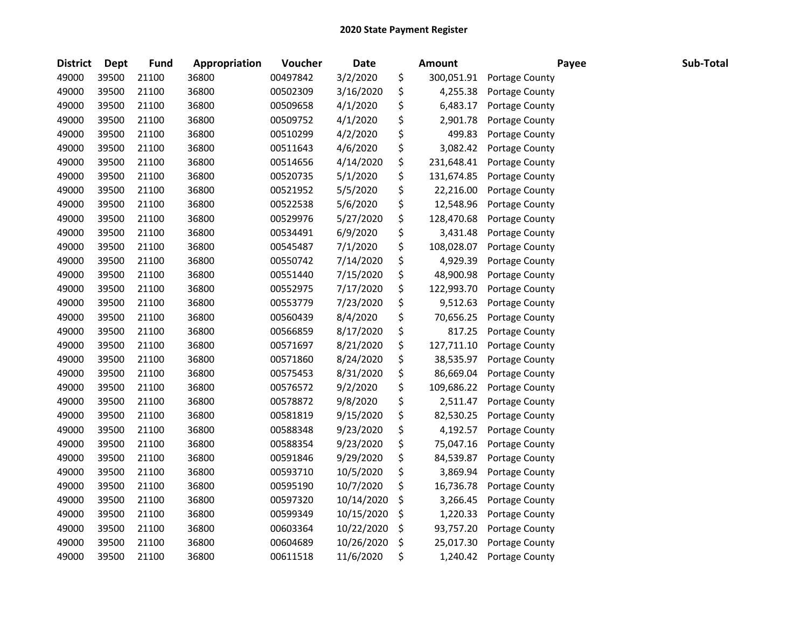| <b>District</b> | <b>Dept</b> | <b>Fund</b> | Appropriation | Voucher  | <b>Date</b> |     | <b>Amount</b> | Payee          | Sub-Total |
|-----------------|-------------|-------------|---------------|----------|-------------|-----|---------------|----------------|-----------|
| 49000           | 39500       | 21100       | 36800         | 00497842 | 3/2/2020    | \$  | 300,051.91    | Portage County |           |
| 49000           | 39500       | 21100       | 36800         | 00502309 | 3/16/2020   | \$  | 4,255.38      | Portage County |           |
| 49000           | 39500       | 21100       | 36800         | 00509658 | 4/1/2020    | \$  | 6,483.17      | Portage County |           |
| 49000           | 39500       | 21100       | 36800         | 00509752 | 4/1/2020    | \$  | 2,901.78      | Portage County |           |
| 49000           | 39500       | 21100       | 36800         | 00510299 | 4/2/2020    | \$  | 499.83        | Portage County |           |
| 49000           | 39500       | 21100       | 36800         | 00511643 | 4/6/2020    | \$  | 3,082.42      | Portage County |           |
| 49000           | 39500       | 21100       | 36800         | 00514656 | 4/14/2020   | \$  | 231,648.41    | Portage County |           |
| 49000           | 39500       | 21100       | 36800         | 00520735 | 5/1/2020    | \$  | 131,674.85    | Portage County |           |
| 49000           | 39500       | 21100       | 36800         | 00521952 | 5/5/2020    | \$  | 22,216.00     | Portage County |           |
| 49000           | 39500       | 21100       | 36800         | 00522538 | 5/6/2020    | \$  | 12,548.96     | Portage County |           |
| 49000           | 39500       | 21100       | 36800         | 00529976 | 5/27/2020   | \$  | 128,470.68    | Portage County |           |
| 49000           | 39500       | 21100       | 36800         | 00534491 | 6/9/2020    | \$  | 3,431.48      | Portage County |           |
| 49000           | 39500       | 21100       | 36800         | 00545487 | 7/1/2020    | \$  | 108,028.07    | Portage County |           |
| 49000           | 39500       | 21100       | 36800         | 00550742 | 7/14/2020   | \$  | 4,929.39      | Portage County |           |
| 49000           | 39500       | 21100       | 36800         | 00551440 | 7/15/2020   | \$  | 48,900.98     | Portage County |           |
| 49000           | 39500       | 21100       | 36800         | 00552975 | 7/17/2020   | \$  | 122,993.70    | Portage County |           |
| 49000           | 39500       | 21100       | 36800         | 00553779 | 7/23/2020   | \$  | 9,512.63      | Portage County |           |
| 49000           | 39500       | 21100       | 36800         | 00560439 | 8/4/2020    | \$  | 70,656.25     | Portage County |           |
| 49000           | 39500       | 21100       | 36800         | 00566859 | 8/17/2020   | \$  | 817.25        | Portage County |           |
| 49000           | 39500       | 21100       | 36800         | 00571697 | 8/21/2020   | \$  | 127,711.10    | Portage County |           |
| 49000           | 39500       | 21100       | 36800         | 00571860 | 8/24/2020   | \$  | 38,535.97     | Portage County |           |
| 49000           | 39500       | 21100       | 36800         | 00575453 | 8/31/2020   | \$  | 86,669.04     | Portage County |           |
| 49000           | 39500       | 21100       | 36800         | 00576572 | 9/2/2020    | \$  | 109,686.22    | Portage County |           |
| 49000           | 39500       | 21100       | 36800         | 00578872 | 9/8/2020    | \$  | 2,511.47      | Portage County |           |
| 49000           | 39500       | 21100       | 36800         | 00581819 | 9/15/2020   | \$  | 82,530.25     | Portage County |           |
| 49000           | 39500       | 21100       | 36800         | 00588348 | 9/23/2020   | \$  | 4,192.57      | Portage County |           |
| 49000           | 39500       | 21100       | 36800         | 00588354 | 9/23/2020   | \$  | 75,047.16     | Portage County |           |
| 49000           | 39500       | 21100       | 36800         | 00591846 | 9/29/2020   | \$  | 84,539.87     | Portage County |           |
| 49000           | 39500       | 21100       | 36800         | 00593710 | 10/5/2020   | \$  | 3,869.94      | Portage County |           |
| 49000           | 39500       | 21100       | 36800         | 00595190 | 10/7/2020   | \$  | 16,736.78     | Portage County |           |
| 49000           | 39500       | 21100       | 36800         | 00597320 | 10/14/2020  | \$, | 3,266.45      | Portage County |           |
| 49000           | 39500       | 21100       | 36800         | 00599349 | 10/15/2020  | \$  | 1,220.33      | Portage County |           |
| 49000           | 39500       | 21100       | 36800         | 00603364 | 10/22/2020  | \$  | 93,757.20     | Portage County |           |
| 49000           | 39500       | 21100       | 36800         | 00604689 | 10/26/2020  | \$  | 25,017.30     | Portage County |           |
| 49000           | 39500       | 21100       | 36800         | 00611518 | 11/6/2020   | \$  | 1,240.42      | Portage County |           |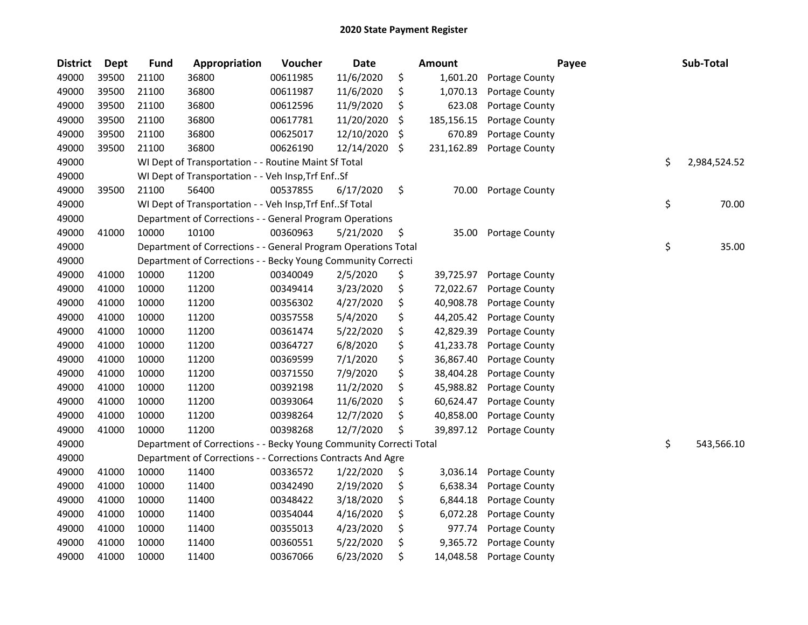| <b>District</b> | Dept  | <b>Fund</b> | Appropriation                                                      | Voucher  | <b>Date</b> | <b>Amount</b>    | Payee          | Sub-Total          |
|-----------------|-------|-------------|--------------------------------------------------------------------|----------|-------------|------------------|----------------|--------------------|
| 49000           | 39500 | 21100       | 36800                                                              | 00611985 | 11/6/2020   | \$<br>1,601.20   | Portage County |                    |
| 49000           | 39500 | 21100       | 36800                                                              | 00611987 | 11/6/2020   | \$<br>1,070.13   | Portage County |                    |
| 49000           | 39500 | 21100       | 36800                                                              | 00612596 | 11/9/2020   | \$<br>623.08     | Portage County |                    |
| 49000           | 39500 | 21100       | 36800                                                              | 00617781 | 11/20/2020  | \$<br>185,156.15 | Portage County |                    |
| 49000           | 39500 | 21100       | 36800                                                              | 00625017 | 12/10/2020  | \$<br>670.89     | Portage County |                    |
| 49000           | 39500 | 21100       | 36800                                                              | 00626190 | 12/14/2020  | \$<br>231,162.89 | Portage County |                    |
| 49000           |       |             | WI Dept of Transportation - - Routine Maint Sf Total               |          |             |                  |                | \$<br>2,984,524.52 |
| 49000           |       |             | WI Dept of Transportation - - Veh Insp, Trf EnfSf                  |          |             |                  |                |                    |
| 49000           | 39500 | 21100       | 56400                                                              | 00537855 | 6/17/2020   | \$<br>70.00      | Portage County |                    |
| 49000           |       |             | WI Dept of Transportation - - Veh Insp, Trf Enf Sf Total           |          |             |                  |                | \$<br>70.00        |
| 49000           |       |             | Department of Corrections - - General Program Operations           |          |             |                  |                |                    |
| 49000           | 41000 | 10000       | 10100                                                              | 00360963 | 5/21/2020   | \$<br>35.00      | Portage County |                    |
| 49000           |       |             | Department of Corrections - - General Program Operations Total     |          |             |                  |                | \$<br>35.00        |
| 49000           |       |             | Department of Corrections - - Becky Young Community Correcti       |          |             |                  |                |                    |
| 49000           | 41000 | 10000       | 11200                                                              | 00340049 | 2/5/2020    | \$<br>39,725.97  | Portage County |                    |
| 49000           | 41000 | 10000       | 11200                                                              | 00349414 | 3/23/2020   | \$<br>72,022.67  | Portage County |                    |
| 49000           | 41000 | 10000       | 11200                                                              | 00356302 | 4/27/2020   | \$<br>40,908.78  | Portage County |                    |
| 49000           | 41000 | 10000       | 11200                                                              | 00357558 | 5/4/2020    | \$<br>44,205.42  | Portage County |                    |
| 49000           | 41000 | 10000       | 11200                                                              | 00361474 | 5/22/2020   | \$<br>42,829.39  | Portage County |                    |
| 49000           | 41000 | 10000       | 11200                                                              | 00364727 | 6/8/2020    | \$<br>41,233.78  | Portage County |                    |
| 49000           | 41000 | 10000       | 11200                                                              | 00369599 | 7/1/2020    | \$<br>36,867.40  | Portage County |                    |
| 49000           | 41000 | 10000       | 11200                                                              | 00371550 | 7/9/2020    | \$<br>38,404.28  | Portage County |                    |
| 49000           | 41000 | 10000       | 11200                                                              | 00392198 | 11/2/2020   | \$<br>45,988.82  | Portage County |                    |
| 49000           | 41000 | 10000       | 11200                                                              | 00393064 | 11/6/2020   | \$<br>60,624.47  | Portage County |                    |
| 49000           | 41000 | 10000       | 11200                                                              | 00398264 | 12/7/2020   | \$<br>40,858.00  | Portage County |                    |
| 49000           | 41000 | 10000       | 11200                                                              | 00398268 | 12/7/2020   | \$<br>39,897.12  | Portage County |                    |
| 49000           |       |             | Department of Corrections - - Becky Young Community Correcti Total |          |             |                  |                | \$<br>543,566.10   |
| 49000           |       |             | Department of Corrections - - Corrections Contracts And Agre       |          |             |                  |                |                    |
| 49000           | 41000 | 10000       | 11400                                                              | 00336572 | 1/22/2020   | \$<br>3,036.14   | Portage County |                    |
| 49000           | 41000 | 10000       | 11400                                                              | 00342490 | 2/19/2020   | \$<br>6,638.34   | Portage County |                    |
| 49000           | 41000 | 10000       | 11400                                                              | 00348422 | 3/18/2020   | \$<br>6,844.18   | Portage County |                    |
| 49000           | 41000 | 10000       | 11400                                                              | 00354044 | 4/16/2020   | \$<br>6,072.28   | Portage County |                    |
| 49000           | 41000 | 10000       | 11400                                                              | 00355013 | 4/23/2020   | \$<br>977.74     | Portage County |                    |
| 49000           | 41000 | 10000       | 11400                                                              | 00360551 | 5/22/2020   | \$<br>9,365.72   | Portage County |                    |
| 49000           | 41000 | 10000       | 11400                                                              | 00367066 | 6/23/2020   | \$<br>14,048.58  | Portage County |                    |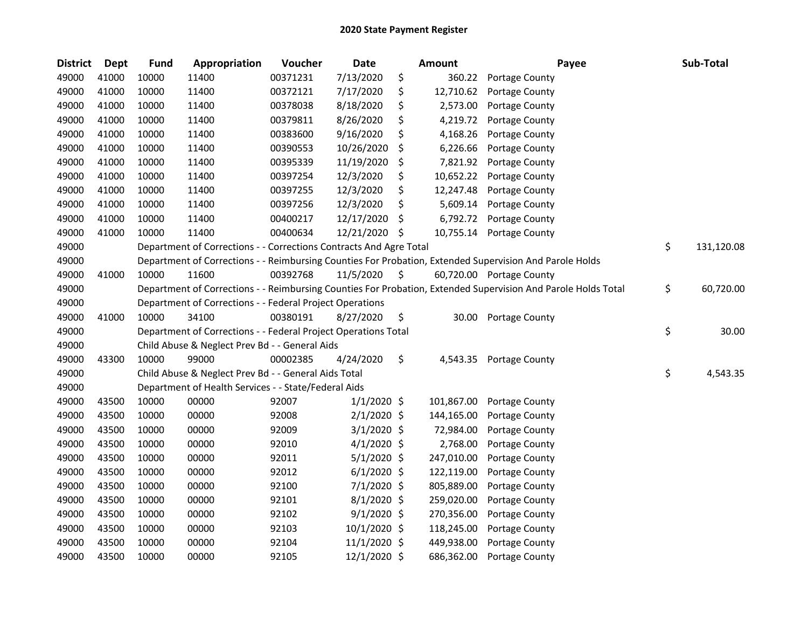| <b>District</b> | <b>Dept</b> | <b>Fund</b> | Appropriation                                                      | Voucher  | <b>Date</b>   |     | <b>Amount</b> | Payee                                                                                                         | Sub-Total        |
|-----------------|-------------|-------------|--------------------------------------------------------------------|----------|---------------|-----|---------------|---------------------------------------------------------------------------------------------------------------|------------------|
| 49000           | 41000       | 10000       | 11400                                                              | 00371231 | 7/13/2020     | \$  | 360.22        | Portage County                                                                                                |                  |
| 49000           | 41000       | 10000       | 11400                                                              | 00372121 | 7/17/2020     | \$  | 12,710.62     | Portage County                                                                                                |                  |
| 49000           | 41000       | 10000       | 11400                                                              | 00378038 | 8/18/2020     | \$  | 2,573.00      | Portage County                                                                                                |                  |
| 49000           | 41000       | 10000       | 11400                                                              | 00379811 | 8/26/2020     | \$  | 4,219.72      | Portage County                                                                                                |                  |
| 49000           | 41000       | 10000       | 11400                                                              | 00383600 | 9/16/2020     | \$  | 4,168.26      | Portage County                                                                                                |                  |
| 49000           | 41000       | 10000       | 11400                                                              | 00390553 | 10/26/2020    | \$  | 6,226.66      | Portage County                                                                                                |                  |
| 49000           | 41000       | 10000       | 11400                                                              | 00395339 | 11/19/2020    | \$  | 7,821.92      | Portage County                                                                                                |                  |
| 49000           | 41000       | 10000       | 11400                                                              | 00397254 | 12/3/2020     | \$  | 10,652.22     | Portage County                                                                                                |                  |
| 49000           | 41000       | 10000       | 11400                                                              | 00397255 | 12/3/2020     | \$  | 12,247.48     | Portage County                                                                                                |                  |
| 49000           | 41000       | 10000       | 11400                                                              | 00397256 | 12/3/2020     | \$  | 5,609.14      | Portage County                                                                                                |                  |
| 49000           | 41000       | 10000       | 11400                                                              | 00400217 | 12/17/2020    | \$  | 6,792.72      | Portage County                                                                                                |                  |
| 49000           | 41000       | 10000       | 11400                                                              | 00400634 | 12/21/2020    | -\$ | 10,755.14     | Portage County                                                                                                |                  |
| 49000           |             |             | Department of Corrections - - Corrections Contracts And Agre Total |          |               |     |               |                                                                                                               | \$<br>131,120.08 |
| 49000           |             |             |                                                                    |          |               |     |               | Department of Corrections - - Reimbursing Counties For Probation, Extended Supervision And Parole Holds       |                  |
| 49000           | 41000       | 10000       | 11600                                                              | 00392768 | 11/5/2020     | \$  |               | 60,720.00 Portage County                                                                                      |                  |
| 49000           |             |             |                                                                    |          |               |     |               | Department of Corrections - - Reimbursing Counties For Probation, Extended Supervision And Parole Holds Total | \$<br>60,720.00  |
| 49000           |             |             | Department of Corrections - - Federal Project Operations           |          |               |     |               |                                                                                                               |                  |
| 49000           | 41000       | 10000       | 34100                                                              | 00380191 | 8/27/2020     | \$  | 30.00         | Portage County                                                                                                |                  |
| 49000           |             |             | Department of Corrections - - Federal Project Operations Total     |          |               |     |               |                                                                                                               | \$<br>30.00      |
| 49000           |             |             | Child Abuse & Neglect Prev Bd - - General Aids                     |          |               |     |               |                                                                                                               |                  |
| 49000           | 43300       | 10000       | 99000                                                              | 00002385 | 4/24/2020     | \$  | 4,543.35      | Portage County                                                                                                |                  |
| 49000           |             |             | Child Abuse & Neglect Prev Bd - - General Aids Total               |          |               |     |               |                                                                                                               | \$<br>4,543.35   |
| 49000           |             |             | Department of Health Services - - State/Federal Aids               |          |               |     |               |                                                                                                               |                  |
| 49000           | 43500       | 10000       | 00000                                                              | 92007    | $1/1/2020$ \$ |     | 101,867.00    | Portage County                                                                                                |                  |
| 49000           | 43500       | 10000       | 00000                                                              | 92008    | $2/1/2020$ \$ |     | 144,165.00    | Portage County                                                                                                |                  |
| 49000           | 43500       | 10000       | 00000                                                              | 92009    | $3/1/2020$ \$ |     | 72,984.00     | Portage County                                                                                                |                  |
| 49000           | 43500       | 10000       | 00000                                                              | 92010    | $4/1/2020$ \$ |     | 2,768.00      | Portage County                                                                                                |                  |
| 49000           | 43500       | 10000       | 00000                                                              | 92011    | $5/1/2020$ \$ |     | 247,010.00    | Portage County                                                                                                |                  |
| 49000           | 43500       | 10000       | 00000                                                              | 92012    | $6/1/2020$ \$ |     | 122,119.00    | Portage County                                                                                                |                  |
| 49000           | 43500       | 10000       | 00000                                                              | 92100    | 7/1/2020 \$   |     | 805,889.00    | Portage County                                                                                                |                  |
| 49000           | 43500       | 10000       | 00000                                                              | 92101    | 8/1/2020 \$   |     | 259,020.00    | Portage County                                                                                                |                  |
| 49000           | 43500       | 10000       | 00000                                                              | 92102    | $9/1/2020$ \$ |     | 270,356.00    | Portage County                                                                                                |                  |
| 49000           | 43500       | 10000       | 00000                                                              | 92103    | 10/1/2020 \$  |     | 118,245.00    | Portage County                                                                                                |                  |
| 49000           | 43500       | 10000       | 00000                                                              | 92104    | 11/1/2020 \$  |     | 449,938.00    | Portage County                                                                                                |                  |
| 49000           | 43500       | 10000       | 00000                                                              | 92105    | 12/1/2020 \$  |     | 686,362.00    | Portage County                                                                                                |                  |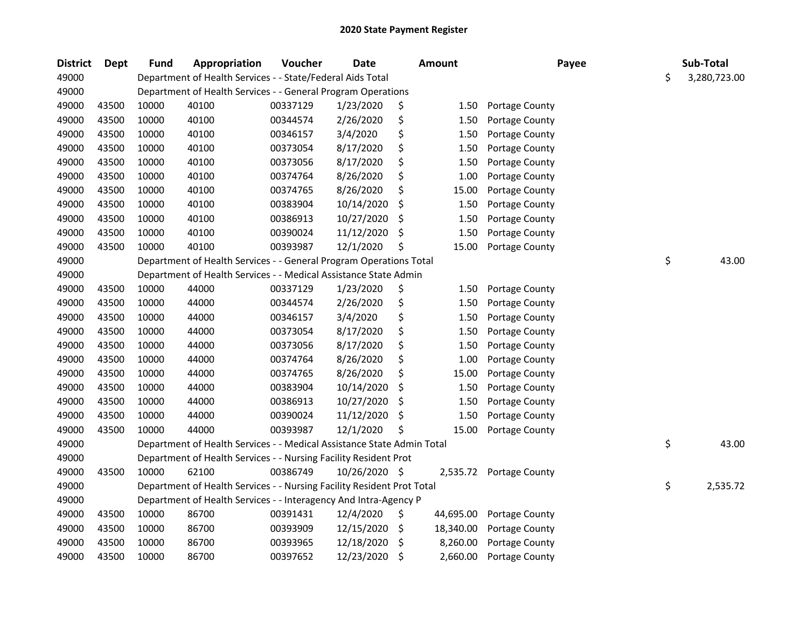| <b>District</b> | <b>Dept</b> | <b>Fund</b> | Appropriation                                                          | Voucher  | <b>Date</b>   |     | <b>Amount</b> | Payee                 | Sub-Total          |
|-----------------|-------------|-------------|------------------------------------------------------------------------|----------|---------------|-----|---------------|-----------------------|--------------------|
| 49000           |             |             | Department of Health Services - - State/Federal Aids Total             |          |               |     |               |                       | \$<br>3,280,723.00 |
| 49000           |             |             | Department of Health Services - - General Program Operations           |          |               |     |               |                       |                    |
| 49000           | 43500       | 10000       | 40100                                                                  | 00337129 | 1/23/2020     | \$  | 1.50          | <b>Portage County</b> |                    |
| 49000           | 43500       | 10000       | 40100                                                                  | 00344574 | 2/26/2020     | \$  | 1.50          | Portage County        |                    |
| 49000           | 43500       | 10000       | 40100                                                                  | 00346157 | 3/4/2020      | \$  | 1.50          | Portage County        |                    |
| 49000           | 43500       | 10000       | 40100                                                                  | 00373054 | 8/17/2020     | \$  | 1.50          | Portage County        |                    |
| 49000           | 43500       | 10000       | 40100                                                                  | 00373056 | 8/17/2020     | \$  | 1.50          | Portage County        |                    |
| 49000           | 43500       | 10000       | 40100                                                                  | 00374764 | 8/26/2020     | \$  | 1.00          | Portage County        |                    |
| 49000           | 43500       | 10000       | 40100                                                                  | 00374765 | 8/26/2020     | \$  | 15.00         | Portage County        |                    |
| 49000           | 43500       | 10000       | 40100                                                                  | 00383904 | 10/14/2020    | \$, | 1.50          | Portage County        |                    |
| 49000           | 43500       | 10000       | 40100                                                                  | 00386913 | 10/27/2020    | \$  | 1.50          | Portage County        |                    |
| 49000           | 43500       | 10000       | 40100                                                                  | 00390024 | 11/12/2020    | \$  | 1.50          | Portage County        |                    |
| 49000           | 43500       | 10000       | 40100                                                                  | 00393987 | 12/1/2020     | Ś   | 15.00         | Portage County        |                    |
| 49000           |             |             | Department of Health Services - - General Program Operations Total     |          |               |     |               |                       | \$<br>43.00        |
| 49000           |             |             | Department of Health Services - - Medical Assistance State Admin       |          |               |     |               |                       |                    |
| 49000           | 43500       | 10000       | 44000                                                                  | 00337129 | 1/23/2020     | \$  | 1.50          | Portage County        |                    |
| 49000           | 43500       | 10000       | 44000                                                                  | 00344574 | 2/26/2020     | \$  | 1.50          | Portage County        |                    |
| 49000           | 43500       | 10000       | 44000                                                                  | 00346157 | 3/4/2020      | \$  | 1.50          | Portage County        |                    |
| 49000           | 43500       | 10000       | 44000                                                                  | 00373054 | 8/17/2020     | \$  | 1.50          | Portage County        |                    |
| 49000           | 43500       | 10000       | 44000                                                                  | 00373056 | 8/17/2020     | \$  | 1.50          | Portage County        |                    |
| 49000           | 43500       | 10000       | 44000                                                                  | 00374764 | 8/26/2020     | \$  | 1.00          | Portage County        |                    |
| 49000           | 43500       | 10000       | 44000                                                                  | 00374765 | 8/26/2020     | \$  | 15.00         | Portage County        |                    |
| 49000           | 43500       | 10000       | 44000                                                                  | 00383904 | 10/14/2020    | \$  | 1.50          | Portage County        |                    |
| 49000           | 43500       | 10000       | 44000                                                                  | 00386913 | 10/27/2020    | \$  | 1.50          | Portage County        |                    |
| 49000           | 43500       | 10000       | 44000                                                                  | 00390024 | 11/12/2020    | \$  | 1.50          | Portage County        |                    |
| 49000           | 43500       | 10000       | 44000                                                                  | 00393987 | 12/1/2020     |     | 15.00         | Portage County        |                    |
| 49000           |             |             | Department of Health Services - - Medical Assistance State Admin Total |          |               |     |               |                       | \$<br>43.00        |
| 49000           |             |             | Department of Health Services - - Nursing Facility Resident Prot       |          |               |     |               |                       |                    |
| 49000           | 43500       | 10000       | 62100                                                                  | 00386749 | 10/26/2020 \$ |     | 2,535.72      | <b>Portage County</b> |                    |
| 49000           |             |             | Department of Health Services - - Nursing Facility Resident Prot Total |          |               |     |               |                       | \$<br>2,535.72     |
| 49000           |             |             | Department of Health Services - - Interagency And Intra-Agency P       |          |               |     |               |                       |                    |
| 49000           | 43500       | 10000       | 86700                                                                  | 00391431 | 12/4/2020     | \$  | 44,695.00     | Portage County        |                    |
| 49000           | 43500       | 10000       | 86700                                                                  | 00393909 | 12/15/2020    | \$  | 18,340.00     | Portage County        |                    |
| 49000           | 43500       | 10000       | 86700                                                                  | 00393965 | 12/18/2020    | \$  | 8,260.00      | Portage County        |                    |
| 49000           | 43500       | 10000       | 86700                                                                  | 00397652 | 12/23/2020    | \$  | 2,660.00      | Portage County        |                    |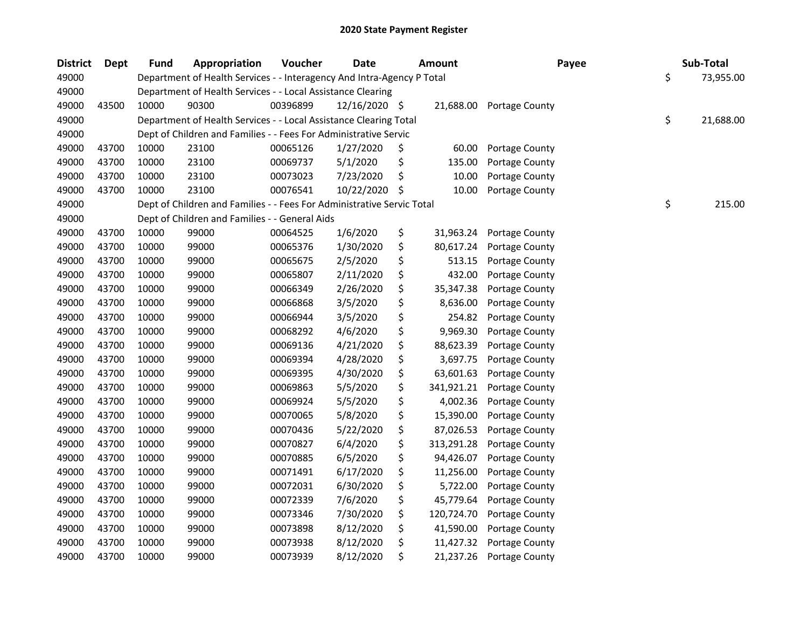| <b>District</b> | <b>Dept</b> | <b>Fund</b> | Appropriation                                                          | Voucher  | <b>Date</b>   |     | <b>Amount</b> | Payee          | Sub-Total       |
|-----------------|-------------|-------------|------------------------------------------------------------------------|----------|---------------|-----|---------------|----------------|-----------------|
| 49000           |             |             | Department of Health Services - - Interagency And Intra-Agency P Total |          |               |     |               |                | \$<br>73,955.00 |
| 49000           |             |             | Department of Health Services - - Local Assistance Clearing            |          |               |     |               |                |                 |
| 49000           | 43500       | 10000       | 90300                                                                  | 00396899 | 12/16/2020 \$ |     | 21,688.00     | Portage County |                 |
| 49000           |             |             | Department of Health Services - - Local Assistance Clearing Total      |          |               |     |               |                | \$<br>21,688.00 |
| 49000           |             |             | Dept of Children and Families - - Fees For Administrative Servic       |          |               |     |               |                |                 |
| 49000           | 43700       | 10000       | 23100                                                                  | 00065126 | 1/27/2020     | \$, | 60.00         | Portage County |                 |
| 49000           | 43700       | 10000       | 23100                                                                  | 00069737 | 5/1/2020      | \$  | 135.00        | Portage County |                 |
| 49000           | 43700       | 10000       | 23100                                                                  | 00073023 | 7/23/2020     | \$  | 10.00         | Portage County |                 |
| 49000           | 43700       | 10000       | 23100                                                                  | 00076541 | 10/22/2020    | \$  | 10.00         | Portage County |                 |
| 49000           |             |             | Dept of Children and Families - - Fees For Administrative Servic Total |          |               |     |               |                | \$<br>215.00    |
| 49000           |             |             | Dept of Children and Families - - General Aids                         |          |               |     |               |                |                 |
| 49000           | 43700       | 10000       | 99000                                                                  | 00064525 | 1/6/2020      | \$  | 31,963.24     | Portage County |                 |
| 49000           | 43700       | 10000       | 99000                                                                  | 00065376 | 1/30/2020     | \$  | 80,617.24     | Portage County |                 |
| 49000           | 43700       | 10000       | 99000                                                                  | 00065675 | 2/5/2020      | \$  | 513.15        | Portage County |                 |
| 49000           | 43700       | 10000       | 99000                                                                  | 00065807 | 2/11/2020     | \$  | 432.00        | Portage County |                 |
| 49000           | 43700       | 10000       | 99000                                                                  | 00066349 | 2/26/2020     | \$  | 35,347.38     | Portage County |                 |
| 49000           | 43700       | 10000       | 99000                                                                  | 00066868 | 3/5/2020      | \$  | 8,636.00      | Portage County |                 |
| 49000           | 43700       | 10000       | 99000                                                                  | 00066944 | 3/5/2020      | \$  | 254.82        | Portage County |                 |
| 49000           | 43700       | 10000       | 99000                                                                  | 00068292 | 4/6/2020      | \$  | 9,969.30      | Portage County |                 |
| 49000           | 43700       | 10000       | 99000                                                                  | 00069136 | 4/21/2020     | \$  | 88,623.39     | Portage County |                 |
| 49000           | 43700       | 10000       | 99000                                                                  | 00069394 | 4/28/2020     | \$  | 3,697.75      | Portage County |                 |
| 49000           | 43700       | 10000       | 99000                                                                  | 00069395 | 4/30/2020     | \$  | 63,601.63     | Portage County |                 |
| 49000           | 43700       | 10000       | 99000                                                                  | 00069863 | 5/5/2020      | \$  | 341,921.21    | Portage County |                 |
| 49000           | 43700       | 10000       | 99000                                                                  | 00069924 | 5/5/2020      | \$  | 4,002.36      | Portage County |                 |
| 49000           | 43700       | 10000       | 99000                                                                  | 00070065 | 5/8/2020      | \$  | 15,390.00     | Portage County |                 |
| 49000           | 43700       | 10000       | 99000                                                                  | 00070436 | 5/22/2020     | \$  | 87,026.53     | Portage County |                 |
| 49000           | 43700       | 10000       | 99000                                                                  | 00070827 | 6/4/2020      | \$  | 313,291.28    | Portage County |                 |
| 49000           | 43700       | 10000       | 99000                                                                  | 00070885 | 6/5/2020      | \$  | 94,426.07     | Portage County |                 |
| 49000           | 43700       | 10000       | 99000                                                                  | 00071491 | 6/17/2020     | \$  | 11,256.00     | Portage County |                 |
| 49000           | 43700       | 10000       | 99000                                                                  | 00072031 | 6/30/2020     | \$  | 5,722.00      | Portage County |                 |
| 49000           | 43700       | 10000       | 99000                                                                  | 00072339 | 7/6/2020      | \$  | 45,779.64     | Portage County |                 |
| 49000           | 43700       | 10000       | 99000                                                                  | 00073346 | 7/30/2020     | \$  | 120,724.70    | Portage County |                 |
| 49000           | 43700       | 10000       | 99000                                                                  | 00073898 | 8/12/2020     | \$  | 41,590.00     | Portage County |                 |
| 49000           | 43700       | 10000       | 99000                                                                  | 00073938 | 8/12/2020     | \$  | 11,427.32     | Portage County |                 |
| 49000           | 43700       | 10000       | 99000                                                                  | 00073939 | 8/12/2020     | \$  | 21,237.26     | Portage County |                 |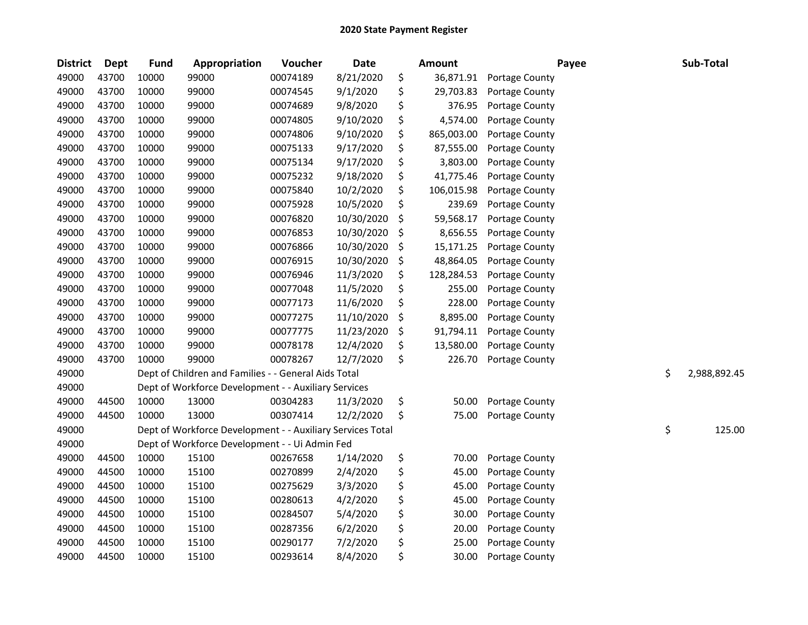| <b>District</b> | <b>Dept</b> | <b>Fund</b> | Appropriation                                              | Voucher  | Date       | Amount           | Payee          | Sub-Total          |
|-----------------|-------------|-------------|------------------------------------------------------------|----------|------------|------------------|----------------|--------------------|
| 49000           | 43700       | 10000       | 99000                                                      | 00074189 | 8/21/2020  | \$<br>36,871.91  | Portage County |                    |
| 49000           | 43700       | 10000       | 99000                                                      | 00074545 | 9/1/2020   | \$<br>29,703.83  | Portage County |                    |
| 49000           | 43700       | 10000       | 99000                                                      | 00074689 | 9/8/2020   | \$<br>376.95     | Portage County |                    |
| 49000           | 43700       | 10000       | 99000                                                      | 00074805 | 9/10/2020  | \$<br>4,574.00   | Portage County |                    |
| 49000           | 43700       | 10000       | 99000                                                      | 00074806 | 9/10/2020  | \$<br>865,003.00 | Portage County |                    |
| 49000           | 43700       | 10000       | 99000                                                      | 00075133 | 9/17/2020  | \$<br>87,555.00  | Portage County |                    |
| 49000           | 43700       | 10000       | 99000                                                      | 00075134 | 9/17/2020  | \$<br>3,803.00   | Portage County |                    |
| 49000           | 43700       | 10000       | 99000                                                      | 00075232 | 9/18/2020  | \$<br>41,775.46  | Portage County |                    |
| 49000           | 43700       | 10000       | 99000                                                      | 00075840 | 10/2/2020  | \$<br>106,015.98 | Portage County |                    |
| 49000           | 43700       | 10000       | 99000                                                      | 00075928 | 10/5/2020  | \$<br>239.69     | Portage County |                    |
| 49000           | 43700       | 10000       | 99000                                                      | 00076820 | 10/30/2020 | \$<br>59,568.17  | Portage County |                    |
| 49000           | 43700       | 10000       | 99000                                                      | 00076853 | 10/30/2020 | \$<br>8,656.55   | Portage County |                    |
| 49000           | 43700       | 10000       | 99000                                                      | 00076866 | 10/30/2020 | \$<br>15,171.25  | Portage County |                    |
| 49000           | 43700       | 10000       | 99000                                                      | 00076915 | 10/30/2020 | \$<br>48,864.05  | Portage County |                    |
| 49000           | 43700       | 10000       | 99000                                                      | 00076946 | 11/3/2020  | \$<br>128,284.53 | Portage County |                    |
| 49000           | 43700       | 10000       | 99000                                                      | 00077048 | 11/5/2020  | \$<br>255.00     | Portage County |                    |
| 49000           | 43700       | 10000       | 99000                                                      | 00077173 | 11/6/2020  | \$<br>228.00     | Portage County |                    |
| 49000           | 43700       | 10000       | 99000                                                      | 00077275 | 11/10/2020 | \$<br>8,895.00   | Portage County |                    |
| 49000           | 43700       | 10000       | 99000                                                      | 00077775 | 11/23/2020 | \$<br>91,794.11  | Portage County |                    |
| 49000           | 43700       | 10000       | 99000                                                      | 00078178 | 12/4/2020  | \$<br>13,580.00  | Portage County |                    |
| 49000           | 43700       | 10000       | 99000                                                      | 00078267 | 12/7/2020  | \$<br>226.70     | Portage County |                    |
| 49000           |             |             | Dept of Children and Families - - General Aids Total       |          |            |                  |                | \$<br>2,988,892.45 |
| 49000           |             |             | Dept of Workforce Development - - Auxiliary Services       |          |            |                  |                |                    |
| 49000           | 44500       | 10000       | 13000                                                      | 00304283 | 11/3/2020  | \$<br>50.00      | Portage County |                    |
| 49000           | 44500       | 10000       | 13000                                                      | 00307414 | 12/2/2020  | \$<br>75.00      | Portage County |                    |
| 49000           |             |             | Dept of Workforce Development - - Auxiliary Services Total |          |            |                  |                | \$<br>125.00       |
| 49000           |             |             | Dept of Workforce Development - - Ui Admin Fed             |          |            |                  |                |                    |
| 49000           | 44500       | 10000       | 15100                                                      | 00267658 | 1/14/2020  | \$<br>70.00      | Portage County |                    |
| 49000           | 44500       | 10000       | 15100                                                      | 00270899 | 2/4/2020   | \$<br>45.00      | Portage County |                    |
| 49000           | 44500       | 10000       | 15100                                                      | 00275629 | 3/3/2020   | \$<br>45.00      | Portage County |                    |
| 49000           | 44500       | 10000       | 15100                                                      | 00280613 | 4/2/2020   | \$<br>45.00      | Portage County |                    |
| 49000           | 44500       | 10000       | 15100                                                      | 00284507 | 5/4/2020   | \$<br>30.00      | Portage County |                    |
| 49000           | 44500       | 10000       | 15100                                                      | 00287356 | 6/2/2020   | \$<br>20.00      | Portage County |                    |
| 49000           | 44500       | 10000       | 15100                                                      | 00290177 | 7/2/2020   | \$<br>25.00      | Portage County |                    |
| 49000           | 44500       | 10000       | 15100                                                      | 00293614 | 8/4/2020   | \$<br>30.00      | Portage County |                    |
|                 |             |             |                                                            |          |            |                  |                |                    |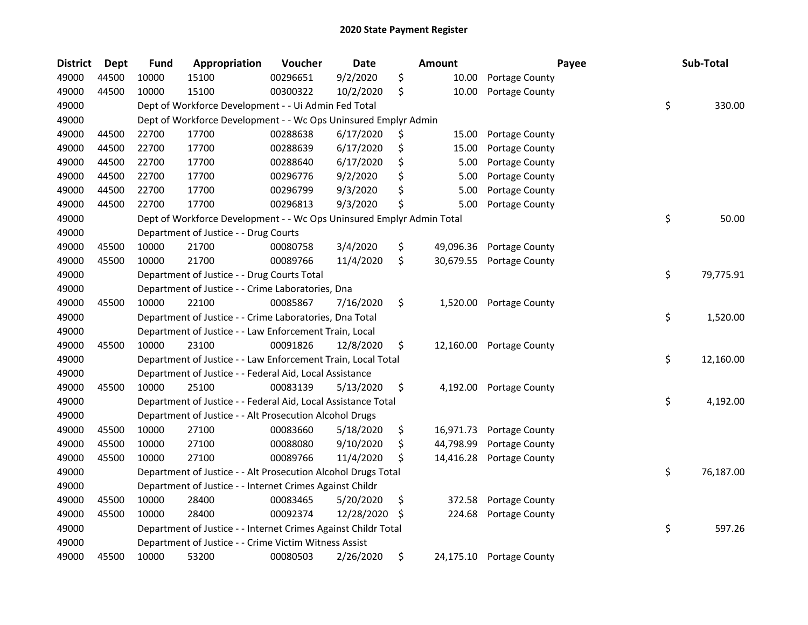| <b>District</b> | Dept  | <b>Fund</b> | Appropriation                                                         | Voucher  | <b>Date</b> |    | <b>Amount</b> |                | Payee | Sub-Total       |
|-----------------|-------|-------------|-----------------------------------------------------------------------|----------|-------------|----|---------------|----------------|-------|-----------------|
| 49000           | 44500 | 10000       | 15100                                                                 | 00296651 | 9/2/2020    | \$ | 10.00         | Portage County |       |                 |
| 49000           | 44500 | 10000       | 15100                                                                 | 00300322 | 10/2/2020   | \$ | 10.00         | Portage County |       |                 |
| 49000           |       |             | Dept of Workforce Development - - Ui Admin Fed Total                  |          |             |    |               |                |       | \$<br>330.00    |
| 49000           |       |             | Dept of Workforce Development - - Wc Ops Uninsured Emplyr Admin       |          |             |    |               |                |       |                 |
| 49000           | 44500 | 22700       | 17700                                                                 | 00288638 | 6/17/2020   | \$ | 15.00         | Portage County |       |                 |
| 49000           | 44500 | 22700       | 17700                                                                 | 00288639 | 6/17/2020   | \$ | 15.00         | Portage County |       |                 |
| 49000           | 44500 | 22700       | 17700                                                                 | 00288640 | 6/17/2020   | \$ | 5.00          | Portage County |       |                 |
| 49000           | 44500 | 22700       | 17700                                                                 | 00296776 | 9/2/2020    | \$ | 5.00          | Portage County |       |                 |
| 49000           | 44500 | 22700       | 17700                                                                 | 00296799 | 9/3/2020    | \$ | 5.00          | Portage County |       |                 |
| 49000           | 44500 | 22700       | 17700                                                                 | 00296813 | 9/3/2020    | \$ | 5.00          | Portage County |       |                 |
| 49000           |       |             | Dept of Workforce Development - - Wc Ops Uninsured Emplyr Admin Total |          |             |    |               |                |       | \$<br>50.00     |
| 49000           |       |             | Department of Justice - - Drug Courts                                 |          |             |    |               |                |       |                 |
| 49000           | 45500 | 10000       | 21700                                                                 | 00080758 | 3/4/2020    | \$ | 49,096.36     | Portage County |       |                 |
| 49000           | 45500 | 10000       | 21700                                                                 | 00089766 | 11/4/2020   | \$ | 30,679.55     | Portage County |       |                 |
| 49000           |       |             | Department of Justice - - Drug Courts Total                           |          |             |    |               |                |       | \$<br>79,775.91 |
| 49000           |       |             | Department of Justice - - Crime Laboratories, Dna                     |          |             |    |               |                |       |                 |
| 49000           | 45500 | 10000       | 22100                                                                 | 00085867 | 7/16/2020   | \$ | 1,520.00      | Portage County |       |                 |
| 49000           |       |             | Department of Justice - - Crime Laboratories, Dna Total               |          |             |    |               |                |       | \$<br>1,520.00  |
| 49000           |       |             | Department of Justice - - Law Enforcement Train, Local                |          |             |    |               |                |       |                 |
| 49000           | 45500 | 10000       | 23100                                                                 | 00091826 | 12/8/2020   | \$ | 12,160.00     | Portage County |       |                 |
| 49000           |       |             | Department of Justice - - Law Enforcement Train, Local Total          |          |             |    |               |                |       | \$<br>12,160.00 |
| 49000           |       |             | Department of Justice - - Federal Aid, Local Assistance               |          |             |    |               |                |       |                 |
| 49000           | 45500 | 10000       | 25100                                                                 | 00083139 | 5/13/2020   | \$ | 4,192.00      | Portage County |       |                 |
| 49000           |       |             | Department of Justice - - Federal Aid, Local Assistance Total         |          |             |    |               |                |       | \$<br>4,192.00  |
| 49000           |       |             | Department of Justice - - Alt Prosecution Alcohol Drugs               |          |             |    |               |                |       |                 |
| 49000           | 45500 | 10000       | 27100                                                                 | 00083660 | 5/18/2020   | \$ | 16,971.73     | Portage County |       |                 |
| 49000           | 45500 | 10000       | 27100                                                                 | 00088080 | 9/10/2020   | \$ | 44,798.99     | Portage County |       |                 |
| 49000           | 45500 | 10000       | 27100                                                                 | 00089766 | 11/4/2020   | \$ | 14,416.28     | Portage County |       |                 |
| 49000           |       |             | Department of Justice - - Alt Prosecution Alcohol Drugs Total         |          |             |    |               |                |       | \$<br>76,187.00 |
| 49000           |       |             | Department of Justice - - Internet Crimes Against Childr              |          |             |    |               |                |       |                 |
| 49000           | 45500 | 10000       | 28400                                                                 | 00083465 | 5/20/2020   | \$ | 372.58        | Portage County |       |                 |
| 49000           | 45500 | 10000       | 28400                                                                 | 00092374 | 12/28/2020  | S  | 224.68        | Portage County |       |                 |
| 49000           |       |             | Department of Justice - - Internet Crimes Against Childr Total        |          |             |    |               |                |       | \$<br>597.26    |
| 49000           |       |             | Department of Justice - - Crime Victim Witness Assist                 |          |             |    |               |                |       |                 |
| 49000           | 45500 | 10000       | 53200                                                                 | 00080503 | 2/26/2020   | \$ | 24,175.10     | Portage County |       |                 |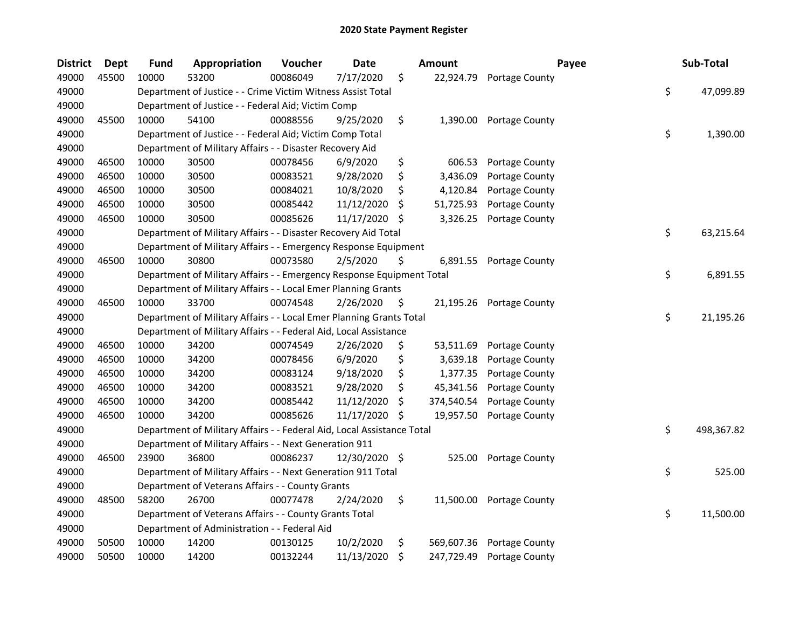| <b>District</b> | <b>Dept</b> | <b>Fund</b> | Appropriation                                                          | Voucher  | <b>Date</b>   |     | Amount     | Payee                 | Sub-Total        |
|-----------------|-------------|-------------|------------------------------------------------------------------------|----------|---------------|-----|------------|-----------------------|------------------|
| 49000           | 45500       | 10000       | 53200                                                                  | 00086049 | 7/17/2020     | \$  | 22,924.79  | Portage County        |                  |
| 49000           |             |             | Department of Justice - - Crime Victim Witness Assist Total            |          |               |     |            |                       | \$<br>47,099.89  |
| 49000           |             |             | Department of Justice - - Federal Aid; Victim Comp                     |          |               |     |            |                       |                  |
| 49000           | 45500       | 10000       | 54100                                                                  | 00088556 | 9/25/2020     | \$  | 1,390.00   | Portage County        |                  |
| 49000           |             |             | Department of Justice - - Federal Aid; Victim Comp Total               |          |               |     |            |                       | \$<br>1,390.00   |
| 49000           |             |             | Department of Military Affairs - - Disaster Recovery Aid               |          |               |     |            |                       |                  |
| 49000           | 46500       | 10000       | 30500                                                                  | 00078456 | 6/9/2020      | \$  | 606.53     | Portage County        |                  |
| 49000           | 46500       | 10000       | 30500                                                                  | 00083521 | 9/28/2020     | \$  | 3,436.09   | Portage County        |                  |
| 49000           | 46500       | 10000       | 30500                                                                  | 00084021 | 10/8/2020     | \$  | 4,120.84   | Portage County        |                  |
| 49000           | 46500       | 10000       | 30500                                                                  | 00085442 | 11/12/2020    | \$. | 51,725.93  | Portage County        |                  |
| 49000           | 46500       | 10000       | 30500                                                                  | 00085626 | 11/17/2020    | S   | 3,326.25   | Portage County        |                  |
| 49000           |             |             | Department of Military Affairs - - Disaster Recovery Aid Total         |          |               |     |            |                       | \$<br>63,215.64  |
| 49000           |             |             | Department of Military Affairs - - Emergency Response Equipment        |          |               |     |            |                       |                  |
| 49000           | 46500       | 10000       | 30800                                                                  | 00073580 | 2/5/2020      | \$  | 6,891.55   | Portage County        |                  |
| 49000           |             |             | Department of Military Affairs - - Emergency Response Equipment Total  |          |               |     |            |                       | \$<br>6,891.55   |
| 49000           |             |             | Department of Military Affairs - - Local Emer Planning Grants          |          |               |     |            |                       |                  |
| 49000           | 46500       | 10000       | 33700                                                                  | 00074548 | 2/26/2020     | S   | 21,195.26  | <b>Portage County</b> |                  |
| 49000           |             |             | Department of Military Affairs - - Local Emer Planning Grants Total    |          |               |     |            |                       | \$<br>21,195.26  |
| 49000           |             |             | Department of Military Affairs - - Federal Aid, Local Assistance       |          |               |     |            |                       |                  |
| 49000           | 46500       | 10000       | 34200                                                                  | 00074549 | 2/26/2020     | \$  | 53,511.69  | Portage County        |                  |
| 49000           | 46500       | 10000       | 34200                                                                  | 00078456 | 6/9/2020      | \$  | 3,639.18   | Portage County        |                  |
| 49000           | 46500       | 10000       | 34200                                                                  | 00083124 | 9/18/2020     | \$  | 1,377.35   | Portage County        |                  |
| 49000           | 46500       | 10000       | 34200                                                                  | 00083521 | 9/28/2020     | \$  | 45,341.56  | Portage County        |                  |
| 49000           | 46500       | 10000       | 34200                                                                  | 00085442 | 11/12/2020    | \$  | 374,540.54 | Portage County        |                  |
| 49000           | 46500       | 10000       | 34200                                                                  | 00085626 | 11/17/2020    | \$  | 19,957.50  | Portage County        |                  |
| 49000           |             |             | Department of Military Affairs - - Federal Aid, Local Assistance Total |          |               |     |            |                       | \$<br>498,367.82 |
| 49000           |             |             | Department of Military Affairs - - Next Generation 911                 |          |               |     |            |                       |                  |
| 49000           | 46500       | 23900       | 36800                                                                  | 00086237 | 12/30/2020 \$ |     | 525.00     | Portage County        |                  |
| 49000           |             |             | Department of Military Affairs - - Next Generation 911 Total           |          |               |     |            |                       | \$<br>525.00     |
| 49000           |             |             | Department of Veterans Affairs - - County Grants                       |          |               |     |            |                       |                  |
| 49000           | 48500       | 58200       | 26700                                                                  | 00077478 | 2/24/2020     | \$  | 11,500.00  | Portage County        |                  |
| 49000           |             |             | Department of Veterans Affairs - - County Grants Total                 |          |               |     |            |                       | \$<br>11,500.00  |
| 49000           |             |             | Department of Administration - - Federal Aid                           |          |               |     |            |                       |                  |
| 49000           | 50500       | 10000       | 14200                                                                  | 00130125 | 10/2/2020     | \$  | 569,607.36 | Portage County        |                  |
| 49000           | 50500       | 10000       | 14200                                                                  | 00132244 | 11/13/2020    | \$  | 247,729.49 | Portage County        |                  |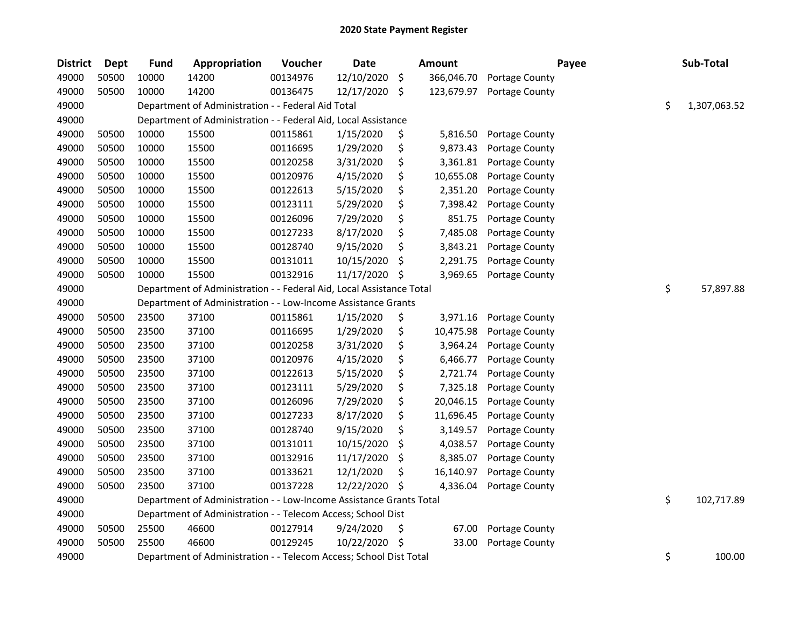| <b>District</b> | <b>Dept</b> | <b>Fund</b> | Appropriation                                                        | Voucher  | <b>Date</b> | <b>Amount</b>    |                | Payee | Sub-Total    |
|-----------------|-------------|-------------|----------------------------------------------------------------------|----------|-------------|------------------|----------------|-------|--------------|
| 49000           | 50500       | 10000       | 14200                                                                | 00134976 | 12/10/2020  | \$<br>366,046.70 | Portage County |       |              |
| 49000           | 50500       | 10000       | 14200                                                                | 00136475 | 12/17/2020  | \$<br>123,679.97 | Portage County |       |              |
| 49000           |             |             | Department of Administration - - Federal Aid Total                   |          |             |                  |                | \$    | 1,307,063.52 |
| 49000           |             |             | Department of Administration - - Federal Aid, Local Assistance       |          |             |                  |                |       |              |
| 49000           | 50500       | 10000       | 15500                                                                | 00115861 | 1/15/2020   | \$<br>5,816.50   | Portage County |       |              |
| 49000           | 50500       | 10000       | 15500                                                                | 00116695 | 1/29/2020   | \$<br>9,873.43   | Portage County |       |              |
| 49000           | 50500       | 10000       | 15500                                                                | 00120258 | 3/31/2020   | \$<br>3,361.81   | Portage County |       |              |
| 49000           | 50500       | 10000       | 15500                                                                | 00120976 | 4/15/2020   | \$<br>10,655.08  | Portage County |       |              |
| 49000           | 50500       | 10000       | 15500                                                                | 00122613 | 5/15/2020   | \$<br>2,351.20   | Portage County |       |              |
| 49000           | 50500       | 10000       | 15500                                                                | 00123111 | 5/29/2020   | \$<br>7,398.42   | Portage County |       |              |
| 49000           | 50500       | 10000       | 15500                                                                | 00126096 | 7/29/2020   | \$<br>851.75     | Portage County |       |              |
| 49000           | 50500       | 10000       | 15500                                                                | 00127233 | 8/17/2020   | \$<br>7,485.08   | Portage County |       |              |
| 49000           | 50500       | 10000       | 15500                                                                | 00128740 | 9/15/2020   | \$<br>3,843.21   | Portage County |       |              |
| 49000           | 50500       | 10000       | 15500                                                                | 00131011 | 10/15/2020  | \$<br>2,291.75   | Portage County |       |              |
| 49000           | 50500       | 10000       | 15500                                                                | 00132916 | 11/17/2020  | \$<br>3,969.65   | Portage County |       |              |
| 49000           |             |             | Department of Administration - - Federal Aid, Local Assistance Total |          |             |                  |                | \$    | 57,897.88    |
| 49000           |             |             | Department of Administration - - Low-Income Assistance Grants        |          |             |                  |                |       |              |
| 49000           | 50500       | 23500       | 37100                                                                | 00115861 | 1/15/2020   | \$<br>3,971.16   | Portage County |       |              |
| 49000           | 50500       | 23500       | 37100                                                                | 00116695 | 1/29/2020   | \$<br>10,475.98  | Portage County |       |              |
| 49000           | 50500       | 23500       | 37100                                                                | 00120258 | 3/31/2020   | \$<br>3,964.24   | Portage County |       |              |
| 49000           | 50500       | 23500       | 37100                                                                | 00120976 | 4/15/2020   | \$<br>6,466.77   | Portage County |       |              |
| 49000           | 50500       | 23500       | 37100                                                                | 00122613 | 5/15/2020   | \$<br>2,721.74   | Portage County |       |              |
| 49000           | 50500       | 23500       | 37100                                                                | 00123111 | 5/29/2020   | \$<br>7,325.18   | Portage County |       |              |
| 49000           | 50500       | 23500       | 37100                                                                | 00126096 | 7/29/2020   | \$<br>20,046.15  | Portage County |       |              |
| 49000           | 50500       | 23500       | 37100                                                                | 00127233 | 8/17/2020   | \$<br>11,696.45  | Portage County |       |              |
| 49000           | 50500       | 23500       | 37100                                                                | 00128740 | 9/15/2020   | \$<br>3,149.57   | Portage County |       |              |
| 49000           | 50500       | 23500       | 37100                                                                | 00131011 | 10/15/2020  | \$<br>4,038.57   | Portage County |       |              |
| 49000           | 50500       | 23500       | 37100                                                                | 00132916 | 11/17/2020  | \$<br>8,385.07   | Portage County |       |              |
| 49000           | 50500       | 23500       | 37100                                                                | 00133621 | 12/1/2020   | \$<br>16,140.97  | Portage County |       |              |
| 49000           | 50500       | 23500       | 37100                                                                | 00137228 | 12/22/2020  | \$<br>4,336.04   | Portage County |       |              |
| 49000           |             |             | Department of Administration - - Low-Income Assistance Grants Total  |          |             |                  |                | \$    | 102,717.89   |
| 49000           |             |             | Department of Administration - - Telecom Access; School Dist         |          |             |                  |                |       |              |
| 49000           | 50500       | 25500       | 46600                                                                | 00127914 | 9/24/2020   | \$<br>67.00      | Portage County |       |              |
| 49000           | 50500       | 25500       | 46600                                                                | 00129245 | 10/22/2020  | \$<br>33.00      | Portage County |       |              |
| 49000           |             |             | Department of Administration - - Telecom Access; School Dist Total   |          |             |                  |                | \$    | 100.00       |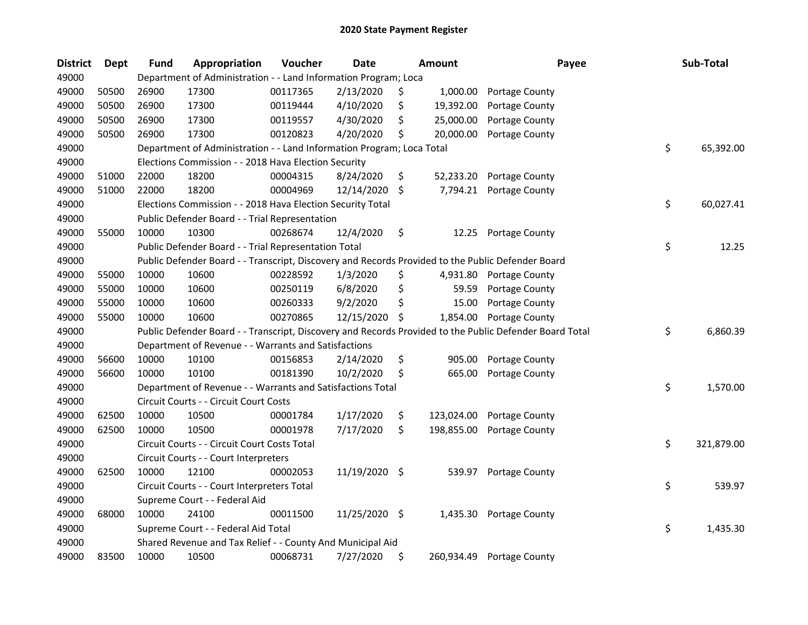| <b>District</b> | <b>Dept</b> | <b>Fund</b> | Appropriation                                                                                     | Voucher  | <b>Date</b>   |    | Amount     | Payee                                                                                                   | Sub-Total        |
|-----------------|-------------|-------------|---------------------------------------------------------------------------------------------------|----------|---------------|----|------------|---------------------------------------------------------------------------------------------------------|------------------|
| 49000           |             |             | Department of Administration - - Land Information Program; Loca                                   |          |               |    |            |                                                                                                         |                  |
| 49000           | 50500       | 26900       | 17300                                                                                             | 00117365 | 2/13/2020     | Ş  | 1,000.00   | Portage County                                                                                          |                  |
| 49000           | 50500       | 26900       | 17300                                                                                             | 00119444 | 4/10/2020     | \$ | 19,392.00  | Portage County                                                                                          |                  |
| 49000           | 50500       | 26900       | 17300                                                                                             | 00119557 | 4/30/2020     | \$ | 25,000.00  | Portage County                                                                                          |                  |
| 49000           | 50500       | 26900       | 17300                                                                                             | 00120823 | 4/20/2020     | \$ | 20,000.00  | Portage County                                                                                          |                  |
| 49000           |             |             | Department of Administration - - Land Information Program; Loca Total                             |          |               |    |            |                                                                                                         | \$<br>65,392.00  |
| 49000           |             |             | Elections Commission - - 2018 Hava Election Security                                              |          |               |    |            |                                                                                                         |                  |
| 49000           | 51000       | 22000       | 18200                                                                                             | 00004315 | 8/24/2020     | \$ | 52,233.20  | Portage County                                                                                          |                  |
| 49000           | 51000       | 22000       | 18200                                                                                             | 00004969 | 12/14/2020 \$ |    | 7,794.21   | Portage County                                                                                          |                  |
| 49000           |             |             | Elections Commission - - 2018 Hava Election Security Total                                        |          |               |    |            |                                                                                                         | \$<br>60,027.41  |
| 49000           |             |             | Public Defender Board - - Trial Representation                                                    |          |               |    |            |                                                                                                         |                  |
| 49000           | 55000       | 10000       | 10300                                                                                             | 00268674 | 12/4/2020     | \$ | 12.25      | Portage County                                                                                          |                  |
| 49000           |             |             | Public Defender Board - - Trial Representation Total                                              |          |               |    |            |                                                                                                         | \$<br>12.25      |
| 49000           |             |             | Public Defender Board - - Transcript, Discovery and Records Provided to the Public Defender Board |          |               |    |            |                                                                                                         |                  |
| 49000           | 55000       | 10000       | 10600                                                                                             | 00228592 | 1/3/2020      | \$ | 4,931.80   | Portage County                                                                                          |                  |
| 49000           | 55000       | 10000       | 10600                                                                                             | 00250119 | 6/8/2020      | \$ | 59.59      | Portage County                                                                                          |                  |
| 49000           | 55000       | 10000       | 10600                                                                                             | 00260333 | 9/2/2020      | \$ | 15.00      | Portage County                                                                                          |                  |
| 49000           | 55000       | 10000       | 10600                                                                                             | 00270865 | 12/15/2020    | \$ | 1,854.00   | Portage County                                                                                          |                  |
| 49000           |             |             |                                                                                                   |          |               |    |            | Public Defender Board - - Transcript, Discovery and Records Provided to the Public Defender Board Total | \$<br>6,860.39   |
| 49000           |             |             | Department of Revenue - - Warrants and Satisfactions                                              |          |               |    |            |                                                                                                         |                  |
| 49000           | 56600       | 10000       | 10100                                                                                             | 00156853 | 2/14/2020     | \$ | 905.00     | Portage County                                                                                          |                  |
| 49000           | 56600       | 10000       | 10100                                                                                             | 00181390 | 10/2/2020     | \$ | 665.00     | Portage County                                                                                          |                  |
| 49000           |             |             | Department of Revenue - - Warrants and Satisfactions Total                                        |          |               |    |            |                                                                                                         | \$<br>1,570.00   |
| 49000           |             |             | Circuit Courts - - Circuit Court Costs                                                            |          |               |    |            |                                                                                                         |                  |
| 49000           | 62500       | 10000       | 10500                                                                                             | 00001784 | 1/17/2020     | \$ | 123,024.00 | Portage County                                                                                          |                  |
| 49000           | 62500       | 10000       | 10500                                                                                             | 00001978 | 7/17/2020     | \$ | 198,855.00 | Portage County                                                                                          |                  |
| 49000           |             |             | Circuit Courts - - Circuit Court Costs Total                                                      |          |               |    |            |                                                                                                         | \$<br>321,879.00 |
| 49000           |             |             | Circuit Courts - - Court Interpreters                                                             |          |               |    |            |                                                                                                         |                  |
| 49000           | 62500       | 10000       | 12100                                                                                             | 00002053 | 11/19/2020 \$ |    | 539.97     | Portage County                                                                                          |                  |
| 49000           |             |             | Circuit Courts - - Court Interpreters Total                                                       |          |               |    |            |                                                                                                         | \$<br>539.97     |
| 49000           |             |             | Supreme Court - - Federal Aid                                                                     |          |               |    |            |                                                                                                         |                  |
| 49000           | 68000       | 10000       | 24100                                                                                             | 00011500 | 11/25/2020 \$ |    | 1,435.30   | Portage County                                                                                          |                  |
| 49000           |             |             | Supreme Court - - Federal Aid Total                                                               |          |               |    |            |                                                                                                         | \$<br>1,435.30   |
| 49000           |             |             | Shared Revenue and Tax Relief - - County And Municipal Aid                                        |          |               |    |            |                                                                                                         |                  |
| 49000           | 83500       | 10000       | 10500                                                                                             | 00068731 | 7/27/2020     | \$ | 260,934.49 | Portage County                                                                                          |                  |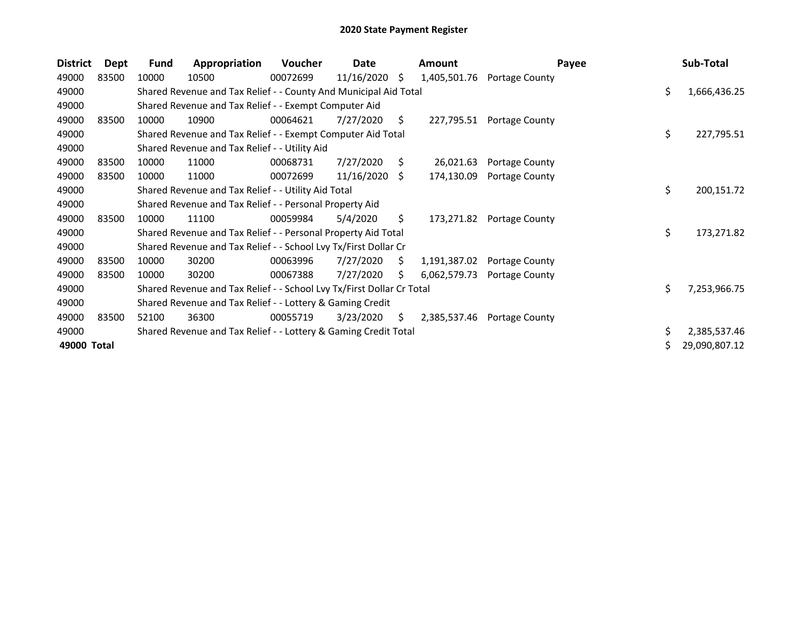| <b>District</b> | Dept  | <b>Fund</b> | Appropriation                                                         | <b>Voucher</b> | Date       |    | Amount       | Payee          |     | Sub-Total     |
|-----------------|-------|-------------|-----------------------------------------------------------------------|----------------|------------|----|--------------|----------------|-----|---------------|
| 49000           | 83500 | 10000       | 10500                                                                 | 00072699       | 11/16/2020 | \$ | 1,405,501.76 | Portage County |     |               |
| 49000           |       |             | Shared Revenue and Tax Relief - - County And Municipal Aid Total      |                |            |    |              |                | Ś.  | 1,666,436.25  |
| 49000           |       |             | Shared Revenue and Tax Relief - - Exempt Computer Aid                 |                |            |    |              |                |     |               |
| 49000           | 83500 | 10000       | 10900                                                                 | 00064621       | 7/27/2020  | S. | 227,795.51   | Portage County |     |               |
| 49000           |       |             | Shared Revenue and Tax Relief - - Exempt Computer Aid Total           |                |            |    |              |                | \$. | 227,795.51    |
| 49000           |       |             | Shared Revenue and Tax Relief - - Utility Aid                         |                |            |    |              |                |     |               |
| 49000           | 83500 | 10000       | 11000                                                                 | 00068731       | 7/27/2020  | S. | 26,021.63    | Portage County |     |               |
| 49000           | 83500 | 10000       | 11000                                                                 | 00072699       | 11/16/2020 | -S | 174,130.09   | Portage County |     |               |
| 49000           |       |             | Shared Revenue and Tax Relief - - Utility Aid Total                   |                |            |    |              |                | \$  | 200,151.72    |
| 49000           |       |             | Shared Revenue and Tax Relief - - Personal Property Aid               |                |            |    |              |                |     |               |
| 49000           | 83500 | 10000       | 11100                                                                 | 00059984       | 5/4/2020   | S. | 173,271.82   | Portage County |     |               |
| 49000           |       |             | Shared Revenue and Tax Relief - - Personal Property Aid Total         |                |            |    |              |                | \$  | 173,271.82    |
| 49000           |       |             | Shared Revenue and Tax Relief - - School Lvy Tx/First Dollar Cr       |                |            |    |              |                |     |               |
| 49000           | 83500 | 10000       | 30200                                                                 | 00063996       | 7/27/2020  | S. | 1,191,387.02 | Portage County |     |               |
| 49000           | 83500 | 10000       | 30200                                                                 | 00067388       | 7/27/2020  | S. | 6,062,579.73 | Portage County |     |               |
| 49000           |       |             | Shared Revenue and Tax Relief - - School Lvy Tx/First Dollar Cr Total |                |            |    |              |                | Ś.  | 7,253,966.75  |
| 49000           |       |             | Shared Revenue and Tax Relief - - Lottery & Gaming Credit             |                |            |    |              |                |     |               |
| 49000           | 83500 | 52100       | 36300                                                                 | 00055719       | 3/23/2020  | S. | 2,385,537.46 | Portage County |     |               |
| 49000           |       |             | Shared Revenue and Tax Relief - - Lottery & Gaming Credit Total       |                |            |    |              |                | \$. | 2,385,537.46  |
| 49000 Total     |       |             |                                                                       |                |            |    |              |                |     | 29,090,807.12 |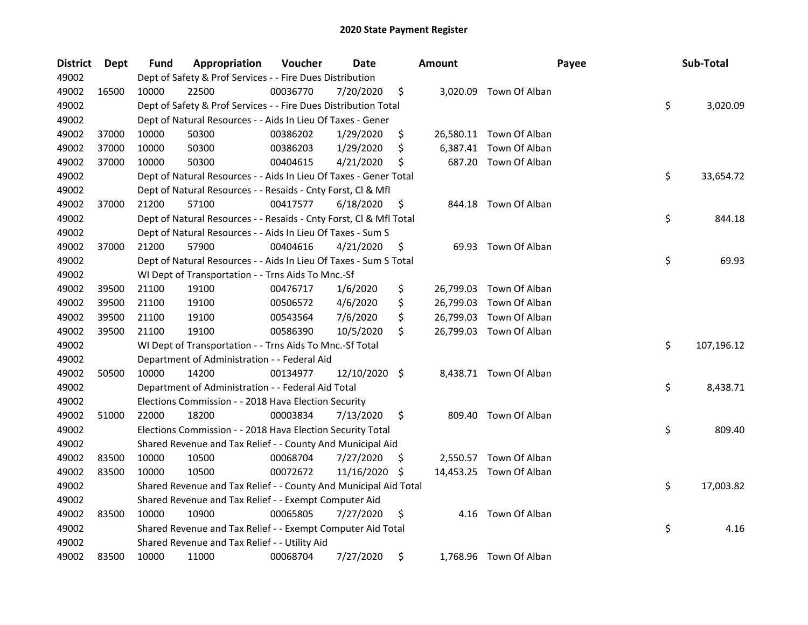| <b>District</b> | Dept  | Fund  | Appropriation                                                      | Voucher  | Date          |     | <b>Amount</b> | Payee                   | Sub-Total        |
|-----------------|-------|-------|--------------------------------------------------------------------|----------|---------------|-----|---------------|-------------------------|------------------|
| 49002           |       |       | Dept of Safety & Prof Services - - Fire Dues Distribution          |          |               |     |               |                         |                  |
| 49002           | 16500 | 10000 | 22500                                                              | 00036770 | 7/20/2020     | \$  |               | 3,020.09 Town Of Alban  |                  |
| 49002           |       |       | Dept of Safety & Prof Services - - Fire Dues Distribution Total    |          |               |     |               |                         | \$<br>3,020.09   |
| 49002           |       |       | Dept of Natural Resources - - Aids In Lieu Of Taxes - Gener        |          |               |     |               |                         |                  |
| 49002           | 37000 | 10000 | 50300                                                              | 00386202 | 1/29/2020     | \$  |               | 26,580.11 Town Of Alban |                  |
| 49002           | 37000 | 10000 | 50300                                                              | 00386203 | 1/29/2020     | \$  | 6,387.41      | Town Of Alban           |                  |
| 49002           | 37000 | 10000 | 50300                                                              | 00404615 | 4/21/2020     | \$  |               | 687.20 Town Of Alban    |                  |
| 49002           |       |       | Dept of Natural Resources - - Aids In Lieu Of Taxes - Gener Total  |          |               |     |               |                         | \$<br>33,654.72  |
| 49002           |       |       | Dept of Natural Resources - - Resaids - Cnty Forst, Cl & Mfl       |          |               |     |               |                         |                  |
| 49002           | 37000 | 21200 | 57100                                                              | 00417577 | 6/18/2020     | \$  |               | 844.18 Town Of Alban    |                  |
| 49002           |       |       | Dept of Natural Resources - - Resaids - Cnty Forst, Cl & Mfl Total |          |               |     |               |                         | \$<br>844.18     |
| 49002           |       |       | Dept of Natural Resources - - Aids In Lieu Of Taxes - Sum S        |          |               |     |               |                         |                  |
| 49002           | 37000 | 21200 | 57900                                                              | 00404616 | 4/21/2020     | \$, |               | 69.93 Town Of Alban     |                  |
| 49002           |       |       | Dept of Natural Resources - - Aids In Lieu Of Taxes - Sum S Total  |          |               |     |               |                         | \$<br>69.93      |
| 49002           |       |       | WI Dept of Transportation - - Trns Aids To Mnc.-Sf                 |          |               |     |               |                         |                  |
| 49002           | 39500 | 21100 | 19100                                                              | 00476717 | 1/6/2020      | \$  |               | 26,799.03 Town Of Alban |                  |
| 49002           | 39500 | 21100 | 19100                                                              | 00506572 | 4/6/2020      | \$  |               | 26,799.03 Town Of Alban |                  |
| 49002           | 39500 | 21100 | 19100                                                              | 00543564 | 7/6/2020      | \$  |               | 26,799.03 Town Of Alban |                  |
| 49002           | 39500 | 21100 | 19100                                                              | 00586390 | 10/5/2020     | \$  |               | 26,799.03 Town Of Alban |                  |
| 49002           |       |       | WI Dept of Transportation - - Trns Aids To Mnc.-Sf Total           |          |               |     |               |                         | \$<br>107,196.12 |
| 49002           |       |       | Department of Administration - - Federal Aid                       |          |               |     |               |                         |                  |
| 49002           | 50500 | 10000 | 14200                                                              | 00134977 | 12/10/2020 \$ |     |               | 8,438.71 Town Of Alban  |                  |
| 49002           |       |       | Department of Administration - - Federal Aid Total                 |          |               |     |               |                         | \$<br>8,438.71   |
| 49002           |       |       | Elections Commission - - 2018 Hava Election Security               |          |               |     |               |                         |                  |
| 49002           | 51000 | 22000 | 18200                                                              | 00003834 | 7/13/2020     | \$  |               | 809.40 Town Of Alban    |                  |
| 49002           |       |       | Elections Commission - - 2018 Hava Election Security Total         |          |               |     |               |                         | \$<br>809.40     |
| 49002           |       |       | Shared Revenue and Tax Relief - - County And Municipal Aid         |          |               |     |               |                         |                  |
| 49002           | 83500 | 10000 | 10500                                                              | 00068704 | 7/27/2020     | \$, |               | 2,550.57 Town Of Alban  |                  |
| 49002           | 83500 | 10000 | 10500                                                              | 00072672 | 11/16/2020    | \$, |               | 14,453.25 Town Of Alban |                  |
| 49002           |       |       | Shared Revenue and Tax Relief - - County And Municipal Aid Total   |          |               |     |               |                         | \$<br>17,003.82  |
| 49002           |       |       | Shared Revenue and Tax Relief - - Exempt Computer Aid              |          |               |     |               |                         |                  |
| 49002           | 83500 | 10000 | 10900                                                              | 00065805 | 7/27/2020     | \$  | 4.16          | Town Of Alban           |                  |
| 49002           |       |       | Shared Revenue and Tax Relief - - Exempt Computer Aid Total        |          |               |     |               |                         | \$<br>4.16       |
| 49002           |       |       | Shared Revenue and Tax Relief - - Utility Aid                      |          |               |     |               |                         |                  |
| 49002           | 83500 | 10000 | 11000                                                              | 00068704 | 7/27/2020     | \$  |               | 1,768.96 Town Of Alban  |                  |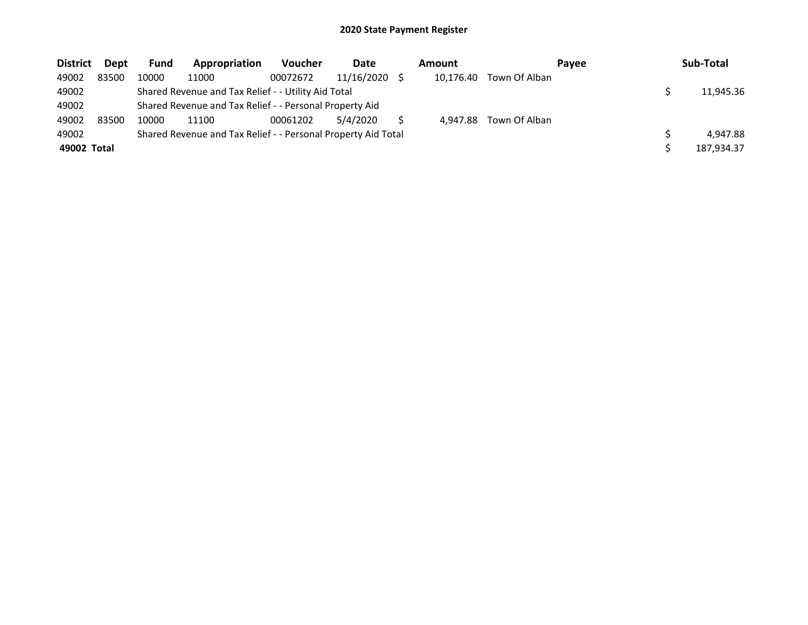| <b>District</b> | Dept  | <b>Fund</b> | Appropriation                                                 | <b>Voucher</b> | Date       | Amount    |               | Pavee | Sub-Total  |
|-----------------|-------|-------------|---------------------------------------------------------------|----------------|------------|-----------|---------------|-------|------------|
| 49002           | 83500 | 10000       | 11000                                                         | 00072672       | 11/16/2020 | 10,176.40 | Town Of Alban |       |            |
| 49002           |       |             | Shared Revenue and Tax Relief - - Utility Aid Total           |                |            |           |               |       | 11,945.36  |
| 49002           |       |             | Shared Revenue and Tax Relief - - Personal Property Aid       |                |            |           |               |       |            |
| 49002           | 83500 | 10000       | 11100                                                         | 00061202       | 5/4/2020   | 4.947.88  | Town Of Alban |       |            |
| 49002           |       |             | Shared Revenue and Tax Relief - - Personal Property Aid Total |                |            |           |               |       | 4.947.88   |
| 49002 Total     |       |             |                                                               |                |            |           |               |       | 187,934.37 |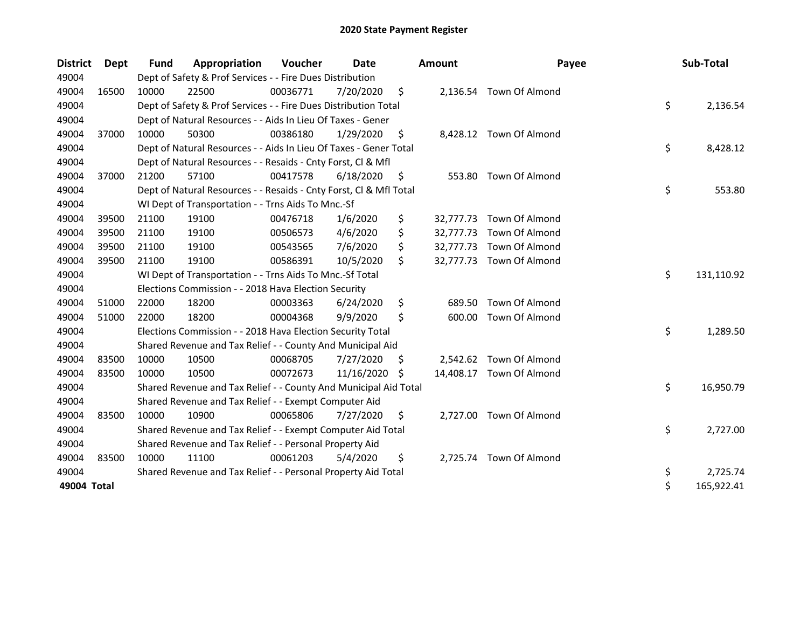| <b>District</b> | <b>Dept</b> | <b>Fund</b> | Appropriation                                                      | Voucher  | Date       |     | <b>Amount</b> | Payee                    | Sub-Total        |
|-----------------|-------------|-------------|--------------------------------------------------------------------|----------|------------|-----|---------------|--------------------------|------------------|
| 49004           |             |             | Dept of Safety & Prof Services - - Fire Dues Distribution          |          |            |     |               |                          |                  |
| 49004           | 16500       | 10000       | 22500                                                              | 00036771 | 7/20/2020  | \$  |               | 2,136.54 Town Of Almond  |                  |
| 49004           |             |             | Dept of Safety & Prof Services - - Fire Dues Distribution Total    |          |            |     |               |                          | \$<br>2,136.54   |
| 49004           |             |             | Dept of Natural Resources - - Aids In Lieu Of Taxes - Gener        |          |            |     |               |                          |                  |
| 49004           | 37000       | 10000       | 50300                                                              | 00386180 | 1/29/2020  | \$  |               | 8,428.12 Town Of Almond  |                  |
| 49004           |             |             | Dept of Natural Resources - - Aids In Lieu Of Taxes - Gener Total  |          |            |     |               |                          | \$<br>8,428.12   |
| 49004           |             |             | Dept of Natural Resources - - Resaids - Cnty Forst, Cl & Mfl       |          |            |     |               |                          |                  |
| 49004           | 37000       | 21200       | 57100                                                              | 00417578 | 6/18/2020  | \$, | 553.80        | Town Of Almond           |                  |
| 49004           |             |             | Dept of Natural Resources - - Resaids - Cnty Forst, Cl & Mfl Total |          |            |     |               |                          | \$<br>553.80     |
| 49004           |             |             | WI Dept of Transportation - - Trns Aids To Mnc.-Sf                 |          |            |     |               |                          |                  |
| 49004           | 39500       | 21100       | 19100                                                              | 00476718 | 1/6/2020   | \$  |               | 32,777.73 Town Of Almond |                  |
| 49004           | 39500       | 21100       | 19100                                                              | 00506573 | 4/6/2020   | \$  | 32,777.73     | Town Of Almond           |                  |
| 49004           | 39500       | 21100       | 19100                                                              | 00543565 | 7/6/2020   | \$  |               | 32,777.73 Town Of Almond |                  |
| 49004           | 39500       | 21100       | 19100                                                              | 00586391 | 10/5/2020  | \$  |               | 32,777.73 Town Of Almond |                  |
| 49004           |             |             | WI Dept of Transportation - - Trns Aids To Mnc.-Sf Total           |          |            |     |               |                          | \$<br>131,110.92 |
| 49004           |             |             | Elections Commission - - 2018 Hava Election Security               |          |            |     |               |                          |                  |
| 49004           | 51000       | 22000       | 18200                                                              | 00003363 | 6/24/2020  | \$  | 689.50        | <b>Town Of Almond</b>    |                  |
| 49004           | 51000       | 22000       | 18200                                                              | 00004368 | 9/9/2020   | \$  | 600.00        | Town Of Almond           |                  |
| 49004           |             |             | Elections Commission - - 2018 Hava Election Security Total         |          |            |     |               |                          | \$<br>1,289.50   |
| 49004           |             |             | Shared Revenue and Tax Relief - - County And Municipal Aid         |          |            |     |               |                          |                  |
| 49004           | 83500       | 10000       | 10500                                                              | 00068705 | 7/27/2020  | \$  |               | 2,542.62 Town Of Almond  |                  |
| 49004           | 83500       | 10000       | 10500                                                              | 00072673 | 11/16/2020 | \$  | 14,408.17     | Town Of Almond           |                  |
| 49004           |             |             | Shared Revenue and Tax Relief - - County And Municipal Aid Total   |          |            |     |               |                          | \$<br>16,950.79  |
| 49004           |             |             | Shared Revenue and Tax Relief - - Exempt Computer Aid              |          |            |     |               |                          |                  |
| 49004           | 83500       | 10000       | 10900                                                              | 00065806 | 7/27/2020  | \$  |               | 2,727.00 Town Of Almond  |                  |
| 49004           |             |             | Shared Revenue and Tax Relief - - Exempt Computer Aid Total        |          |            |     |               |                          | \$<br>2,727.00   |
| 49004           |             |             | Shared Revenue and Tax Relief - - Personal Property Aid            |          |            |     |               |                          |                  |
| 49004           | 83500       | 10000       | 11100                                                              | 00061203 | 5/4/2020   | \$  |               | 2,725.74 Town Of Almond  |                  |
| 49004           |             |             | Shared Revenue and Tax Relief - - Personal Property Aid Total      |          |            |     |               |                          | \$<br>2,725.74   |
| 49004 Total     |             |             |                                                                    |          |            |     |               |                          | \$<br>165,922.41 |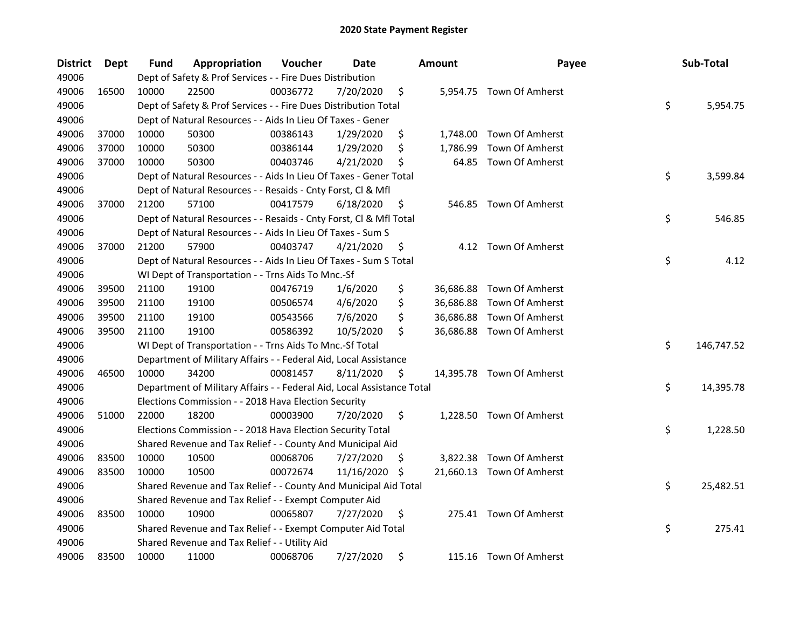| <b>District</b> | <b>Dept</b> | Fund  | Appropriation                                                          | Voucher  | Date       |     | <b>Amount</b> | Payee                     | Sub-Total        |
|-----------------|-------------|-------|------------------------------------------------------------------------|----------|------------|-----|---------------|---------------------------|------------------|
| 49006           |             |       | Dept of Safety & Prof Services - - Fire Dues Distribution              |          |            |     |               |                           |                  |
| 49006           | 16500       | 10000 | 22500                                                                  | 00036772 | 7/20/2020  | \$  |               | 5,954.75 Town Of Amherst  |                  |
| 49006           |             |       | Dept of Safety & Prof Services - - Fire Dues Distribution Total        |          |            |     |               |                           | \$<br>5,954.75   |
| 49006           |             |       | Dept of Natural Resources - - Aids In Lieu Of Taxes - Gener            |          |            |     |               |                           |                  |
| 49006           | 37000       | 10000 | 50300                                                                  | 00386143 | 1/29/2020  | \$  |               | 1,748.00 Town Of Amherst  |                  |
| 49006           | 37000       | 10000 | 50300                                                                  | 00386144 | 1/29/2020  | \$  | 1,786.99      | Town Of Amherst           |                  |
| 49006           | 37000       | 10000 | 50300                                                                  | 00403746 | 4/21/2020  | \$  | 64.85         | Town Of Amherst           |                  |
| 49006           |             |       | Dept of Natural Resources - - Aids In Lieu Of Taxes - Gener Total      |          |            |     |               |                           | \$<br>3,599.84   |
| 49006           |             |       | Dept of Natural Resources - - Resaids - Cnty Forst, Cl & Mfl           |          |            |     |               |                           |                  |
| 49006           | 37000       | 21200 | 57100                                                                  | 00417579 | 6/18/2020  | \$  |               | 546.85 Town Of Amherst    |                  |
| 49006           |             |       | Dept of Natural Resources - - Resaids - Cnty Forst, Cl & Mfl Total     |          |            |     |               |                           | \$<br>546.85     |
| 49006           |             |       | Dept of Natural Resources - - Aids In Lieu Of Taxes - Sum S            |          |            |     |               |                           |                  |
| 49006           | 37000       | 21200 | 57900                                                                  | 00403747 | 4/21/2020  | \$  |               | 4.12 Town Of Amherst      |                  |
| 49006           |             |       | Dept of Natural Resources - - Aids In Lieu Of Taxes - Sum S Total      |          |            |     |               |                           | \$<br>4.12       |
| 49006           |             |       | WI Dept of Transportation - - Trns Aids To Mnc.-Sf                     |          |            |     |               |                           |                  |
| 49006           | 39500       | 21100 | 19100                                                                  | 00476719 | 1/6/2020   | \$  | 36,686.88     | Town Of Amherst           |                  |
| 49006           | 39500       | 21100 | 19100                                                                  | 00506574 | 4/6/2020   | \$  | 36,686.88     | Town Of Amherst           |                  |
| 49006           | 39500       | 21100 | 19100                                                                  | 00543566 | 7/6/2020   | \$  | 36,686.88     | Town Of Amherst           |                  |
| 49006           | 39500       | 21100 | 19100                                                                  | 00586392 | 10/5/2020  | \$  |               | 36,686.88 Town Of Amherst |                  |
| 49006           |             |       | WI Dept of Transportation - - Trns Aids To Mnc.-Sf Total               |          |            |     |               |                           | \$<br>146,747.52 |
| 49006           |             |       | Department of Military Affairs - - Federal Aid, Local Assistance       |          |            |     |               |                           |                  |
| 49006           | 46500       | 10000 | 34200                                                                  | 00081457 | 8/11/2020  | \$  |               | 14,395.78 Town Of Amherst |                  |
| 49006           |             |       | Department of Military Affairs - - Federal Aid, Local Assistance Total |          |            |     |               |                           | \$<br>14,395.78  |
| 49006           |             |       | Elections Commission - - 2018 Hava Election Security                   |          |            |     |               |                           |                  |
| 49006           | 51000       | 22000 | 18200                                                                  | 00003900 | 7/20/2020  | \$  |               | 1,228.50 Town Of Amherst  |                  |
| 49006           |             |       | Elections Commission - - 2018 Hava Election Security Total             |          |            |     |               |                           | \$<br>1,228.50   |
| 49006           |             |       | Shared Revenue and Tax Relief - - County And Municipal Aid             |          |            |     |               |                           |                  |
| 49006           | 83500       | 10000 | 10500                                                                  | 00068706 | 7/27/2020  | \$. |               | 3,822.38 Town Of Amherst  |                  |
| 49006           | 83500       | 10000 | 10500                                                                  | 00072674 | 11/16/2020 | S   |               | 21,660.13 Town Of Amherst |                  |
| 49006           |             |       | Shared Revenue and Tax Relief - - County And Municipal Aid Total       |          |            |     |               |                           | \$<br>25,482.51  |
| 49006           |             |       | Shared Revenue and Tax Relief - - Exempt Computer Aid                  |          |            |     |               |                           |                  |
| 49006           | 83500       | 10000 | 10900                                                                  | 00065807 | 7/27/2020  | \$  |               | 275.41 Town Of Amherst    |                  |
| 49006           |             |       | Shared Revenue and Tax Relief - - Exempt Computer Aid Total            |          |            |     |               |                           | \$<br>275.41     |
| 49006           |             |       | Shared Revenue and Tax Relief - - Utility Aid                          |          |            |     |               |                           |                  |
| 49006           | 83500       | 10000 | 11000                                                                  | 00068706 | 7/27/2020  | \$  |               | 115.16 Town Of Amherst    |                  |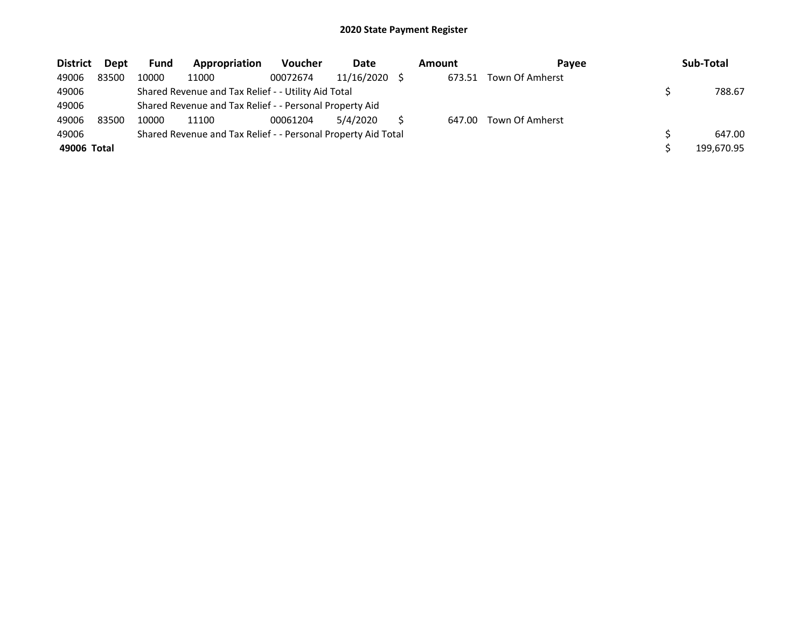| <b>District</b> | Dept  | <b>Fund</b> | Appropriation                                                 | <b>Voucher</b> | Date       | Amount | <b>Pavee</b>    | Sub-Total  |
|-----------------|-------|-------------|---------------------------------------------------------------|----------------|------------|--------|-----------------|------------|
| 49006           | 83500 | 10000       | 11000                                                         | 00072674       | 11/16/2020 | 673.51 | Town Of Amherst |            |
| 49006           |       |             | Shared Revenue and Tax Relief - - Utility Aid Total           |                |            |        |                 | 788.67     |
| 49006           |       |             | Shared Revenue and Tax Relief - - Personal Property Aid       |                |            |        |                 |            |
| 49006           | 83500 | 10000       | 11100                                                         | 00061204       | 5/4/2020   | 647.00 | Town Of Amherst |            |
| 49006           |       |             | Shared Revenue and Tax Relief - - Personal Property Aid Total |                |            |        |                 | 647.00     |
| 49006 Total     |       |             |                                                               |                |            |        |                 | 199,670.95 |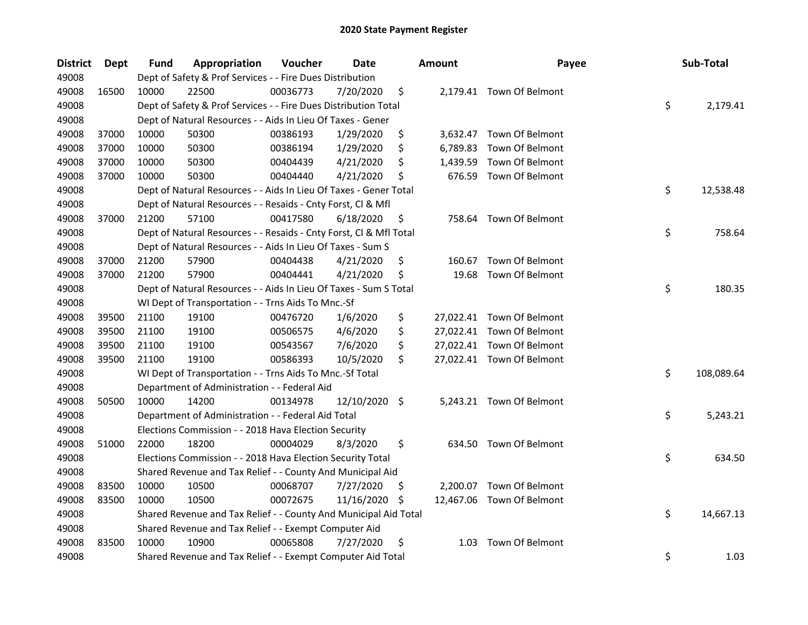| <b>District</b> | Dept  | <b>Fund</b> | Appropriation                                                      | Voucher  | <b>Date</b>   |     | <b>Amount</b> | Payee                     | Sub-Total        |
|-----------------|-------|-------------|--------------------------------------------------------------------|----------|---------------|-----|---------------|---------------------------|------------------|
| 49008           |       |             | Dept of Safety & Prof Services - - Fire Dues Distribution          |          |               |     |               |                           |                  |
| 49008           | 16500 | 10000       | 22500                                                              | 00036773 | 7/20/2020     | \$  |               | 2,179.41 Town Of Belmont  |                  |
| 49008           |       |             | Dept of Safety & Prof Services - - Fire Dues Distribution Total    |          |               |     |               |                           | \$<br>2,179.41   |
| 49008           |       |             | Dept of Natural Resources - - Aids In Lieu Of Taxes - Gener        |          |               |     |               |                           |                  |
| 49008           | 37000 | 10000       | 50300                                                              | 00386193 | 1/29/2020     | \$  |               | 3,632.47 Town Of Belmont  |                  |
| 49008           | 37000 | 10000       | 50300                                                              | 00386194 | 1/29/2020     | \$  | 6,789.83      | Town Of Belmont           |                  |
| 49008           | 37000 | 10000       | 50300                                                              | 00404439 | 4/21/2020     | \$  | 1,439.59      | Town Of Belmont           |                  |
| 49008           | 37000 | 10000       | 50300                                                              | 00404440 | 4/21/2020     | \$  |               | 676.59 Town Of Belmont    |                  |
| 49008           |       |             | Dept of Natural Resources - - Aids In Lieu Of Taxes - Gener Total  |          |               |     |               |                           | \$<br>12,538.48  |
| 49008           |       |             | Dept of Natural Resources - - Resaids - Cnty Forst, Cl & Mfl       |          |               |     |               |                           |                  |
| 49008           | 37000 | 21200       | 57100                                                              | 00417580 | 6/18/2020     | \$  |               | 758.64 Town Of Belmont    |                  |
| 49008           |       |             | Dept of Natural Resources - - Resaids - Cnty Forst, Cl & Mfl Total |          |               |     |               |                           | \$<br>758.64     |
| 49008           |       |             | Dept of Natural Resources - - Aids In Lieu Of Taxes - Sum S        |          |               |     |               |                           |                  |
| 49008           | 37000 | 21200       | 57900                                                              | 00404438 | 4/21/2020     | \$. | 160.67        | Town Of Belmont           |                  |
| 49008           | 37000 | 21200       | 57900                                                              | 00404441 | 4/21/2020     | \$  | 19.68         | Town Of Belmont           |                  |
| 49008           |       |             | Dept of Natural Resources - - Aids In Lieu Of Taxes - Sum S Total  |          |               |     |               |                           | \$<br>180.35     |
| 49008           |       |             | WI Dept of Transportation - - Trns Aids To Mnc.-Sf                 |          |               |     |               |                           |                  |
| 49008           | 39500 | 21100       | 19100                                                              | 00476720 | 1/6/2020      | \$  |               | 27,022.41 Town Of Belmont |                  |
| 49008           | 39500 | 21100       | 19100                                                              | 00506575 | 4/6/2020      | \$  |               | 27,022.41 Town Of Belmont |                  |
| 49008           | 39500 | 21100       | 19100                                                              | 00543567 | 7/6/2020      | \$  |               | 27,022.41 Town Of Belmont |                  |
| 49008           | 39500 | 21100       | 19100                                                              | 00586393 | 10/5/2020     | \$  |               | 27,022.41 Town Of Belmont |                  |
| 49008           |       |             | WI Dept of Transportation - - Trns Aids To Mnc.-Sf Total           |          |               |     |               |                           | \$<br>108,089.64 |
| 49008           |       |             | Department of Administration - - Federal Aid                       |          |               |     |               |                           |                  |
| 49008           | 50500 | 10000       | 14200                                                              | 00134978 | 12/10/2020 \$ |     |               | 5,243.21 Town Of Belmont  |                  |
| 49008           |       |             | Department of Administration - - Federal Aid Total                 |          |               |     |               |                           | \$<br>5,243.21   |
| 49008           |       |             | Elections Commission - - 2018 Hava Election Security               |          |               |     |               |                           |                  |
| 49008           | 51000 | 22000       | 18200                                                              | 00004029 | 8/3/2020      | \$  |               | 634.50 Town Of Belmont    |                  |
| 49008           |       |             | Elections Commission - - 2018 Hava Election Security Total         |          |               |     |               |                           | \$<br>634.50     |
| 49008           |       |             | Shared Revenue and Tax Relief - - County And Municipal Aid         |          |               |     |               |                           |                  |
| 49008           | 83500 | 10000       | 10500                                                              | 00068707 | 7/27/2020     | \$  |               | 2,200.07 Town Of Belmont  |                  |
| 49008           | 83500 | 10000       | 10500                                                              | 00072675 | 11/16/2020    | S   |               | 12,467.06 Town Of Belmont |                  |
| 49008           |       |             | Shared Revenue and Tax Relief - - County And Municipal Aid Total   |          |               |     |               |                           | \$<br>14,667.13  |
| 49008           |       |             | Shared Revenue and Tax Relief - - Exempt Computer Aid              |          |               |     |               |                           |                  |
| 49008           | 83500 | 10000       | 10900                                                              | 00065808 | 7/27/2020     | \$  | 1.03          | Town Of Belmont           |                  |
| 49008           |       |             | Shared Revenue and Tax Relief - - Exempt Computer Aid Total        |          |               |     |               |                           | \$<br>1.03       |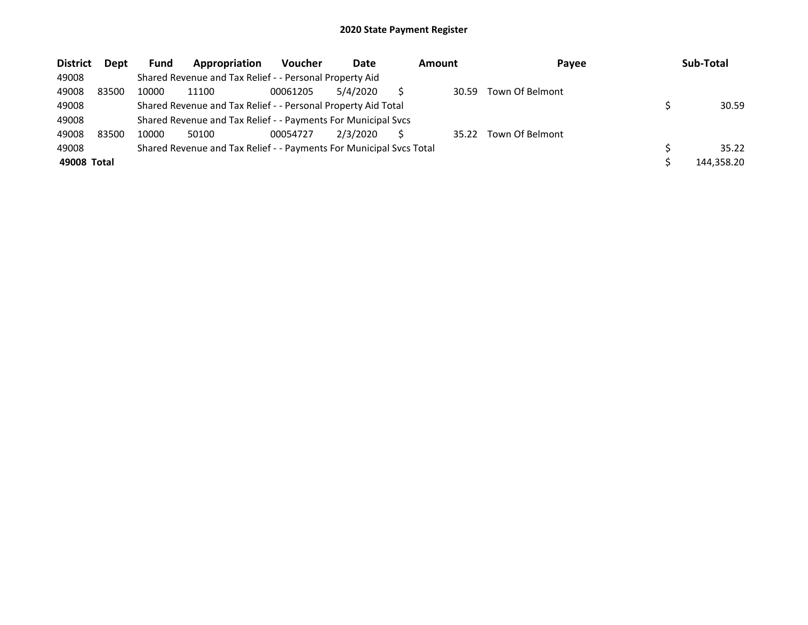| <b>District</b> | Dept  | Fund  | Appropriation                                                       | <b>Voucher</b> | Date     | Amount | Payee           | Sub-Total  |
|-----------------|-------|-------|---------------------------------------------------------------------|----------------|----------|--------|-----------------|------------|
| 49008           |       |       | Shared Revenue and Tax Relief - - Personal Property Aid             |                |          |        |                 |            |
| 49008           | 83500 | 10000 | 11100                                                               | 00061205       | 5/4/2020 | 30.59  | Town Of Belmont |            |
| 49008           |       |       | Shared Revenue and Tax Relief - - Personal Property Aid Total       |                |          |        |                 | 30.59      |
| 49008           |       |       | Shared Revenue and Tax Relief - - Payments For Municipal Svcs       |                |          |        |                 |            |
| 49008           | 83500 | 10000 | 50100                                                               | 00054727       | 2/3/2020 | 35.22  | Town Of Belmont |            |
| 49008           |       |       | Shared Revenue and Tax Relief - - Payments For Municipal Svcs Total |                |          |        |                 | 35.22      |
| 49008 Total     |       |       |                                                                     |                |          |        |                 | 144.358.20 |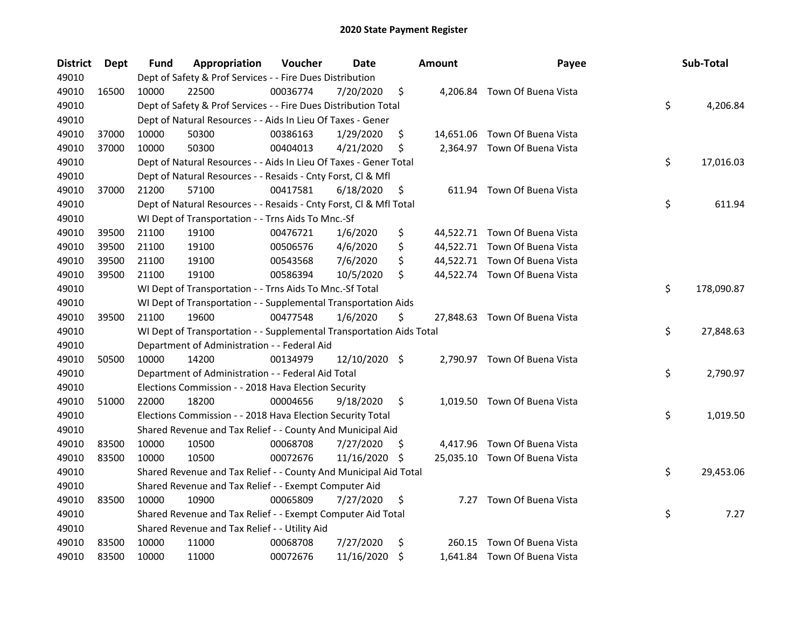| <b>District</b> | <b>Dept</b> | Fund  | Appropriation                                                        | Voucher  | Date          |     | <b>Amount</b> | Payee                         | Sub-Total        |
|-----------------|-------------|-------|----------------------------------------------------------------------|----------|---------------|-----|---------------|-------------------------------|------------------|
| 49010           |             |       | Dept of Safety & Prof Services - - Fire Dues Distribution            |          |               |     |               |                               |                  |
| 49010           | 16500       | 10000 | 22500                                                                | 00036774 | 7/20/2020     | \$  |               | 4,206.84 Town Of Buena Vista  |                  |
| 49010           |             |       | Dept of Safety & Prof Services - - Fire Dues Distribution Total      |          |               |     |               |                               | \$<br>4,206.84   |
| 49010           |             |       | Dept of Natural Resources - - Aids In Lieu Of Taxes - Gener          |          |               |     |               |                               |                  |
| 49010           | 37000       | 10000 | 50300                                                                | 00386163 | 1/29/2020     | \$  |               | 14,651.06 Town Of Buena Vista |                  |
| 49010           | 37000       | 10000 | 50300                                                                | 00404013 | 4/21/2020     | \$  |               | 2,364.97 Town Of Buena Vista  |                  |
| 49010           |             |       | Dept of Natural Resources - - Aids In Lieu Of Taxes - Gener Total    |          |               |     |               |                               | \$<br>17,016.03  |
| 49010           |             |       | Dept of Natural Resources - - Resaids - Cnty Forst, Cl & Mfl         |          |               |     |               |                               |                  |
| 49010           | 37000       | 21200 | 57100                                                                | 00417581 | 6/18/2020     | \$  |               | 611.94 Town Of Buena Vista    |                  |
| 49010           |             |       | Dept of Natural Resources - - Resaids - Cnty Forst, Cl & Mfl Total   |          |               |     |               |                               | \$<br>611.94     |
| 49010           |             |       | WI Dept of Transportation - - Trns Aids To Mnc.-Sf                   |          |               |     |               |                               |                  |
| 49010           | 39500       | 21100 | 19100                                                                | 00476721 | 1/6/2020      | \$  |               | 44,522.71 Town Of Buena Vista |                  |
| 49010           | 39500       | 21100 | 19100                                                                | 00506576 | 4/6/2020      | \$  |               | 44,522.71 Town Of Buena Vista |                  |
| 49010           | 39500       | 21100 | 19100                                                                | 00543568 | 7/6/2020      | \$  |               | 44,522.71 Town Of Buena Vista |                  |
| 49010           | 39500       | 21100 | 19100                                                                | 00586394 | 10/5/2020     | \$  |               | 44,522.74 Town Of Buena Vista |                  |
| 49010           |             |       | WI Dept of Transportation - - Trns Aids To Mnc.-Sf Total             |          |               |     |               |                               | \$<br>178,090.87 |
| 49010           |             |       | WI Dept of Transportation - - Supplemental Transportation Aids       |          |               |     |               |                               |                  |
| 49010           | 39500       | 21100 | 19600                                                                | 00477548 | 1/6/2020      | \$  |               | 27,848.63 Town Of Buena Vista |                  |
| 49010           |             |       | WI Dept of Transportation - - Supplemental Transportation Aids Total |          |               |     |               |                               | \$<br>27,848.63  |
| 49010           |             |       | Department of Administration - - Federal Aid                         |          |               |     |               |                               |                  |
| 49010           | 50500       | 10000 | 14200                                                                | 00134979 | 12/10/2020 \$ |     |               | 2,790.97 Town Of Buena Vista  |                  |
| 49010           |             |       | Department of Administration - - Federal Aid Total                   |          |               |     |               |                               | \$<br>2,790.97   |
| 49010           |             |       | Elections Commission - - 2018 Hava Election Security                 |          |               |     |               |                               |                  |
| 49010           | 51000       | 22000 | 18200                                                                | 00004656 | 9/18/2020     | \$  |               | 1,019.50 Town Of Buena Vista  |                  |
| 49010           |             |       | Elections Commission - - 2018 Hava Election Security Total           |          |               |     |               |                               | \$<br>1,019.50   |
| 49010           |             |       | Shared Revenue and Tax Relief - - County And Municipal Aid           |          |               |     |               |                               |                  |
| 49010           | 83500       | 10000 | 10500                                                                | 00068708 | 7/27/2020     | \$, |               | 4,417.96 Town Of Buena Vista  |                  |
| 49010           | 83500       | 10000 | 10500                                                                | 00072676 | 11/16/2020    | \$  |               | 25,035.10 Town Of Buena Vista |                  |
| 49010           |             |       | Shared Revenue and Tax Relief - - County And Municipal Aid Total     |          |               |     |               |                               | \$<br>29,453.06  |
| 49010           |             |       | Shared Revenue and Tax Relief - - Exempt Computer Aid                |          |               |     |               |                               |                  |
| 49010           | 83500       | 10000 | 10900                                                                | 00065809 | 7/27/2020     | \$  |               | 7.27 Town Of Buena Vista      |                  |
| 49010           |             |       | Shared Revenue and Tax Relief - - Exempt Computer Aid Total          |          |               |     |               |                               | \$<br>7.27       |
| 49010           |             |       | Shared Revenue and Tax Relief - - Utility Aid                        |          |               |     |               |                               |                  |
| 49010           | 83500       | 10000 | 11000                                                                | 00068708 | 7/27/2020     | \$  | 260.15        | Town Of Buena Vista           |                  |
| 49010           | 83500       | 10000 | 11000                                                                | 00072676 | 11/16/2020    | \$  |               | 1,641.84 Town Of Buena Vista  |                  |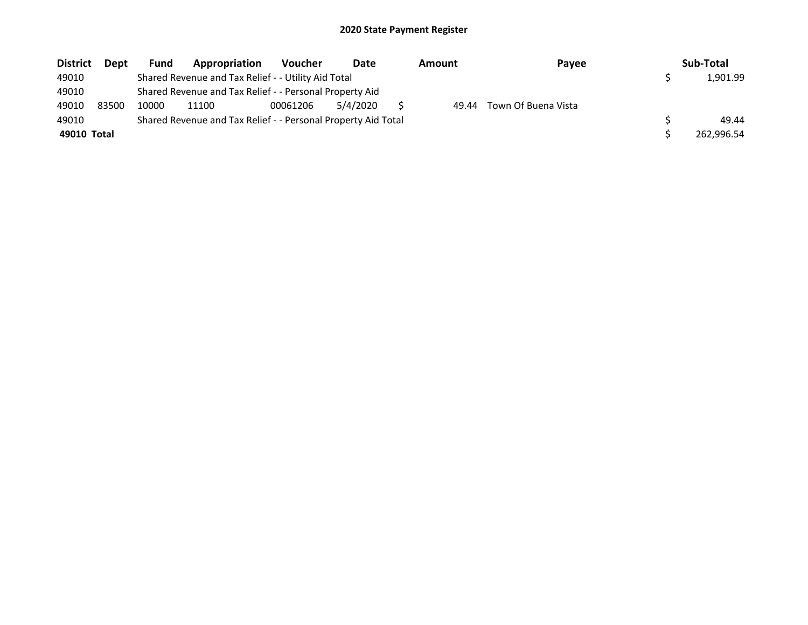| <b>District</b> | Dept  | <b>Fund</b> | Appropriation                                                 | <b>Voucher</b> | Date     | <b>Amount</b> | Payee               | Sub-Total  |
|-----------------|-------|-------------|---------------------------------------------------------------|----------------|----------|---------------|---------------------|------------|
| 49010           |       |             | Shared Revenue and Tax Relief - - Utility Aid Total           |                |          |               |                     | 1.901.99   |
| 49010           |       |             | Shared Revenue and Tax Relief - - Personal Property Aid       |                |          |               |                     |            |
| 49010           | 83500 | 10000       | 11100                                                         | 00061206       | 5/4/2020 | 49.44         | Town Of Buena Vista |            |
| 49010           |       |             | Shared Revenue and Tax Relief - - Personal Property Aid Total |                |          |               |                     | 49.44      |
| 49010 Total     |       |             |                                                               |                |          |               |                     | 262,996.54 |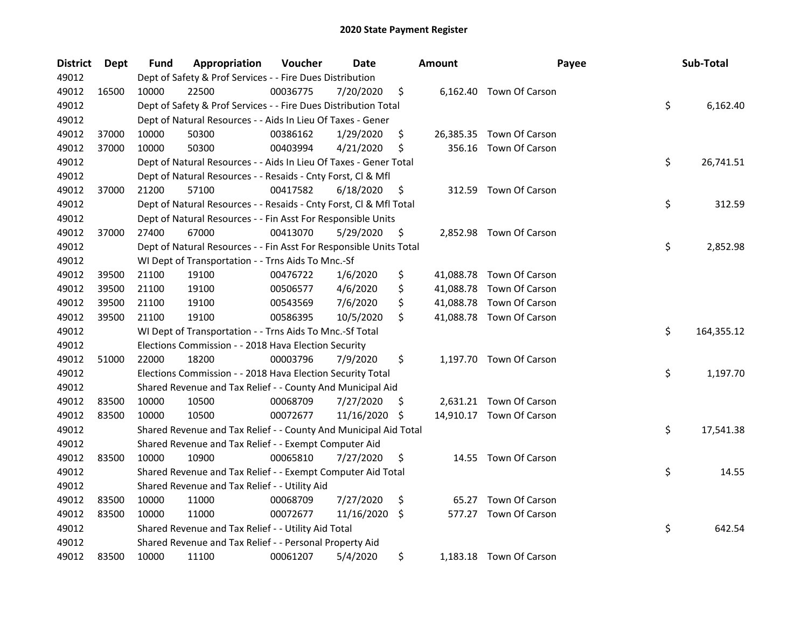| <b>District</b> | Dept  | Fund  | Appropriation                                                      | Voucher  | Date       |     | <b>Amount</b> | Payee                    | Sub-Total        |
|-----------------|-------|-------|--------------------------------------------------------------------|----------|------------|-----|---------------|--------------------------|------------------|
| 49012           |       |       | Dept of Safety & Prof Services - - Fire Dues Distribution          |          |            |     |               |                          |                  |
| 49012           | 16500 | 10000 | 22500                                                              | 00036775 | 7/20/2020  | \$  |               | 6,162.40 Town Of Carson  |                  |
| 49012           |       |       | Dept of Safety & Prof Services - - Fire Dues Distribution Total    |          |            |     |               |                          | \$<br>6,162.40   |
| 49012           |       |       | Dept of Natural Resources - - Aids In Lieu Of Taxes - Gener        |          |            |     |               |                          |                  |
| 49012           | 37000 | 10000 | 50300                                                              | 00386162 | 1/29/2020  | \$  |               | 26,385.35 Town Of Carson |                  |
| 49012           | 37000 | 10000 | 50300                                                              | 00403994 | 4/21/2020  | \$  | 356.16        | Town Of Carson           |                  |
| 49012           |       |       | Dept of Natural Resources - - Aids In Lieu Of Taxes - Gener Total  |          |            |     |               |                          | \$<br>26,741.51  |
| 49012           |       |       | Dept of Natural Resources - - Resaids - Cnty Forst, Cl & Mfl       |          |            |     |               |                          |                  |
| 49012           | 37000 | 21200 | 57100                                                              | 00417582 | 6/18/2020  | \$  |               | 312.59 Town Of Carson    |                  |
| 49012           |       |       | Dept of Natural Resources - - Resaids - Cnty Forst, Cl & Mfl Total |          |            |     |               |                          | \$<br>312.59     |
| 49012           |       |       | Dept of Natural Resources - - Fin Asst For Responsible Units       |          |            |     |               |                          |                  |
| 49012           | 37000 | 27400 | 67000                                                              | 00413070 | 5/29/2020  | \$  |               | 2,852.98 Town Of Carson  |                  |
| 49012           |       |       | Dept of Natural Resources - - Fin Asst For Responsible Units Total |          |            |     |               |                          | \$<br>2,852.98   |
| 49012           |       |       | WI Dept of Transportation - - Trns Aids To Mnc.-Sf                 |          |            |     |               |                          |                  |
| 49012           | 39500 | 21100 | 19100                                                              | 00476722 | 1/6/2020   | \$  |               | 41,088.78 Town Of Carson |                  |
| 49012           | 39500 | 21100 | 19100                                                              | 00506577 | 4/6/2020   | \$  |               | 41,088.78 Town Of Carson |                  |
| 49012           | 39500 | 21100 | 19100                                                              | 00543569 | 7/6/2020   | \$  |               | 41,088.78 Town Of Carson |                  |
| 49012           | 39500 | 21100 | 19100                                                              | 00586395 | 10/5/2020  | \$  |               | 41,088.78 Town Of Carson |                  |
| 49012           |       |       | WI Dept of Transportation - - Trns Aids To Mnc.-Sf Total           |          |            |     |               |                          | \$<br>164,355.12 |
| 49012           |       |       | Elections Commission - - 2018 Hava Election Security               |          |            |     |               |                          |                  |
| 49012           | 51000 | 22000 | 18200                                                              | 00003796 | 7/9/2020   | \$  |               | 1,197.70 Town Of Carson  |                  |
| 49012           |       |       | Elections Commission - - 2018 Hava Election Security Total         |          |            |     |               |                          | \$<br>1,197.70   |
| 49012           |       |       | Shared Revenue and Tax Relief - - County And Municipal Aid         |          |            |     |               |                          |                  |
| 49012           | 83500 | 10000 | 10500                                                              | 00068709 | 7/27/2020  | \$. |               | 2,631.21 Town Of Carson  |                  |
| 49012           | 83500 | 10000 | 10500                                                              | 00072677 | 11/16/2020 | -\$ |               | 14,910.17 Town Of Carson |                  |
| 49012           |       |       | Shared Revenue and Tax Relief - - County And Municipal Aid Total   |          |            |     |               |                          | \$<br>17,541.38  |
| 49012           |       |       | Shared Revenue and Tax Relief - - Exempt Computer Aid              |          |            |     |               |                          |                  |
| 49012           | 83500 | 10000 | 10900                                                              | 00065810 | 7/27/2020  | \$  |               | 14.55 Town Of Carson     |                  |
| 49012           |       |       | Shared Revenue and Tax Relief - - Exempt Computer Aid Total        |          |            |     |               |                          | \$<br>14.55      |
| 49012           |       |       | Shared Revenue and Tax Relief - - Utility Aid                      |          |            |     |               |                          |                  |
| 49012           | 83500 | 10000 | 11000                                                              | 00068709 | 7/27/2020  | \$  |               | 65.27 Town Of Carson     |                  |
| 49012           | 83500 | 10000 | 11000                                                              | 00072677 | 11/16/2020 | \$  |               | 577.27 Town Of Carson    |                  |
| 49012           |       |       | Shared Revenue and Tax Relief - - Utility Aid Total                |          |            |     |               |                          | \$<br>642.54     |
| 49012           |       |       | Shared Revenue and Tax Relief - - Personal Property Aid            |          |            |     |               |                          |                  |
| 49012           | 83500 | 10000 | 11100                                                              | 00061207 | 5/4/2020   | \$  |               | 1,183.18 Town Of Carson  |                  |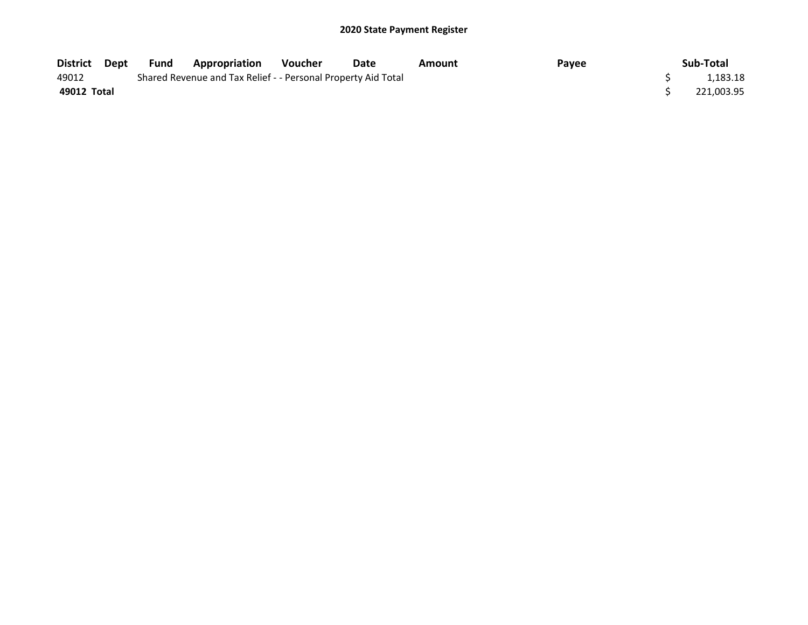| District Dept | Fund | <b>Appropriation</b>                                          | Voucher | Date | Amount | Payee | Sub-Total  |
|---------------|------|---------------------------------------------------------------|---------|------|--------|-------|------------|
| 49012         |      | Shared Revenue and Tax Relief - - Personal Property Aid Total |         |      |        |       | 1.183.18   |
| 49012 Total   |      |                                                               |         |      |        |       | 221,003.95 |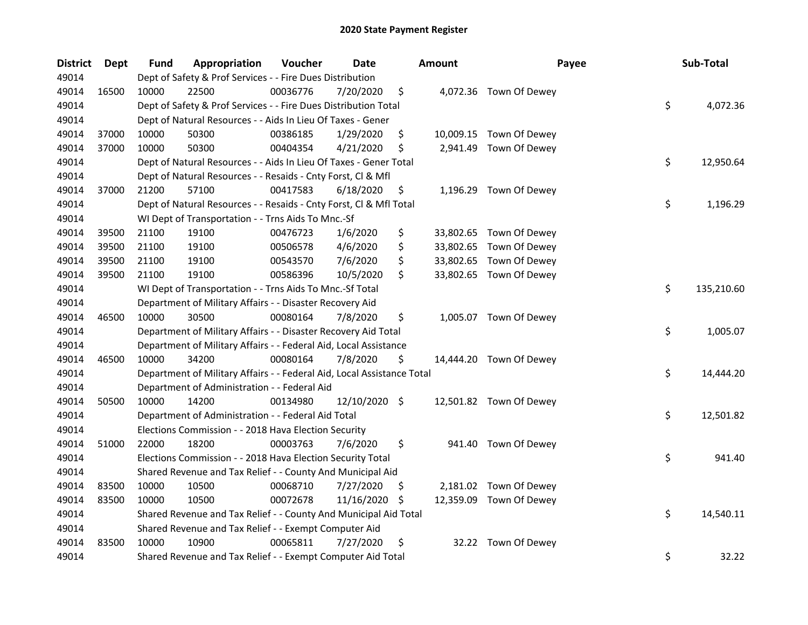| <b>District</b> | Dept  | <b>Fund</b> | Appropriation                                                          | Voucher  | <b>Date</b>   |     | Amount    | Payee                   | Sub-Total        |
|-----------------|-------|-------------|------------------------------------------------------------------------|----------|---------------|-----|-----------|-------------------------|------------------|
| 49014           |       |             | Dept of Safety & Prof Services - - Fire Dues Distribution              |          |               |     |           |                         |                  |
| 49014           | 16500 | 10000       | 22500                                                                  | 00036776 | 7/20/2020     | \$  |           | 4,072.36 Town Of Dewey  |                  |
| 49014           |       |             | Dept of Safety & Prof Services - - Fire Dues Distribution Total        |          |               |     |           |                         | \$<br>4,072.36   |
| 49014           |       |             | Dept of Natural Resources - - Aids In Lieu Of Taxes - Gener            |          |               |     |           |                         |                  |
| 49014           | 37000 | 10000       | 50300                                                                  | 00386185 | 1/29/2020     | \$  |           | 10,009.15 Town Of Dewey |                  |
| 49014           | 37000 | 10000       | 50300                                                                  | 00404354 | 4/21/2020     | \$  |           | 2,941.49 Town Of Dewey  |                  |
| 49014           |       |             | Dept of Natural Resources - - Aids In Lieu Of Taxes - Gener Total      |          |               |     |           |                         | \$<br>12,950.64  |
| 49014           |       |             | Dept of Natural Resources - - Resaids - Cnty Forst, Cl & Mfl           |          |               |     |           |                         |                  |
| 49014           | 37000 | 21200       | 57100                                                                  | 00417583 | 6/18/2020     | \$  |           | 1,196.29 Town Of Dewey  |                  |
| 49014           |       |             | Dept of Natural Resources - - Resaids - Cnty Forst, Cl & Mfl Total     |          |               |     |           |                         | \$<br>1,196.29   |
| 49014           |       |             | WI Dept of Transportation - - Trns Aids To Mnc.-Sf                     |          |               |     |           |                         |                  |
| 49014           | 39500 | 21100       | 19100                                                                  | 00476723 | 1/6/2020      | \$  |           | 33,802.65 Town Of Dewey |                  |
| 49014           | 39500 | 21100       | 19100                                                                  | 00506578 | 4/6/2020      | \$  |           | 33,802.65 Town Of Dewey |                  |
| 49014           | 39500 | 21100       | 19100                                                                  | 00543570 | 7/6/2020      | \$  | 33,802.65 | Town Of Dewey           |                  |
| 49014           | 39500 | 21100       | 19100                                                                  | 00586396 | 10/5/2020     | \$  |           | 33,802.65 Town Of Dewey |                  |
| 49014           |       |             | WI Dept of Transportation - - Trns Aids To Mnc.-Sf Total               |          |               |     |           |                         | \$<br>135,210.60 |
| 49014           |       |             | Department of Military Affairs - - Disaster Recovery Aid               |          |               |     |           |                         |                  |
| 49014           | 46500 | 10000       | 30500                                                                  | 00080164 | 7/8/2020      | \$  |           | 1,005.07 Town Of Dewey  |                  |
| 49014           |       |             | Department of Military Affairs - - Disaster Recovery Aid Total         |          |               |     |           |                         | \$<br>1,005.07   |
| 49014           |       |             | Department of Military Affairs - - Federal Aid, Local Assistance       |          |               |     |           |                         |                  |
| 49014           | 46500 | 10000       | 34200                                                                  | 00080164 | 7/8/2020      | \$  |           | 14,444.20 Town Of Dewey |                  |
| 49014           |       |             | Department of Military Affairs - - Federal Aid, Local Assistance Total |          |               |     |           |                         | \$<br>14,444.20  |
| 49014           |       |             | Department of Administration - - Federal Aid                           |          |               |     |           |                         |                  |
| 49014           | 50500 | 10000       | 14200                                                                  | 00134980 | 12/10/2020 \$ |     |           | 12,501.82 Town Of Dewey |                  |
| 49014           |       |             | Department of Administration - - Federal Aid Total                     |          |               |     |           |                         | \$<br>12,501.82  |
| 49014           |       |             | Elections Commission - - 2018 Hava Election Security                   |          |               |     |           |                         |                  |
| 49014           | 51000 | 22000       | 18200                                                                  | 00003763 | 7/6/2020      | \$  |           | 941.40 Town Of Dewey    |                  |
| 49014           |       |             | Elections Commission - - 2018 Hava Election Security Total             |          |               |     |           |                         | \$<br>941.40     |
| 49014           |       |             | Shared Revenue and Tax Relief - - County And Municipal Aid             |          |               |     |           |                         |                  |
| 49014           | 83500 | 10000       | 10500                                                                  | 00068710 | 7/27/2020     | \$, |           | 2,181.02 Town Of Dewey  |                  |
| 49014           | 83500 | 10000       | 10500                                                                  | 00072678 | 11/16/2020    | -\$ |           | 12,359.09 Town Of Dewey |                  |
| 49014           |       |             | Shared Revenue and Tax Relief - - County And Municipal Aid Total       |          |               |     |           |                         | \$<br>14,540.11  |
| 49014           |       |             | Shared Revenue and Tax Relief - - Exempt Computer Aid                  |          |               |     |           |                         |                  |
| 49014           | 83500 | 10000       | 10900                                                                  | 00065811 | 7/27/2020     | \$  |           | 32.22 Town Of Dewey     |                  |
| 49014           |       |             | Shared Revenue and Tax Relief - - Exempt Computer Aid Total            |          |               |     |           |                         | \$<br>32.22      |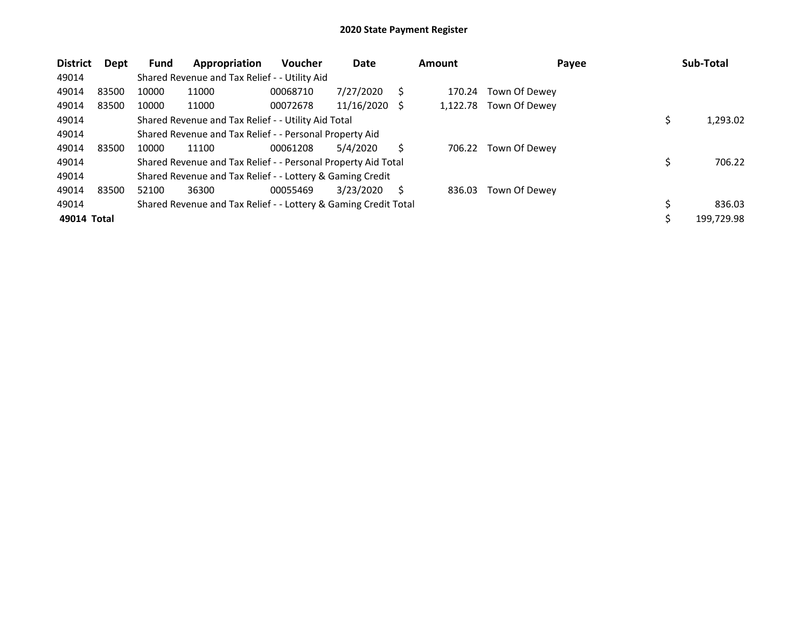| <b>District</b> | Dept  | <b>Fund</b> | Appropriation                                                   | Voucher  | Date       |              | <b>Amount</b> | Payee         | Sub-Total  |
|-----------------|-------|-------------|-----------------------------------------------------------------|----------|------------|--------------|---------------|---------------|------------|
| 49014           |       |             | Shared Revenue and Tax Relief - - Utility Aid                   |          |            |              |               |               |            |
| 49014           | 83500 | 10000       | 11000                                                           | 00068710 | 7/27/2020  |              | 170.24        | Town Of Dewey |            |
| 49014           | 83500 | 10000       | 11000                                                           | 00072678 | 11/16/2020 | - \$         | 1.122.78      | Town Of Dewey |            |
| 49014           |       |             | Shared Revenue and Tax Relief - - Utility Aid Total             |          |            |              |               |               | 1,293.02   |
| 49014           |       |             | Shared Revenue and Tax Relief - - Personal Property Aid         |          |            |              |               |               |            |
| 49014           | 83500 | 10000       | 11100                                                           | 00061208 | 5/4/2020   | Ś            | 706.22        | Town Of Dewey |            |
| 49014           |       |             | Shared Revenue and Tax Relief - - Personal Property Aid Total   |          |            |              |               |               | 706.22     |
| 49014           |       |             | Shared Revenue and Tax Relief - - Lottery & Gaming Credit       |          |            |              |               |               |            |
| 49014           | 83500 | 52100       | 36300                                                           | 00055469 | 3/23/2020  | <sup>S</sup> | 836.03        | Town Of Dewey |            |
| 49014           |       |             | Shared Revenue and Tax Relief - - Lottery & Gaming Credit Total |          |            |              |               |               | 836.03     |
| 49014 Total     |       |             |                                                                 |          |            |              |               |               | 199,729.98 |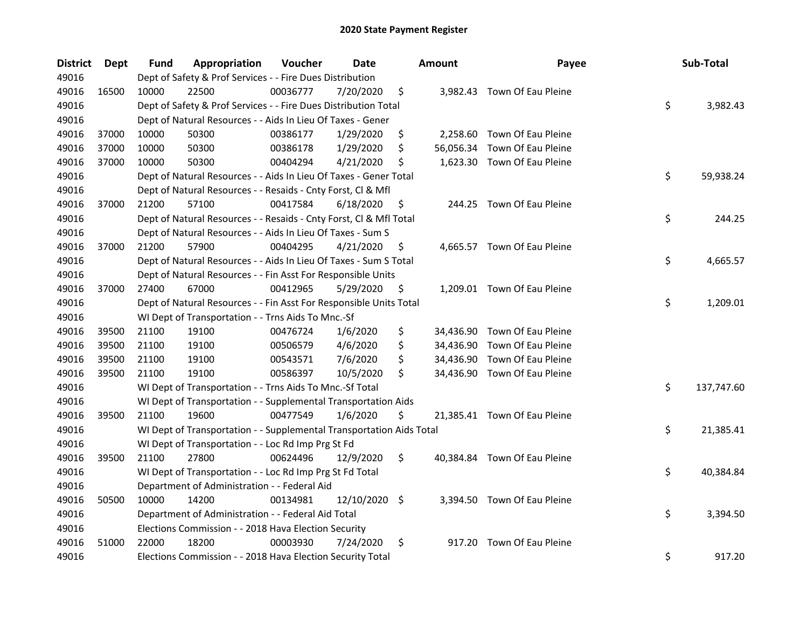| <b>District</b> | <b>Dept</b> | Fund  | Appropriation                                                        | Voucher  | <b>Date</b> |     | <b>Amount</b> | Payee                        | Sub-Total        |
|-----------------|-------------|-------|----------------------------------------------------------------------|----------|-------------|-----|---------------|------------------------------|------------------|
| 49016           |             |       | Dept of Safety & Prof Services - - Fire Dues Distribution            |          |             |     |               |                              |                  |
| 49016           | 16500       | 10000 | 22500                                                                | 00036777 | 7/20/2020   | \$  |               | 3,982.43 Town Of Eau Pleine  |                  |
| 49016           |             |       | Dept of Safety & Prof Services - - Fire Dues Distribution Total      |          |             |     |               |                              | \$<br>3,982.43   |
| 49016           |             |       | Dept of Natural Resources - - Aids In Lieu Of Taxes - Gener          |          |             |     |               |                              |                  |
| 49016           | 37000       | 10000 | 50300                                                                | 00386177 | 1/29/2020   | \$  |               | 2,258.60 Town Of Eau Pleine  |                  |
| 49016           | 37000       | 10000 | 50300                                                                | 00386178 | 1/29/2020   | \$  | 56,056.34     | Town Of Eau Pleine           |                  |
| 49016           | 37000       | 10000 | 50300                                                                | 00404294 | 4/21/2020   | \$  |               | 1,623.30 Town Of Eau Pleine  |                  |
| 49016           |             |       | Dept of Natural Resources - - Aids In Lieu Of Taxes - Gener Total    |          |             |     |               |                              | \$<br>59,938.24  |
| 49016           |             |       | Dept of Natural Resources - - Resaids - Cnty Forst, Cl & Mfl         |          |             |     |               |                              |                  |
| 49016           | 37000       | 21200 | 57100                                                                | 00417584 | 6/18/2020   | \$  |               | 244.25 Town Of Eau Pleine    |                  |
| 49016           |             |       | Dept of Natural Resources - - Resaids - Cnty Forst, Cl & Mfl Total   |          |             |     |               |                              | \$<br>244.25     |
| 49016           |             |       | Dept of Natural Resources - - Aids In Lieu Of Taxes - Sum S          |          |             |     |               |                              |                  |
| 49016           | 37000       | 21200 | 57900                                                                | 00404295 | 4/21/2020   | \$, |               | 4,665.57 Town Of Eau Pleine  |                  |
| 49016           |             |       | Dept of Natural Resources - - Aids In Lieu Of Taxes - Sum S Total    |          |             |     |               |                              | \$<br>4,665.57   |
| 49016           |             |       | Dept of Natural Resources - - Fin Asst For Responsible Units         |          |             |     |               |                              |                  |
| 49016           | 37000       | 27400 | 67000                                                                | 00412965 | 5/29/2020   | \$  |               | 1,209.01 Town Of Eau Pleine  |                  |
| 49016           |             |       | Dept of Natural Resources - - Fin Asst For Responsible Units Total   |          |             |     |               |                              | \$<br>1,209.01   |
| 49016           |             |       | WI Dept of Transportation - - Trns Aids To Mnc.-Sf                   |          |             |     |               |                              |                  |
| 49016           | 39500       | 21100 | 19100                                                                | 00476724 | 1/6/2020    | \$  |               | 34,436.90 Town Of Eau Pleine |                  |
| 49016           | 39500       | 21100 | 19100                                                                | 00506579 | 4/6/2020    | \$  |               | 34,436.90 Town Of Eau Pleine |                  |
| 49016           | 39500       | 21100 | 19100                                                                | 00543571 | 7/6/2020    | \$  |               | 34,436.90 Town Of Eau Pleine |                  |
| 49016           | 39500       | 21100 | 19100                                                                | 00586397 | 10/5/2020   | \$  |               | 34,436.90 Town Of Eau Pleine |                  |
| 49016           |             |       | WI Dept of Transportation - - Trns Aids To Mnc.-Sf Total             |          |             |     |               |                              | \$<br>137,747.60 |
| 49016           |             |       | WI Dept of Transportation - - Supplemental Transportation Aids       |          |             |     |               |                              |                  |
| 49016           | 39500       | 21100 | 19600                                                                | 00477549 | 1/6/2020    | \$  |               | 21,385.41 Town Of Eau Pleine |                  |
| 49016           |             |       | WI Dept of Transportation - - Supplemental Transportation Aids Total |          |             |     |               |                              | \$<br>21,385.41  |
| 49016           |             |       | WI Dept of Transportation - - Loc Rd Imp Prg St Fd                   |          |             |     |               |                              |                  |
| 49016           | 39500       | 21100 | 27800                                                                | 00624496 | 12/9/2020   | \$  |               | 40,384.84 Town Of Eau Pleine |                  |
| 49016           |             |       | WI Dept of Transportation - - Loc Rd Imp Prg St Fd Total             |          |             |     |               |                              | \$<br>40,384.84  |
| 49016           |             |       | Department of Administration - - Federal Aid                         |          |             |     |               |                              |                  |
| 49016           | 50500       | 10000 | 14200                                                                | 00134981 | 12/10/2020  | \$  |               | 3,394.50 Town Of Eau Pleine  |                  |
| 49016           |             |       | Department of Administration - - Federal Aid Total                   |          |             |     |               |                              | \$<br>3,394.50   |
| 49016           |             |       | Elections Commission - - 2018 Hava Election Security                 |          |             |     |               |                              |                  |
| 49016           | 51000       | 22000 | 18200                                                                | 00003930 | 7/24/2020   | \$  |               | 917.20 Town Of Eau Pleine    |                  |
| 49016           |             |       | Elections Commission - - 2018 Hava Election Security Total           |          |             |     |               |                              | \$<br>917.20     |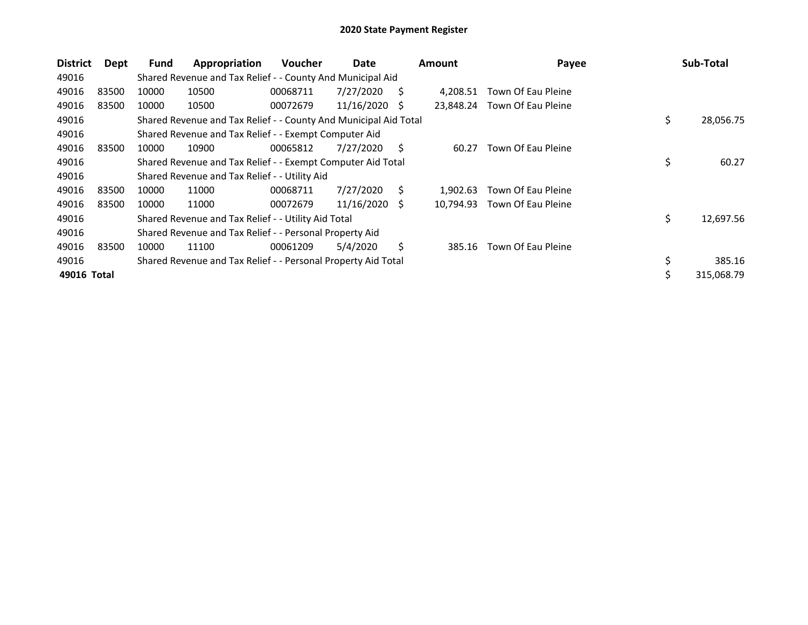| <b>District</b> | Dept  | Fund  | Appropriation                                                    | <b>Voucher</b> | Date       |    | <b>Amount</b> | Payee              | Sub-Total        |
|-----------------|-------|-------|------------------------------------------------------------------|----------------|------------|----|---------------|--------------------|------------------|
| 49016           |       |       | Shared Revenue and Tax Relief - - County And Municipal Aid       |                |            |    |               |                    |                  |
| 49016           | 83500 | 10000 | 10500                                                            | 00068711       | 7/27/2020  | S  | 4.208.51      | Town Of Eau Pleine |                  |
| 49016           | 83500 | 10000 | 10500                                                            | 00072679       | 11/16/2020 | -S | 23,848.24     | Town Of Eau Pleine |                  |
| 49016           |       |       | Shared Revenue and Tax Relief - - County And Municipal Aid Total |                |            |    |               |                    | \$<br>28,056.75  |
| 49016           |       |       | Shared Revenue and Tax Relief - - Exempt Computer Aid            |                |            |    |               |                    |                  |
| 49016           | 83500 | 10000 | 10900                                                            | 00065812       | 7/27/2020  | S. | 60.27         | Town Of Eau Pleine |                  |
| 49016           |       |       | Shared Revenue and Tax Relief - - Exempt Computer Aid Total      |                |            |    |               |                    | \$<br>60.27      |
| 49016           |       |       | Shared Revenue and Tax Relief - - Utility Aid                    |                |            |    |               |                    |                  |
| 49016           | 83500 | 10000 | 11000                                                            | 00068711       | 7/27/2020  | S. | 1.902.63      | Town Of Eau Pleine |                  |
| 49016           | 83500 | 10000 | 11000                                                            | 00072679       | 11/16/2020 | -S | 10,794.93     | Town Of Eau Pleine |                  |
| 49016           |       |       | Shared Revenue and Tax Relief - - Utility Aid Total              |                |            |    |               |                    | \$<br>12,697.56  |
| 49016           |       |       | Shared Revenue and Tax Relief - - Personal Property Aid          |                |            |    |               |                    |                  |
| 49016           | 83500 | 10000 | 11100                                                            | 00061209       | 5/4/2020   | Ś. | 385.16        | Town Of Eau Pleine |                  |
| 49016           |       |       | Shared Revenue and Tax Relief - - Personal Property Aid Total    |                |            |    |               |                    | \$<br>385.16     |
| 49016 Total     |       |       |                                                                  |                |            |    |               |                    | \$<br>315,068.79 |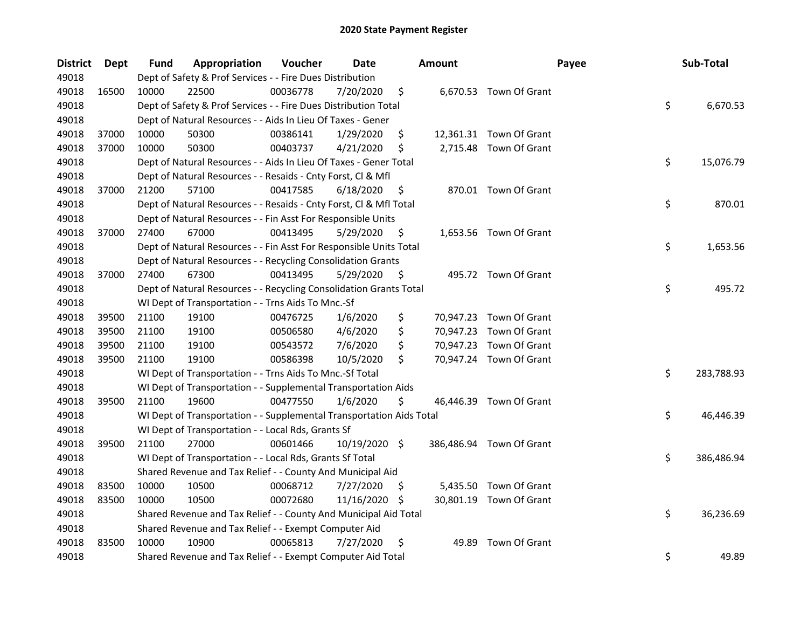| <b>District</b> | <b>Dept</b> | Fund  | Appropriation                                                        | Voucher  | <b>Date</b>   |     | <b>Amount</b> | Payee                    | Sub-Total        |
|-----------------|-------------|-------|----------------------------------------------------------------------|----------|---------------|-----|---------------|--------------------------|------------------|
| 49018           |             |       | Dept of Safety & Prof Services - - Fire Dues Distribution            |          |               |     |               |                          |                  |
| 49018           | 16500       | 10000 | 22500                                                                | 00036778 | 7/20/2020     | \$  |               | 6,670.53 Town Of Grant   |                  |
| 49018           |             |       | Dept of Safety & Prof Services - - Fire Dues Distribution Total      |          |               |     |               |                          | \$<br>6,670.53   |
| 49018           |             |       | Dept of Natural Resources - - Aids In Lieu Of Taxes - Gener          |          |               |     |               |                          |                  |
| 49018           | 37000       | 10000 | 50300                                                                | 00386141 | 1/29/2020     | \$  |               | 12,361.31 Town Of Grant  |                  |
| 49018           | 37000       | 10000 | 50300                                                                | 00403737 | 4/21/2020     | \$  |               | 2,715.48 Town Of Grant   |                  |
| 49018           |             |       | Dept of Natural Resources - - Aids In Lieu Of Taxes - Gener Total    |          |               |     |               |                          | \$<br>15,076.79  |
| 49018           |             |       | Dept of Natural Resources - - Resaids - Cnty Forst, Cl & Mfl         |          |               |     |               |                          |                  |
| 49018           | 37000       | 21200 | 57100                                                                | 00417585 | 6/18/2020     | \$  |               | 870.01 Town Of Grant     |                  |
| 49018           |             |       | Dept of Natural Resources - - Resaids - Cnty Forst, Cl & Mfl Total   |          |               |     |               |                          | \$<br>870.01     |
| 49018           |             |       | Dept of Natural Resources - - Fin Asst For Responsible Units         |          |               |     |               |                          |                  |
| 49018           | 37000       | 27400 | 67000                                                                | 00413495 | 5/29/2020     | \$  |               | 1,653.56 Town Of Grant   |                  |
| 49018           |             |       | Dept of Natural Resources - - Fin Asst For Responsible Units Total   |          |               |     |               |                          | \$<br>1,653.56   |
| 49018           |             |       | Dept of Natural Resources - - Recycling Consolidation Grants         |          |               |     |               |                          |                  |
| 49018           | 37000       | 27400 | 67300                                                                | 00413495 | 5/29/2020     | \$. |               | 495.72 Town Of Grant     |                  |
| 49018           |             |       | Dept of Natural Resources - - Recycling Consolidation Grants Total   |          |               |     |               |                          | \$<br>495.72     |
| 49018           |             |       | WI Dept of Transportation - - Trns Aids To Mnc.-Sf                   |          |               |     |               |                          |                  |
| 49018           | 39500       | 21100 | 19100                                                                | 00476725 | 1/6/2020      | \$  |               | 70,947.23 Town Of Grant  |                  |
| 49018           | 39500       | 21100 | 19100                                                                | 00506580 | 4/6/2020      | \$  | 70,947.23     | Town Of Grant            |                  |
| 49018           | 39500       | 21100 | 19100                                                                | 00543572 | 7/6/2020      | \$  |               | 70,947.23 Town Of Grant  |                  |
| 49018           | 39500       | 21100 | 19100                                                                | 00586398 | 10/5/2020     | \$  |               | 70,947.24 Town Of Grant  |                  |
| 49018           |             |       | WI Dept of Transportation - - Trns Aids To Mnc.-Sf Total             |          |               |     |               |                          | \$<br>283,788.93 |
| 49018           |             |       | WI Dept of Transportation - - Supplemental Transportation Aids       |          |               |     |               |                          |                  |
| 49018           | 39500       | 21100 | 19600                                                                | 00477550 | 1/6/2020      | \$  |               | 46,446.39 Town Of Grant  |                  |
| 49018           |             |       | WI Dept of Transportation - - Supplemental Transportation Aids Total |          |               |     |               |                          | \$<br>46,446.39  |
| 49018           |             |       | WI Dept of Transportation - - Local Rds, Grants Sf                   |          |               |     |               |                          |                  |
| 49018           | 39500       | 21100 | 27000                                                                | 00601466 | 10/19/2020 \$ |     |               | 386,486.94 Town Of Grant |                  |
| 49018           |             |       | WI Dept of Transportation - - Local Rds, Grants Sf Total             |          |               |     |               |                          | \$<br>386,486.94 |
| 49018           |             |       | Shared Revenue and Tax Relief - - County And Municipal Aid           |          |               |     |               |                          |                  |
| 49018           | 83500       | 10000 | 10500                                                                | 00068712 | 7/27/2020     | \$  |               | 5,435.50 Town Of Grant   |                  |
| 49018           | 83500       | 10000 | 10500                                                                | 00072680 | 11/16/2020    | \$. |               | 30,801.19 Town Of Grant  |                  |
| 49018           |             |       | Shared Revenue and Tax Relief - - County And Municipal Aid Total     |          |               |     |               |                          | \$<br>36,236.69  |
| 49018           |             |       | Shared Revenue and Tax Relief - - Exempt Computer Aid                |          |               |     |               |                          |                  |
| 49018           | 83500       | 10000 | 10900                                                                | 00065813 | 7/27/2020     | \$  | 49.89         | Town Of Grant            |                  |
| 49018           |             |       | Shared Revenue and Tax Relief - - Exempt Computer Aid Total          |          |               |     |               |                          | \$<br>49.89      |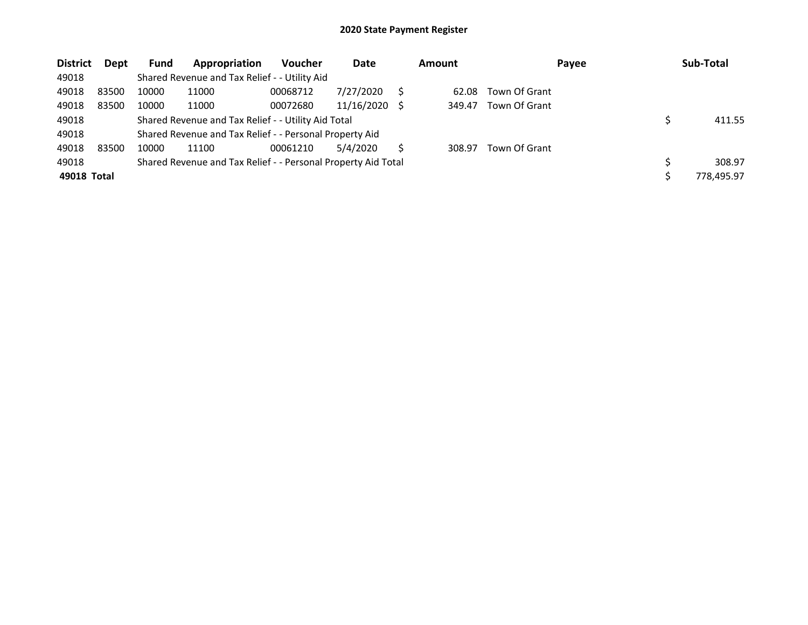| <b>District</b> | <b>Dept</b> | <b>Fund</b> | Appropriation                                                 | <b>Voucher</b> | Date       |     | <b>Amount</b> | Payee         | Sub-Total  |
|-----------------|-------------|-------------|---------------------------------------------------------------|----------------|------------|-----|---------------|---------------|------------|
| 49018           |             |             | Shared Revenue and Tax Relief - - Utility Aid                 |                |            |     |               |               |            |
| 49018           | 83500       | 10000       | 11000                                                         | 00068712       | 7/27/2020  |     | 62.08         | Town Of Grant |            |
| 49018           | 83500       | 10000       | 11000                                                         | 00072680       | 11/16/2020 | - S | 349.47        | Town Of Grant |            |
| 49018           |             |             | Shared Revenue and Tax Relief - - Utility Aid Total           |                |            |     |               |               | 411.55     |
| 49018           |             |             | Shared Revenue and Tax Relief - - Personal Property Aid       |                |            |     |               |               |            |
| 49018           | 83500       | 10000       | 11100                                                         | 00061210       | 5/4/2020   | S   | 308.97        | Town Of Grant |            |
| 49018           |             |             | Shared Revenue and Tax Relief - - Personal Property Aid Total |                |            |     |               |               | 308.97     |
| 49018 Total     |             |             |                                                               |                |            |     |               |               | 778,495.97 |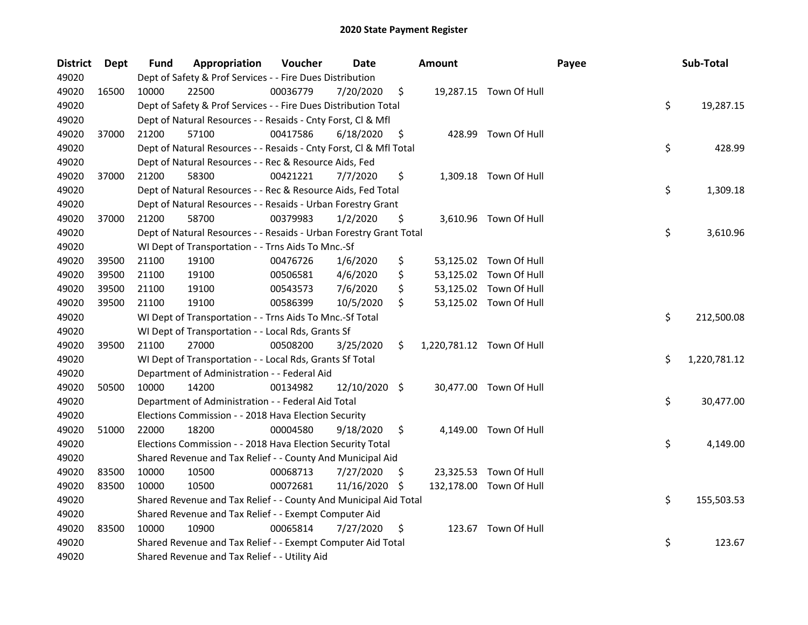| <b>District</b> | <b>Dept</b> | <b>Fund</b> | Appropriation                                                      | Voucher  | <b>Date</b>   |     | <b>Amount</b> |                           | Payee | Sub-Total          |
|-----------------|-------------|-------------|--------------------------------------------------------------------|----------|---------------|-----|---------------|---------------------------|-------|--------------------|
| 49020           |             |             | Dept of Safety & Prof Services - - Fire Dues Distribution          |          |               |     |               |                           |       |                    |
| 49020           | 16500       | 10000       | 22500                                                              | 00036779 | 7/20/2020     | \$  |               | 19,287.15 Town Of Hull    |       |                    |
| 49020           |             |             | Dept of Safety & Prof Services - - Fire Dues Distribution Total    |          |               |     |               |                           |       | \$<br>19,287.15    |
| 49020           |             |             | Dept of Natural Resources - - Resaids - Cnty Forst, Cl & Mfl       |          |               |     |               |                           |       |                    |
| 49020           | 37000       | 21200       | 57100                                                              | 00417586 | 6/18/2020     | \$  |               | 428.99 Town Of Hull       |       |                    |
| 49020           |             |             | Dept of Natural Resources - - Resaids - Cnty Forst, Cl & Mfl Total |          |               |     |               |                           |       | \$<br>428.99       |
| 49020           |             |             | Dept of Natural Resources - - Rec & Resource Aids, Fed             |          |               |     |               |                           |       |                    |
| 49020           | 37000       | 21200       | 58300                                                              | 00421221 | 7/7/2020      | \$  |               | 1,309.18 Town Of Hull     |       |                    |
| 49020           |             |             | Dept of Natural Resources - - Rec & Resource Aids, Fed Total       |          |               |     |               |                           |       | \$<br>1,309.18     |
| 49020           |             |             | Dept of Natural Resources - - Resaids - Urban Forestry Grant       |          |               |     |               |                           |       |                    |
| 49020           | 37000       | 21200       | 58700                                                              | 00379983 | 1/2/2020      | \$  |               | 3,610.96 Town Of Hull     |       |                    |
| 49020           |             |             | Dept of Natural Resources - - Resaids - Urban Forestry Grant Total |          |               |     |               |                           |       | \$<br>3,610.96     |
| 49020           |             |             | WI Dept of Transportation - - Trns Aids To Mnc.-Sf                 |          |               |     |               |                           |       |                    |
| 49020           | 39500       | 21100       | 19100                                                              | 00476726 | 1/6/2020      | \$  |               | 53,125.02 Town Of Hull    |       |                    |
| 49020           | 39500       | 21100       | 19100                                                              | 00506581 | 4/6/2020      | \$  |               | 53,125.02 Town Of Hull    |       |                    |
| 49020           | 39500       | 21100       | 19100                                                              | 00543573 | 7/6/2020      | \$  |               | 53,125.02 Town Of Hull    |       |                    |
| 49020           | 39500       | 21100       | 19100                                                              | 00586399 | 10/5/2020     | \$  |               | 53,125.02 Town Of Hull    |       |                    |
| 49020           |             |             | WI Dept of Transportation - - Trns Aids To Mnc.-Sf Total           |          |               |     |               |                           |       | \$<br>212,500.08   |
| 49020           |             |             | WI Dept of Transportation - - Local Rds, Grants Sf                 |          |               |     |               |                           |       |                    |
| 49020           | 39500       | 21100       | 27000                                                              | 00508200 | 3/25/2020     | \$  |               | 1,220,781.12 Town Of Hull |       |                    |
| 49020           |             |             | WI Dept of Transportation - - Local Rds, Grants Sf Total           |          |               |     |               |                           |       | \$<br>1,220,781.12 |
| 49020           |             |             | Department of Administration - - Federal Aid                       |          |               |     |               |                           |       |                    |
| 49020           | 50500       | 10000       | 14200                                                              | 00134982 | 12/10/2020 \$ |     |               | 30,477.00 Town Of Hull    |       |                    |
| 49020           |             |             | Department of Administration - - Federal Aid Total                 |          |               |     |               |                           |       | \$<br>30,477.00    |
| 49020           |             |             | Elections Commission - - 2018 Hava Election Security               |          |               |     |               |                           |       |                    |
| 49020           | 51000       | 22000       | 18200                                                              | 00004580 | 9/18/2020     | \$  |               | 4,149.00 Town Of Hull     |       |                    |
| 49020           |             |             | Elections Commission - - 2018 Hava Election Security Total         |          |               |     |               |                           |       | \$<br>4,149.00     |
| 49020           |             |             | Shared Revenue and Tax Relief - - County And Municipal Aid         |          |               |     |               |                           |       |                    |
| 49020           | 83500       | 10000       | 10500                                                              | 00068713 | 7/27/2020     | S   |               | 23,325.53 Town Of Hull    |       |                    |
| 49020           | 83500       | 10000       | 10500                                                              | 00072681 | 11/16/2020    | \$. |               | 132,178.00 Town Of Hull   |       |                    |
| 49020           |             |             | Shared Revenue and Tax Relief - - County And Municipal Aid Total   |          |               |     |               |                           |       | \$<br>155,503.53   |
| 49020           |             |             | Shared Revenue and Tax Relief - - Exempt Computer Aid              |          |               |     |               |                           |       |                    |
| 49020           | 83500       | 10000       | 10900                                                              | 00065814 | 7/27/2020     | \$  |               | 123.67 Town Of Hull       |       |                    |
| 49020           |             |             | Shared Revenue and Tax Relief - - Exempt Computer Aid Total        |          |               |     |               |                           |       | \$<br>123.67       |
| 49020           |             |             | Shared Revenue and Tax Relief - - Utility Aid                      |          |               |     |               |                           |       |                    |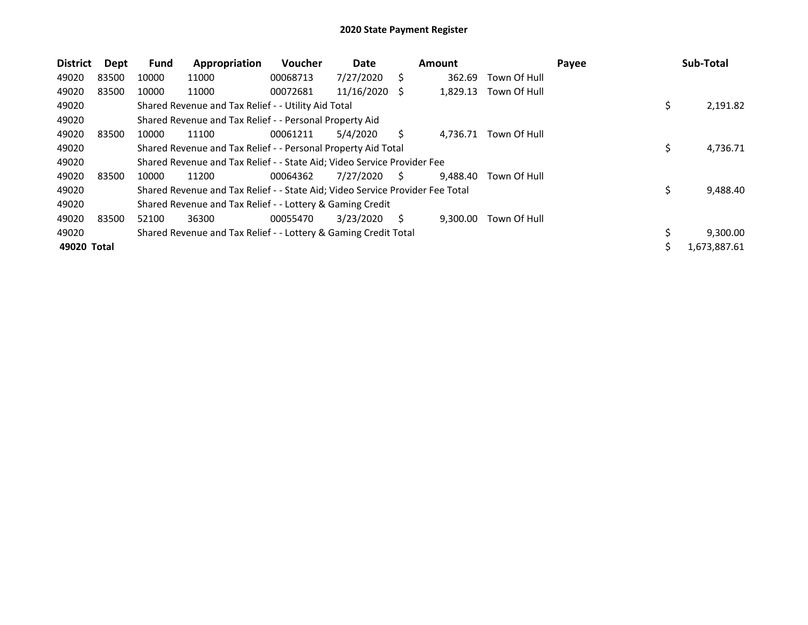| <b>District</b> | Dept  | Fund  | Appropriation                                                                 | <b>Voucher</b> | Date       |    | <b>Amount</b> |              | Payee | Sub-Total          |
|-----------------|-------|-------|-------------------------------------------------------------------------------|----------------|------------|----|---------------|--------------|-------|--------------------|
| 49020           | 83500 | 10000 | 11000                                                                         | 00068713       | 7/27/2020  | S  | 362.69        | Town Of Hull |       |                    |
| 49020           | 83500 | 10000 | 11000                                                                         | 00072681       | 11/16/2020 | S  | 1,829.13      | Town Of Hull |       |                    |
| 49020           |       |       | Shared Revenue and Tax Relief - - Utility Aid Total                           |                |            |    |               |              |       | \$<br>2,191.82     |
| 49020           |       |       | Shared Revenue and Tax Relief - - Personal Property Aid                       |                |            |    |               |              |       |                    |
| 49020           | 83500 | 10000 | 11100                                                                         | 00061211       | 5/4/2020   | S  | 4,736.71      | Town Of Hull |       |                    |
| 49020           |       |       | Shared Revenue and Tax Relief - - Personal Property Aid Total                 |                |            |    |               |              |       | \$<br>4,736.71     |
| 49020           |       |       | Shared Revenue and Tax Relief - - State Aid; Video Service Provider Fee       |                |            |    |               |              |       |                    |
| 49020           | 83500 | 10000 | 11200                                                                         | 00064362       | 7/27/2020  | S. | 9,488.40      | Town Of Hull |       |                    |
| 49020           |       |       | Shared Revenue and Tax Relief - - State Aid; Video Service Provider Fee Total |                |            |    |               |              |       | \$<br>9,488.40     |
| 49020           |       |       | Shared Revenue and Tax Relief - - Lottery & Gaming Credit                     |                |            |    |               |              |       |                    |
| 49020           | 83500 | 52100 | 36300                                                                         | 00055470       | 3/23/2020  | Ś. | 9.300.00      | Town Of Hull |       |                    |
| 49020           |       |       | Shared Revenue and Tax Relief - - Lottery & Gaming Credit Total               |                |            |    |               |              |       | 9,300.00           |
| 49020 Total     |       |       |                                                                               |                |            |    |               |              |       | \$<br>1,673,887.61 |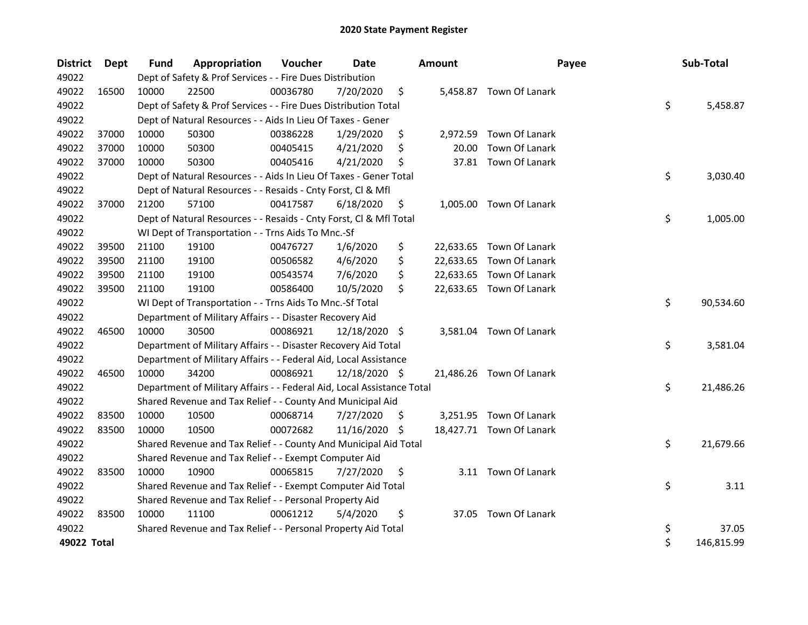| <b>District</b> | Dept  | <b>Fund</b> | Appropriation                                                          | Voucher  | <b>Date</b>   | <b>Amount</b>  | Payee                    | Sub-Total        |
|-----------------|-------|-------------|------------------------------------------------------------------------|----------|---------------|----------------|--------------------------|------------------|
| 49022           |       |             | Dept of Safety & Prof Services - - Fire Dues Distribution              |          |               |                |                          |                  |
| 49022           | 16500 | 10000       | 22500                                                                  | 00036780 | 7/20/2020     | \$             | 5,458.87 Town Of Lanark  |                  |
| 49022           |       |             | Dept of Safety & Prof Services - - Fire Dues Distribution Total        |          |               |                |                          | \$<br>5,458.87   |
| 49022           |       |             | Dept of Natural Resources - - Aids In Lieu Of Taxes - Gener            |          |               |                |                          |                  |
| 49022           | 37000 | 10000       | 50300                                                                  | 00386228 | 1/29/2020     | \$             | 2,972.59 Town Of Lanark  |                  |
| 49022           | 37000 | 10000       | 50300                                                                  | 00405415 | 4/21/2020     | \$<br>20.00    | Town Of Lanark           |                  |
| 49022           | 37000 | 10000       | 50300                                                                  | 00405416 | 4/21/2020     | \$             | 37.81 Town Of Lanark     |                  |
| 49022           |       |             | Dept of Natural Resources - - Aids In Lieu Of Taxes - Gener Total      |          |               |                |                          | \$<br>3,030.40   |
| 49022           |       |             | Dept of Natural Resources - - Resaids - Cnty Forst, Cl & Mfl           |          |               |                |                          |                  |
| 49022           | 37000 | 21200       | 57100                                                                  | 00417587 | 6/18/2020     | \$<br>1,005.00 | Town Of Lanark           |                  |
| 49022           |       |             | Dept of Natural Resources - - Resaids - Cnty Forst, Cl & Mfl Total     |          |               |                |                          | \$<br>1,005.00   |
| 49022           |       |             | WI Dept of Transportation - - Trns Aids To Mnc.-Sf                     |          |               |                |                          |                  |
| 49022           | 39500 | 21100       | 19100                                                                  | 00476727 | 1/6/2020      | \$             | 22,633.65 Town Of Lanark |                  |
| 49022           | 39500 | 21100       | 19100                                                                  | 00506582 | 4/6/2020      | \$             | 22,633.65 Town Of Lanark |                  |
| 49022           | 39500 | 21100       | 19100                                                                  | 00543574 | 7/6/2020      | \$             | 22,633.65 Town Of Lanark |                  |
| 49022           | 39500 | 21100       | 19100                                                                  | 00586400 | 10/5/2020     | \$             | 22,633.65 Town Of Lanark |                  |
| 49022           |       |             | WI Dept of Transportation - - Trns Aids To Mnc.-Sf Total               |          |               |                |                          | \$<br>90,534.60  |
| 49022           |       |             | Department of Military Affairs - - Disaster Recovery Aid               |          |               |                |                          |                  |
| 49022           | 46500 | 10000       | 30500                                                                  | 00086921 | 12/18/2020 \$ |                | 3,581.04 Town Of Lanark  |                  |
| 49022           |       |             | Department of Military Affairs - - Disaster Recovery Aid Total         |          |               |                |                          | \$<br>3,581.04   |
| 49022           |       |             | Department of Military Affairs - - Federal Aid, Local Assistance       |          |               |                |                          |                  |
| 49022           | 46500 | 10000       | 34200                                                                  | 00086921 | 12/18/2020 \$ |                | 21,486.26 Town Of Lanark |                  |
| 49022           |       |             | Department of Military Affairs - - Federal Aid, Local Assistance Total |          |               |                |                          | \$<br>21,486.26  |
| 49022           |       |             | Shared Revenue and Tax Relief - - County And Municipal Aid             |          |               |                |                          |                  |
| 49022           | 83500 | 10000       | 10500                                                                  | 00068714 | 7/27/2020     | \$             | 3,251.95 Town Of Lanark  |                  |
| 49022           | 83500 | 10000       | 10500                                                                  | 00072682 | 11/16/2020 \$ |                | 18,427.71 Town Of Lanark |                  |
| 49022           |       |             | Shared Revenue and Tax Relief - - County And Municipal Aid Total       |          |               |                |                          | \$<br>21,679.66  |
| 49022           |       |             | Shared Revenue and Tax Relief - - Exempt Computer Aid                  |          |               |                |                          |                  |
| 49022           | 83500 | 10000       | 10900                                                                  | 00065815 | 7/27/2020     | \$             | 3.11 Town Of Lanark      |                  |
| 49022           |       |             | Shared Revenue and Tax Relief - - Exempt Computer Aid Total            |          |               |                |                          | \$<br>3.11       |
| 49022           |       |             | Shared Revenue and Tax Relief - - Personal Property Aid                |          |               |                |                          |                  |
| 49022           | 83500 | 10000       | 11100                                                                  | 00061212 | 5/4/2020      | \$             | 37.05 Town Of Lanark     |                  |
| 49022           |       |             | Shared Revenue and Tax Relief - - Personal Property Aid Total          |          |               |                |                          | \$<br>37.05      |
| 49022 Total     |       |             |                                                                        |          |               |                |                          | \$<br>146,815.99 |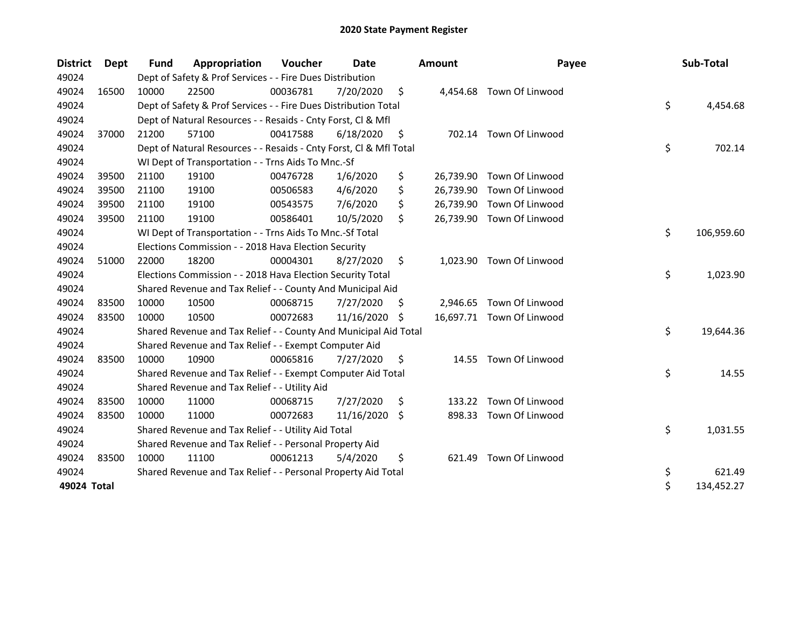| <b>District</b> | Dept  | <b>Fund</b> | Appropriation                                                      | Voucher  | Date       |     | <b>Amount</b> | Payee                     | Sub-Total        |
|-----------------|-------|-------------|--------------------------------------------------------------------|----------|------------|-----|---------------|---------------------------|------------------|
| 49024           |       |             | Dept of Safety & Prof Services - - Fire Dues Distribution          |          |            |     |               |                           |                  |
| 49024           | 16500 | 10000       | 22500                                                              | 00036781 | 7/20/2020  | \$  |               | 4,454.68 Town Of Linwood  |                  |
| 49024           |       |             | Dept of Safety & Prof Services - - Fire Dues Distribution Total    |          |            |     |               |                           | \$<br>4,454.68   |
| 49024           |       |             | Dept of Natural Resources - - Resaids - Cnty Forst, Cl & Mfl       |          |            |     |               |                           |                  |
| 49024           | 37000 | 21200       | 57100                                                              | 00417588 | 6/18/2020  | \$  |               | 702.14 Town Of Linwood    |                  |
| 49024           |       |             | Dept of Natural Resources - - Resaids - Cnty Forst, Cl & Mfl Total |          |            |     |               |                           | \$<br>702.14     |
| 49024           |       |             | WI Dept of Transportation - - Trns Aids To Mnc.-Sf                 |          |            |     |               |                           |                  |
| 49024           | 39500 | 21100       | 19100                                                              | 00476728 | 1/6/2020   | \$  | 26,739.90     | Town Of Linwood           |                  |
| 49024           | 39500 | 21100       | 19100                                                              | 00506583 | 4/6/2020   | \$  |               | 26,739.90 Town Of Linwood |                  |
| 49024           | 39500 | 21100       | 19100                                                              | 00543575 | 7/6/2020   | \$  |               | 26,739.90 Town Of Linwood |                  |
| 49024           | 39500 | 21100       | 19100                                                              | 00586401 | 10/5/2020  | \$  |               | 26,739.90 Town Of Linwood |                  |
| 49024           |       |             | WI Dept of Transportation - - Trns Aids To Mnc.-Sf Total           |          |            |     |               |                           | \$<br>106,959.60 |
| 49024           |       |             | Elections Commission - - 2018 Hava Election Security               |          |            |     |               |                           |                  |
| 49024           | 51000 | 22000       | 18200                                                              | 00004301 | 8/27/2020  | \$  |               | 1,023.90 Town Of Linwood  |                  |
| 49024           |       |             | Elections Commission - - 2018 Hava Election Security Total         |          |            |     |               |                           | \$<br>1,023.90   |
| 49024           |       |             | Shared Revenue and Tax Relief - - County And Municipal Aid         |          |            |     |               |                           |                  |
| 49024           | 83500 | 10000       | 10500                                                              | 00068715 | 7/27/2020  | \$, | 2,946.65      | Town Of Linwood           |                  |
| 49024           | 83500 | 10000       | 10500                                                              | 00072683 | 11/16/2020 | -S  |               | 16,697.71 Town Of Linwood |                  |
| 49024           |       |             | Shared Revenue and Tax Relief - - County And Municipal Aid Total   |          |            |     |               |                           | \$<br>19,644.36  |
| 49024           |       |             | Shared Revenue and Tax Relief - - Exempt Computer Aid              |          |            |     |               |                           |                  |
| 49024           | 83500 | 10000       | 10900                                                              | 00065816 | 7/27/2020  | \$  | 14.55         | Town Of Linwood           |                  |
| 49024           |       |             | Shared Revenue and Tax Relief - - Exempt Computer Aid Total        |          |            |     |               |                           | \$<br>14.55      |
| 49024           |       |             | Shared Revenue and Tax Relief - - Utility Aid                      |          |            |     |               |                           |                  |
| 49024           | 83500 | 10000       | 11000                                                              | 00068715 | 7/27/2020  | \$  | 133.22        | Town Of Linwood           |                  |
| 49024           | 83500 | 10000       | 11000                                                              | 00072683 | 11/16/2020 | -S  | 898.33        | Town Of Linwood           |                  |
| 49024           |       |             | Shared Revenue and Tax Relief - - Utility Aid Total                |          |            |     |               |                           | \$<br>1,031.55   |
| 49024           |       |             | Shared Revenue and Tax Relief - - Personal Property Aid            |          |            |     |               |                           |                  |
| 49024           | 83500 | 10000       | 11100                                                              | 00061213 | 5/4/2020   | \$  | 621.49        | Town Of Linwood           |                  |
| 49024           |       |             | Shared Revenue and Tax Relief - - Personal Property Aid Total      |          |            |     |               |                           | \$<br>621.49     |
| 49024 Total     |       |             |                                                                    |          |            |     |               |                           | \$<br>134,452.27 |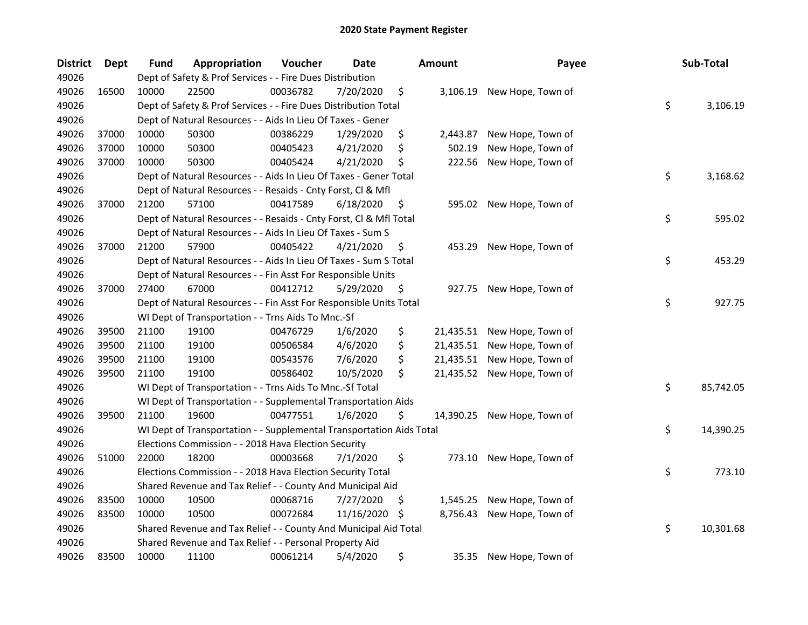| <b>District</b> | Dept  | <b>Fund</b> | Appropriation                                                        | Voucher  | <b>Date</b> |     | <b>Amount</b> | Payee             | Sub-Total       |
|-----------------|-------|-------------|----------------------------------------------------------------------|----------|-------------|-----|---------------|-------------------|-----------------|
| 49026           |       |             | Dept of Safety & Prof Services - - Fire Dues Distribution            |          |             |     |               |                   |                 |
| 49026           | 16500 | 10000       | 22500                                                                | 00036782 | 7/20/2020   | \$  | 3,106.19      | New Hope, Town of |                 |
| 49026           |       |             | Dept of Safety & Prof Services - - Fire Dues Distribution Total      |          |             |     |               |                   | \$<br>3,106.19  |
| 49026           |       |             | Dept of Natural Resources - - Aids In Lieu Of Taxes - Gener          |          |             |     |               |                   |                 |
| 49026           | 37000 | 10000       | 50300                                                                | 00386229 | 1/29/2020   | \$  | 2,443.87      | New Hope, Town of |                 |
| 49026           | 37000 | 10000       | 50300                                                                | 00405423 | 4/21/2020   | \$  | 502.19        | New Hope, Town of |                 |
| 49026           | 37000 | 10000       | 50300                                                                | 00405424 | 4/21/2020   | \$  | 222.56        | New Hope, Town of |                 |
| 49026           |       |             | Dept of Natural Resources - - Aids In Lieu Of Taxes - Gener Total    |          |             |     |               |                   | \$<br>3,168.62  |
| 49026           |       |             | Dept of Natural Resources - - Resaids - Cnty Forst, Cl & Mfl         |          |             |     |               |                   |                 |
| 49026           | 37000 | 21200       | 57100                                                                | 00417589 | 6/18/2020   | \$  | 595.02        | New Hope, Town of |                 |
| 49026           |       |             | Dept of Natural Resources - - Resaids - Cnty Forst, Cl & Mfl Total   |          |             |     |               |                   | \$<br>595.02    |
| 49026           |       |             | Dept of Natural Resources - - Aids In Lieu Of Taxes - Sum S          |          |             |     |               |                   |                 |
| 49026           | 37000 | 21200       | 57900                                                                | 00405422 | 4/21/2020   | \$, | 453.29        | New Hope, Town of |                 |
| 49026           |       |             | Dept of Natural Resources - - Aids In Lieu Of Taxes - Sum S Total    |          |             |     |               |                   | \$<br>453.29    |
| 49026           |       |             | Dept of Natural Resources - - Fin Asst For Responsible Units         |          |             |     |               |                   |                 |
| 49026           | 37000 | 27400       | 67000                                                                | 00412712 | 5/29/2020   | \$  | 927.75        | New Hope, Town of |                 |
| 49026           |       |             | Dept of Natural Resources - - Fin Asst For Responsible Units Total   |          |             |     |               |                   | \$<br>927.75    |
| 49026           |       |             | WI Dept of Transportation - - Trns Aids To Mnc.-Sf                   |          |             |     |               |                   |                 |
| 49026           | 39500 | 21100       | 19100                                                                | 00476729 | 1/6/2020    | \$  | 21,435.51     | New Hope, Town of |                 |
| 49026           | 39500 | 21100       | 19100                                                                | 00506584 | 4/6/2020    | \$  | 21,435.51     | New Hope, Town of |                 |
| 49026           | 39500 | 21100       | 19100                                                                | 00543576 | 7/6/2020    | \$  | 21,435.51     | New Hope, Town of |                 |
| 49026           | 39500 | 21100       | 19100                                                                | 00586402 | 10/5/2020   | \$  | 21,435.52     | New Hope, Town of |                 |
| 49026           |       |             | WI Dept of Transportation - - Trns Aids To Mnc.-Sf Total             |          |             |     |               |                   | \$<br>85,742.05 |
| 49026           |       |             | WI Dept of Transportation - - Supplemental Transportation Aids       |          |             |     |               |                   |                 |
| 49026           | 39500 | 21100       | 19600                                                                | 00477551 | 1/6/2020    | \$  | 14,390.25     | New Hope, Town of |                 |
| 49026           |       |             | WI Dept of Transportation - - Supplemental Transportation Aids Total |          |             |     |               |                   | \$<br>14,390.25 |
| 49026           |       |             | Elections Commission - - 2018 Hava Election Security                 |          |             |     |               |                   |                 |
| 49026           | 51000 | 22000       | 18200                                                                | 00003668 | 7/1/2020    | \$  | 773.10        | New Hope, Town of |                 |
| 49026           |       |             | Elections Commission - - 2018 Hava Election Security Total           |          |             |     |               |                   | \$<br>773.10    |
| 49026           |       |             | Shared Revenue and Tax Relief - - County And Municipal Aid           |          |             |     |               |                   |                 |
| 49026           | 83500 | 10000       | 10500                                                                | 00068716 | 7/27/2020   | \$  | 1,545.25      | New Hope, Town of |                 |
| 49026           | 83500 | 10000       | 10500                                                                | 00072684 | 11/16/2020  | -S  | 8,756.43      | New Hope, Town of |                 |
| 49026           |       |             | Shared Revenue and Tax Relief - - County And Municipal Aid Total     |          |             |     |               |                   | \$<br>10,301.68 |
| 49026           |       |             | Shared Revenue and Tax Relief - - Personal Property Aid              |          |             |     |               |                   |                 |
| 49026           | 83500 | 10000       | 11100                                                                | 00061214 | 5/4/2020    | \$  | 35.35         | New Hope, Town of |                 |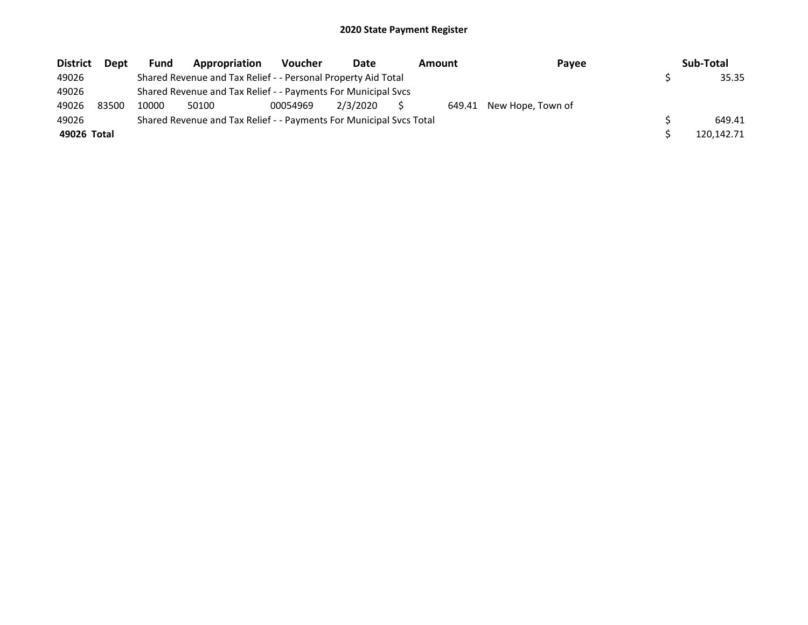| <b>District</b> | Dept  | Fund  | Appropriation                                                       | <b>Voucher</b> | Date     | Amount |        | Payee             | Sub-Total  |
|-----------------|-------|-------|---------------------------------------------------------------------|----------------|----------|--------|--------|-------------------|------------|
| 49026           |       |       | Shared Revenue and Tax Relief - - Personal Property Aid Total       |                |          |        |        |                   | 35.35      |
| 49026           |       |       | Shared Revenue and Tax Relief - - Payments For Municipal Svcs       |                |          |        |        |                   |            |
| 49026           | 83500 | 10000 | 50100                                                               | 00054969       | 2/3/2020 |        | 649.41 | New Hope, Town of |            |
| 49026           |       |       | Shared Revenue and Tax Relief - - Payments For Municipal Svcs Total |                |          |        |        |                   | 649.41     |
| 49026 Total     |       |       |                                                                     |                |          |        |        |                   | 120.142.71 |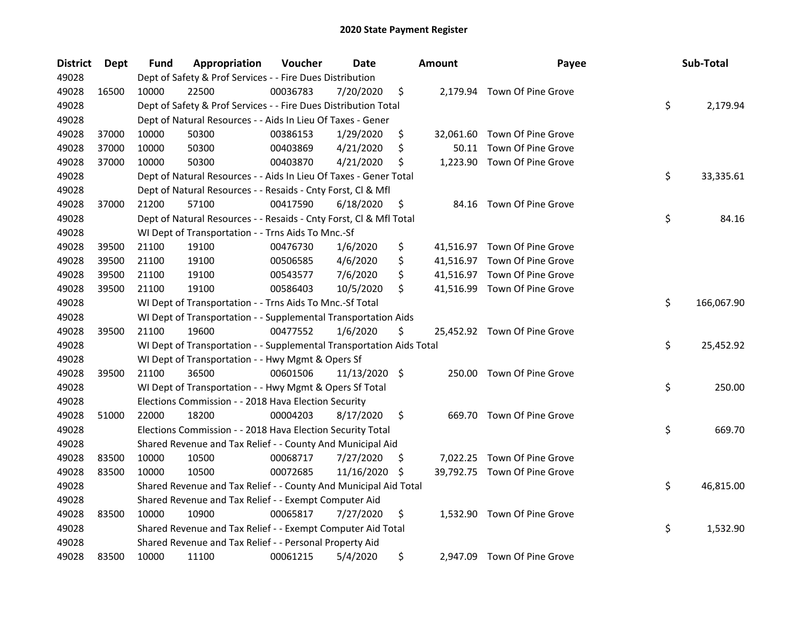| <b>District</b> | Dept  | Fund  | Appropriation                                                        | Voucher  | Date          |     | <b>Amount</b> | Payee                        | Sub-Total        |
|-----------------|-------|-------|----------------------------------------------------------------------|----------|---------------|-----|---------------|------------------------------|------------------|
| 49028           |       |       | Dept of Safety & Prof Services - - Fire Dues Distribution            |          |               |     |               |                              |                  |
| 49028           | 16500 | 10000 | 22500                                                                | 00036783 | 7/20/2020     | \$  |               | 2,179.94 Town Of Pine Grove  |                  |
| 49028           |       |       | Dept of Safety & Prof Services - - Fire Dues Distribution Total      |          |               |     |               |                              | \$<br>2,179.94   |
| 49028           |       |       | Dept of Natural Resources - - Aids In Lieu Of Taxes - Gener          |          |               |     |               |                              |                  |
| 49028           | 37000 | 10000 | 50300                                                                | 00386153 | 1/29/2020     | \$  |               | 32,061.60 Town Of Pine Grove |                  |
| 49028           | 37000 | 10000 | 50300                                                                | 00403869 | 4/21/2020     | \$  | 50.11         | Town Of Pine Grove           |                  |
| 49028           | 37000 | 10000 | 50300                                                                | 00403870 | 4/21/2020     | \$  |               | 1,223.90 Town Of Pine Grove  |                  |
| 49028           |       |       | Dept of Natural Resources - - Aids In Lieu Of Taxes - Gener Total    |          |               |     |               |                              | \$<br>33,335.61  |
| 49028           |       |       | Dept of Natural Resources - - Resaids - Cnty Forst, Cl & Mfl         |          |               |     |               |                              |                  |
| 49028           | 37000 | 21200 | 57100                                                                | 00417590 | 6/18/2020     | \$  |               | 84.16 Town Of Pine Grove     |                  |
| 49028           |       |       | Dept of Natural Resources - - Resaids - Cnty Forst, Cl & Mfl Total   |          |               |     |               |                              | \$<br>84.16      |
| 49028           |       |       | WI Dept of Transportation - - Trns Aids To Mnc.-Sf                   |          |               |     |               |                              |                  |
| 49028           | 39500 | 21100 | 19100                                                                | 00476730 | 1/6/2020      | \$  |               | 41,516.97 Town Of Pine Grove |                  |
| 49028           | 39500 | 21100 | 19100                                                                | 00506585 | 4/6/2020      | \$  |               | 41,516.97 Town Of Pine Grove |                  |
| 49028           | 39500 | 21100 | 19100                                                                | 00543577 | 7/6/2020      | \$  |               | 41,516.97 Town Of Pine Grove |                  |
| 49028           | 39500 | 21100 | 19100                                                                | 00586403 | 10/5/2020     | \$  |               | 41,516.99 Town Of Pine Grove |                  |
| 49028           |       |       | WI Dept of Transportation - - Trns Aids To Mnc.-Sf Total             |          |               |     |               |                              | \$<br>166,067.90 |
| 49028           |       |       | WI Dept of Transportation - - Supplemental Transportation Aids       |          |               |     |               |                              |                  |
| 49028           | 39500 | 21100 | 19600                                                                | 00477552 | 1/6/2020      | \$  |               | 25,452.92 Town Of Pine Grove |                  |
| 49028           |       |       | WI Dept of Transportation - - Supplemental Transportation Aids Total |          |               |     |               |                              | \$<br>25,452.92  |
| 49028           |       |       | WI Dept of Transportation - - Hwy Mgmt & Opers Sf                    |          |               |     |               |                              |                  |
| 49028           | 39500 | 21100 | 36500                                                                | 00601506 | 11/13/2020 \$ |     |               | 250.00 Town Of Pine Grove    |                  |
| 49028           |       |       | WI Dept of Transportation - - Hwy Mgmt & Opers Sf Total              |          |               |     |               |                              | \$<br>250.00     |
| 49028           |       |       | Elections Commission - - 2018 Hava Election Security                 |          |               |     |               |                              |                  |
| 49028           | 51000 | 22000 | 18200                                                                | 00004203 | 8/17/2020     | \$  |               | 669.70 Town Of Pine Grove    |                  |
| 49028           |       |       | Elections Commission - - 2018 Hava Election Security Total           |          |               |     |               |                              | \$<br>669.70     |
| 49028           |       |       | Shared Revenue and Tax Relief - - County And Municipal Aid           |          |               |     |               |                              |                  |
| 49028           | 83500 | 10000 | 10500                                                                | 00068717 | 7/27/2020     | \$, |               | 7,022.25 Town Of Pine Grove  |                  |
| 49028           | 83500 | 10000 | 10500                                                                | 00072685 | 11/16/2020    | S   |               | 39,792.75 Town Of Pine Grove |                  |
| 49028           |       |       | Shared Revenue and Tax Relief - - County And Municipal Aid Total     |          |               |     |               |                              | \$<br>46,815.00  |
| 49028           |       |       | Shared Revenue and Tax Relief - - Exempt Computer Aid                |          |               |     |               |                              |                  |
| 49028           | 83500 | 10000 | 10900                                                                | 00065817 | 7/27/2020     | \$  |               | 1,532.90 Town Of Pine Grove  |                  |
| 49028           |       |       | Shared Revenue and Tax Relief - - Exempt Computer Aid Total          |          |               |     |               |                              | \$<br>1,532.90   |
| 49028           |       |       | Shared Revenue and Tax Relief - - Personal Property Aid              |          |               |     |               |                              |                  |
| 49028           | 83500 | 10000 | 11100                                                                | 00061215 | 5/4/2020      | \$  |               | 2,947.09 Town Of Pine Grove  |                  |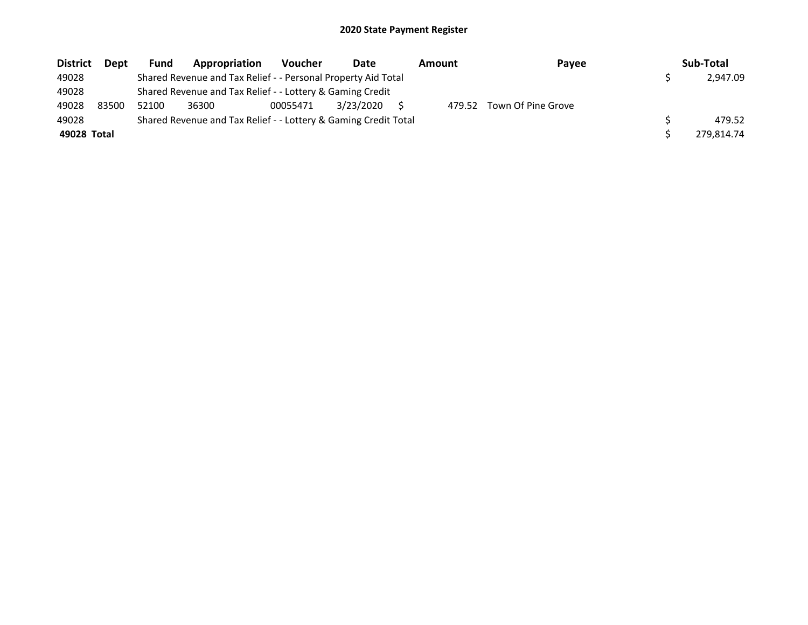| <b>District</b> | Dept  | Fund  | Appropriation                                                   | <b>Voucher</b> | Date      | <b>Amount</b> | Payee              | Sub-Total  |
|-----------------|-------|-------|-----------------------------------------------------------------|----------------|-----------|---------------|--------------------|------------|
| 49028           |       |       | Shared Revenue and Tax Relief - - Personal Property Aid Total   |                |           |               |                    | 2,947.09   |
| 49028           |       |       | Shared Revenue and Tax Relief - - Lottery & Gaming Credit       |                |           |               |                    |            |
| 49028           | 83500 | 52100 | 36300                                                           | 00055471       | 3/23/2020 | 479.52        | Town Of Pine Grove |            |
| 49028           |       |       | Shared Revenue and Tax Relief - - Lottery & Gaming Credit Total |                |           |               |                    | 479.52     |
| 49028 Total     |       |       |                                                                 |                |           |               |                    | 279.814.74 |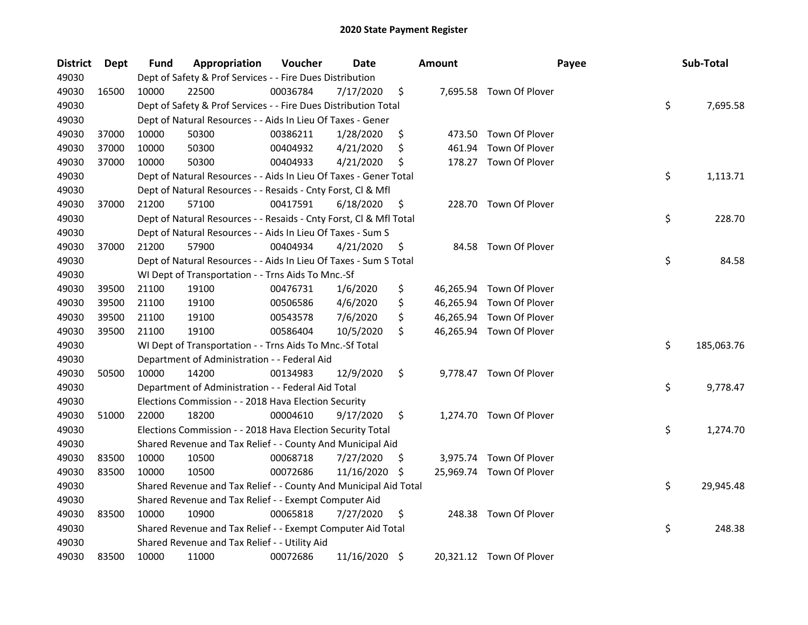| <b>District</b> | Dept  | Fund  | Appropriation                                                      | Voucher  | Date          |     | <b>Amount</b> | Payee                    | Sub-Total        |
|-----------------|-------|-------|--------------------------------------------------------------------|----------|---------------|-----|---------------|--------------------------|------------------|
| 49030           |       |       | Dept of Safety & Prof Services - - Fire Dues Distribution          |          |               |     |               |                          |                  |
| 49030           | 16500 | 10000 | 22500                                                              | 00036784 | 7/17/2020     | \$  |               | 7,695.58 Town Of Plover  |                  |
| 49030           |       |       | Dept of Safety & Prof Services - - Fire Dues Distribution Total    |          |               |     |               |                          | \$<br>7,695.58   |
| 49030           |       |       | Dept of Natural Resources - - Aids In Lieu Of Taxes - Gener        |          |               |     |               |                          |                  |
| 49030           | 37000 | 10000 | 50300                                                              | 00386211 | 1/28/2020     | \$  |               | 473.50 Town Of Plover    |                  |
| 49030           | 37000 | 10000 | 50300                                                              | 00404932 | 4/21/2020     | \$  | 461.94        | Town Of Plover           |                  |
| 49030           | 37000 | 10000 | 50300                                                              | 00404933 | 4/21/2020     | \$  |               | 178.27 Town Of Plover    |                  |
| 49030           |       |       | Dept of Natural Resources - - Aids In Lieu Of Taxes - Gener Total  |          |               |     |               |                          | \$<br>1,113.71   |
| 49030           |       |       | Dept of Natural Resources - - Resaids - Cnty Forst, Cl & Mfl       |          |               |     |               |                          |                  |
| 49030           | 37000 | 21200 | 57100                                                              | 00417591 | 6/18/2020     | \$  |               | 228.70 Town Of Plover    |                  |
| 49030           |       |       | Dept of Natural Resources - - Resaids - Cnty Forst, Cl & Mfl Total |          |               |     |               |                          | \$<br>228.70     |
| 49030           |       |       | Dept of Natural Resources - - Aids In Lieu Of Taxes - Sum S        |          |               |     |               |                          |                  |
| 49030           | 37000 | 21200 | 57900                                                              | 00404934 | 4/21/2020     | \$, | 84.58         | Town Of Plover           |                  |
| 49030           |       |       | Dept of Natural Resources - - Aids In Lieu Of Taxes - Sum S Total  |          |               |     |               |                          | \$<br>84.58      |
| 49030           |       |       | WI Dept of Transportation - - Trns Aids To Mnc.-Sf                 |          |               |     |               |                          |                  |
| 49030           | 39500 | 21100 | 19100                                                              | 00476731 | 1/6/2020      | \$  |               | 46,265.94 Town Of Plover |                  |
| 49030           | 39500 | 21100 | 19100                                                              | 00506586 | 4/6/2020      | \$  |               | 46,265.94 Town Of Plover |                  |
| 49030           | 39500 | 21100 | 19100                                                              | 00543578 | 7/6/2020      | \$  | 46,265.94     | Town Of Plover           |                  |
| 49030           | 39500 | 21100 | 19100                                                              | 00586404 | 10/5/2020     | \$  |               | 46,265.94 Town Of Plover |                  |
| 49030           |       |       | WI Dept of Transportation - - Trns Aids To Mnc.-Sf Total           |          |               |     |               |                          | \$<br>185,063.76 |
| 49030           |       |       | Department of Administration - - Federal Aid                       |          |               |     |               |                          |                  |
| 49030           | 50500 | 10000 | 14200                                                              | 00134983 | 12/9/2020     | \$  |               | 9,778.47 Town Of Plover  |                  |
| 49030           |       |       | Department of Administration - - Federal Aid Total                 |          |               |     |               |                          | \$<br>9,778.47   |
| 49030           |       |       | Elections Commission - - 2018 Hava Election Security               |          |               |     |               |                          |                  |
| 49030           | 51000 | 22000 | 18200                                                              | 00004610 | 9/17/2020     | \$  |               | 1,274.70 Town Of Plover  |                  |
| 49030           |       |       | Elections Commission - - 2018 Hava Election Security Total         |          |               |     |               |                          | \$<br>1,274.70   |
| 49030           |       |       | Shared Revenue and Tax Relief - - County And Municipal Aid         |          |               |     |               |                          |                  |
| 49030           | 83500 | 10000 | 10500                                                              | 00068718 | 7/27/2020     | \$. |               | 3,975.74 Town Of Plover  |                  |
| 49030           | 83500 | 10000 | 10500                                                              | 00072686 | 11/16/2020    | \$. |               | 25,969.74 Town Of Plover |                  |
| 49030           |       |       | Shared Revenue and Tax Relief - - County And Municipal Aid Total   |          |               |     |               |                          | \$<br>29,945.48  |
| 49030           |       |       | Shared Revenue and Tax Relief - - Exempt Computer Aid              |          |               |     |               |                          |                  |
| 49030           | 83500 | 10000 | 10900                                                              | 00065818 | 7/27/2020     | \$  | 248.38        | Town Of Plover           |                  |
| 49030           |       |       | Shared Revenue and Tax Relief - - Exempt Computer Aid Total        |          |               |     |               |                          | \$<br>248.38     |
| 49030           |       |       | Shared Revenue and Tax Relief - - Utility Aid                      |          |               |     |               |                          |                  |
| 49030           | 83500 | 10000 | 11000                                                              | 00072686 | 11/16/2020 \$ |     |               | 20,321.12 Town Of Plover |                  |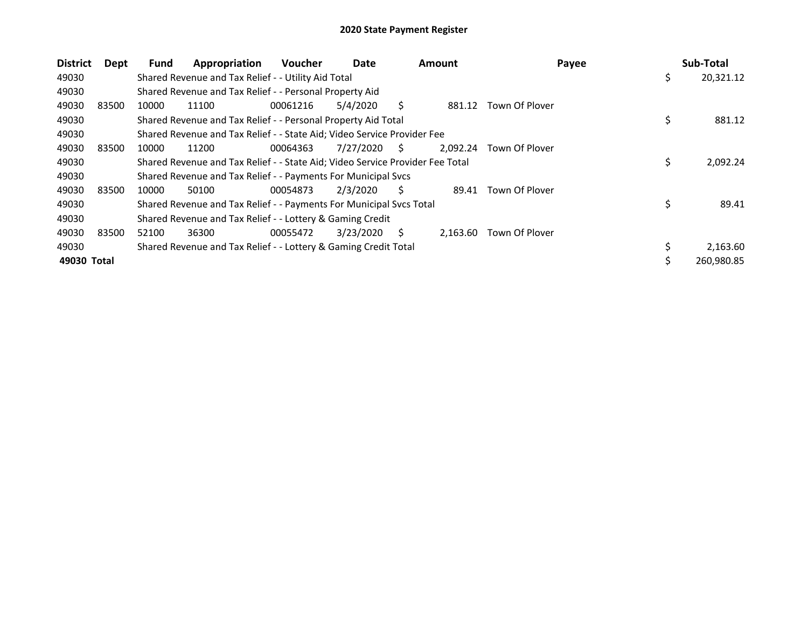| <b>District</b> | Dept  | Fund  | Appropriation                                                                 | <b>Voucher</b> | Date      |    | <b>Amount</b> | Payee          | Sub-Total       |
|-----------------|-------|-------|-------------------------------------------------------------------------------|----------------|-----------|----|---------------|----------------|-----------------|
| 49030           |       |       | Shared Revenue and Tax Relief - - Utility Aid Total                           |                |           |    |               |                | \$<br>20,321.12 |
| 49030           |       |       | Shared Revenue and Tax Relief - - Personal Property Aid                       |                |           |    |               |                |                 |
| 49030           | 83500 | 10000 | 11100                                                                         | 00061216       | 5/4/2020  | S  | 881.12        | Town Of Plover |                 |
| 49030           |       |       | Shared Revenue and Tax Relief - - Personal Property Aid Total                 |                |           |    |               |                | \$<br>881.12    |
| 49030           |       |       | Shared Revenue and Tax Relief - - State Aid; Video Service Provider Fee       |                |           |    |               |                |                 |
| 49030           | 83500 | 10000 | 11200                                                                         | 00064363       | 7/27/2020 | S. | 2.092.24      | Town Of Plover |                 |
| 49030           |       |       | Shared Revenue and Tax Relief - - State Aid; Video Service Provider Fee Total |                |           |    |               |                | \$<br>2,092.24  |
| 49030           |       |       | Shared Revenue and Tax Relief - - Payments For Municipal Svcs                 |                |           |    |               |                |                 |
| 49030           | 83500 | 10000 | 50100                                                                         | 00054873       | 2/3/2020  | S. | 89.41         | Town Of Plover |                 |
| 49030           |       |       | Shared Revenue and Tax Relief - - Payments For Municipal Svcs Total           |                |           |    |               |                | \$<br>89.41     |
| 49030           |       |       | Shared Revenue and Tax Relief - - Lottery & Gaming Credit                     |                |           |    |               |                |                 |
| 49030           | 83500 | 52100 | 36300                                                                         | 00055472       | 3/23/2020 | S  | 2,163.60      | Town Of Plover |                 |
| 49030           |       |       | Shared Revenue and Tax Relief - - Lottery & Gaming Credit Total               |                |           |    |               |                | \$<br>2,163.60  |
| 49030 Total     |       |       |                                                                               |                |           |    |               |                | 260,980.85      |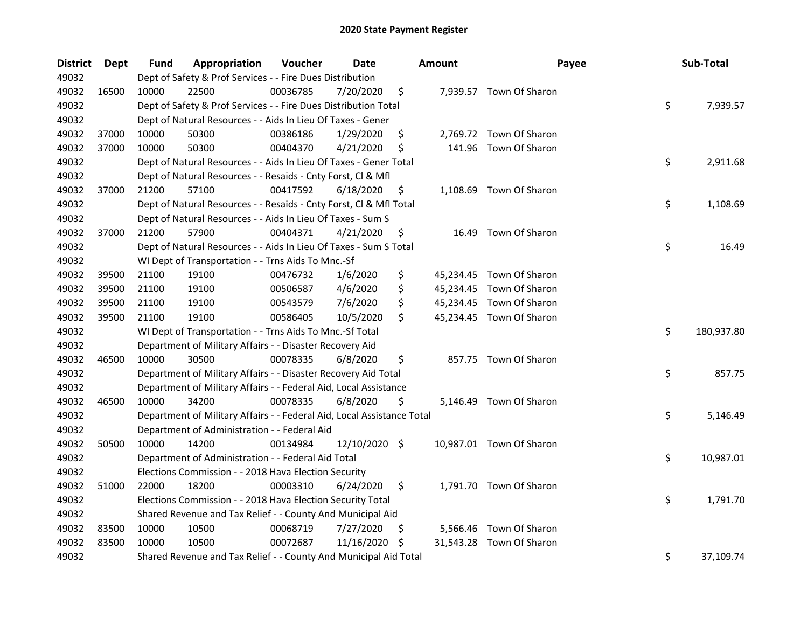| <b>District</b> | <b>Dept</b> | Fund  | Appropriation                                                          | Voucher  | <b>Date</b>   |     | <b>Amount</b> | Payee                    | Sub-Total        |
|-----------------|-------------|-------|------------------------------------------------------------------------|----------|---------------|-----|---------------|--------------------------|------------------|
| 49032           |             |       | Dept of Safety & Prof Services - - Fire Dues Distribution              |          |               |     |               |                          |                  |
| 49032           | 16500       | 10000 | 22500                                                                  | 00036785 | 7/20/2020     | \$  |               | 7,939.57 Town Of Sharon  |                  |
| 49032           |             |       | Dept of Safety & Prof Services - - Fire Dues Distribution Total        |          |               |     |               |                          | \$<br>7,939.57   |
| 49032           |             |       | Dept of Natural Resources - - Aids In Lieu Of Taxes - Gener            |          |               |     |               |                          |                  |
| 49032           | 37000       | 10000 | 50300                                                                  | 00386186 | 1/29/2020     | \$  |               | 2,769.72 Town Of Sharon  |                  |
| 49032           | 37000       | 10000 | 50300                                                                  | 00404370 | 4/21/2020     | \$  |               | 141.96 Town Of Sharon    |                  |
| 49032           |             |       | Dept of Natural Resources - - Aids In Lieu Of Taxes - Gener Total      |          |               |     |               |                          | \$<br>2,911.68   |
| 49032           |             |       | Dept of Natural Resources - - Resaids - Cnty Forst, Cl & Mfl           |          |               |     |               |                          |                  |
| 49032           | 37000       | 21200 | 57100                                                                  | 00417592 | 6/18/2020     | \$, |               | 1,108.69 Town Of Sharon  |                  |
| 49032           |             |       | Dept of Natural Resources - - Resaids - Cnty Forst, Cl & Mfl Total     |          |               |     |               |                          | \$<br>1,108.69   |
| 49032           |             |       | Dept of Natural Resources - - Aids In Lieu Of Taxes - Sum S            |          |               |     |               |                          |                  |
| 49032           | 37000       | 21200 | 57900                                                                  | 00404371 | 4/21/2020     | \$  |               | 16.49 Town Of Sharon     |                  |
| 49032           |             |       | Dept of Natural Resources - - Aids In Lieu Of Taxes - Sum S Total      |          |               |     |               |                          | \$<br>16.49      |
| 49032           |             |       | WI Dept of Transportation - - Trns Aids To Mnc.-Sf                     |          |               |     |               |                          |                  |
| 49032           | 39500       | 21100 | 19100                                                                  | 00476732 | 1/6/2020      | \$  |               | 45,234.45 Town Of Sharon |                  |
| 49032           | 39500       | 21100 | 19100                                                                  | 00506587 | 4/6/2020      | \$  |               | 45,234.45 Town Of Sharon |                  |
| 49032           | 39500       | 21100 | 19100                                                                  | 00543579 | 7/6/2020      | \$  |               | 45,234.45 Town Of Sharon |                  |
| 49032           | 39500       | 21100 | 19100                                                                  | 00586405 | 10/5/2020     | \$  |               | 45,234.45 Town Of Sharon |                  |
| 49032           |             |       | WI Dept of Transportation - - Trns Aids To Mnc.-Sf Total               |          |               |     |               |                          | \$<br>180,937.80 |
| 49032           |             |       | Department of Military Affairs - - Disaster Recovery Aid               |          |               |     |               |                          |                  |
| 49032           | 46500       | 10000 | 30500                                                                  | 00078335 | 6/8/2020      | \$  |               | 857.75 Town Of Sharon    |                  |
| 49032           |             |       | Department of Military Affairs - - Disaster Recovery Aid Total         |          |               |     |               |                          | \$<br>857.75     |
| 49032           |             |       | Department of Military Affairs - - Federal Aid, Local Assistance       |          |               |     |               |                          |                  |
| 49032           | 46500       | 10000 | 34200                                                                  | 00078335 | 6/8/2020      | \$  |               | 5,146.49 Town Of Sharon  |                  |
| 49032           |             |       | Department of Military Affairs - - Federal Aid, Local Assistance Total |          |               |     |               |                          | \$<br>5,146.49   |
| 49032           |             |       | Department of Administration - - Federal Aid                           |          |               |     |               |                          |                  |
| 49032           | 50500       | 10000 | 14200                                                                  | 00134984 | 12/10/2020 \$ |     |               | 10,987.01 Town Of Sharon |                  |
| 49032           |             |       | Department of Administration - - Federal Aid Total                     |          |               |     |               |                          | \$<br>10,987.01  |
| 49032           |             |       | Elections Commission - - 2018 Hava Election Security                   |          |               |     |               |                          |                  |
| 49032           | 51000       | 22000 | 18200                                                                  | 00003310 | 6/24/2020     | \$  |               | 1,791.70 Town Of Sharon  |                  |
| 49032           |             |       | Elections Commission - - 2018 Hava Election Security Total             |          |               |     |               |                          | \$<br>1,791.70   |
| 49032           |             |       | Shared Revenue and Tax Relief - - County And Municipal Aid             |          |               |     |               |                          |                  |
| 49032           | 83500       | 10000 | 10500                                                                  | 00068719 | 7/27/2020     | \$, |               | 5,566.46 Town Of Sharon  |                  |
| 49032           | 83500       | 10000 | 10500                                                                  | 00072687 | 11/16/2020    | -\$ | 31,543.28     | Town Of Sharon           |                  |
| 49032           |             |       | Shared Revenue and Tax Relief - - County And Municipal Aid Total       |          |               |     |               |                          | \$<br>37,109.74  |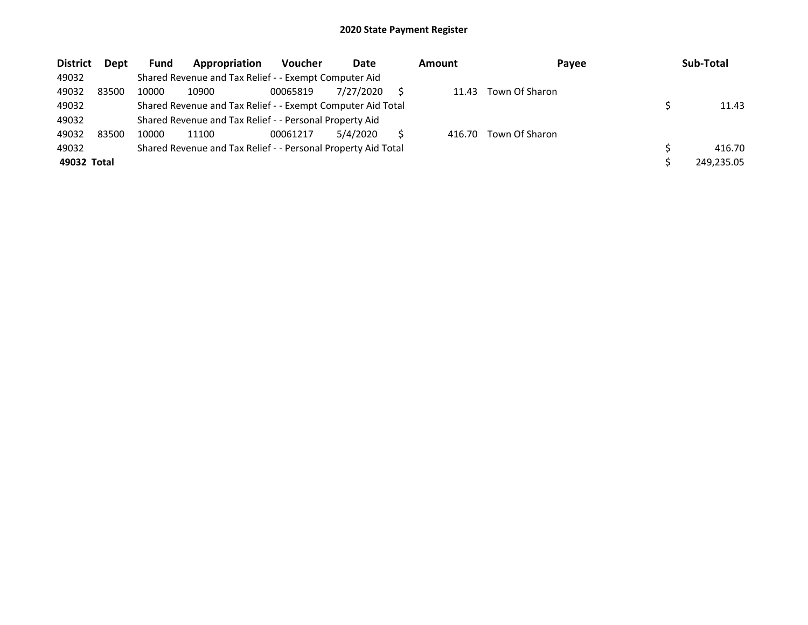| <b>District</b> | Dept  | <b>Fund</b> | Appropriation                                                 | <b>Voucher</b> | Date      | <b>Amount</b> | Payee          | Sub-Total  |
|-----------------|-------|-------------|---------------------------------------------------------------|----------------|-----------|---------------|----------------|------------|
| 49032           |       |             | Shared Revenue and Tax Relief - - Exempt Computer Aid         |                |           |               |                |            |
| 49032           | 83500 | 10000       | 10900                                                         | 00065819       | 7/27/2020 | 11.43         | Town Of Sharon |            |
| 49032           |       |             | Shared Revenue and Tax Relief - - Exempt Computer Aid Total   |                |           |               |                | 11.43      |
| 49032           |       |             | Shared Revenue and Tax Relief - - Personal Property Aid       |                |           |               |                |            |
| 49032           | 83500 | 10000       | 11100                                                         | 00061217       | 5/4/2020  | 416.70        | Town Of Sharon |            |
| 49032           |       |             | Shared Revenue and Tax Relief - - Personal Property Aid Total |                |           |               |                | 416.70     |
| 49032 Total     |       |             |                                                               |                |           |               |                | 249,235.05 |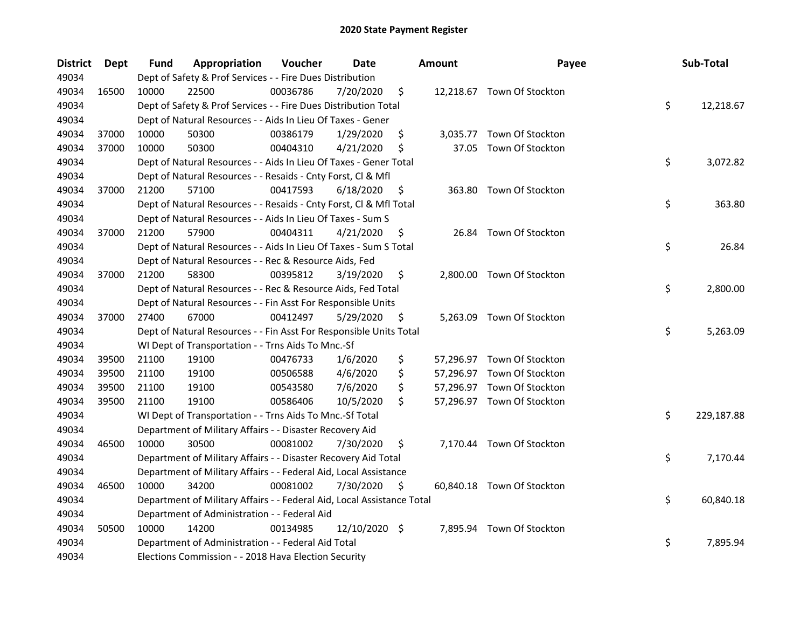| <b>District</b> | <b>Dept</b> | Fund  | Appropriation                                                          | Voucher  | <b>Date</b>   | <b>Amount</b>  | Payee                      | Sub-Total        |
|-----------------|-------------|-------|------------------------------------------------------------------------|----------|---------------|----------------|----------------------------|------------------|
| 49034           |             |       | Dept of Safety & Prof Services - - Fire Dues Distribution              |          |               |                |                            |                  |
| 49034           | 16500       | 10000 | 22500                                                                  | 00036786 | 7/20/2020     | \$             | 12,218.67 Town Of Stockton |                  |
| 49034           |             |       | Dept of Safety & Prof Services - - Fire Dues Distribution Total        |          |               |                |                            | \$<br>12,218.67  |
| 49034           |             |       | Dept of Natural Resources - - Aids In Lieu Of Taxes - Gener            |          |               |                |                            |                  |
| 49034           | 37000       | 10000 | 50300                                                                  | 00386179 | 1/29/2020     | \$             | 3,035.77 Town Of Stockton  |                  |
| 49034           | 37000       | 10000 | 50300                                                                  | 00404310 | 4/21/2020     | \$<br>37.05    | Town Of Stockton           |                  |
| 49034           |             |       | Dept of Natural Resources - - Aids In Lieu Of Taxes - Gener Total      |          |               |                |                            | \$<br>3,072.82   |
| 49034           |             |       | Dept of Natural Resources - - Resaids - Cnty Forst, Cl & Mfl           |          |               |                |                            |                  |
| 49034           | 37000       | 21200 | 57100                                                                  | 00417593 | 6/18/2020     | \$             | 363.80 Town Of Stockton    |                  |
| 49034           |             |       | Dept of Natural Resources - - Resaids - Cnty Forst, Cl & Mfl Total     |          |               |                |                            | \$<br>363.80     |
| 49034           |             |       | Dept of Natural Resources - - Aids In Lieu Of Taxes - Sum S            |          |               |                |                            |                  |
| 49034           | 37000       | 21200 | 57900                                                                  | 00404311 | 4/21/2020     | \$<br>26.84    | Town Of Stockton           |                  |
| 49034           |             |       | Dept of Natural Resources - - Aids In Lieu Of Taxes - Sum S Total      |          |               |                |                            | \$<br>26.84      |
| 49034           |             |       | Dept of Natural Resources - - Rec & Resource Aids, Fed                 |          |               |                |                            |                  |
| 49034           | 37000       | 21200 | 58300                                                                  | 00395812 | 3/19/2020     | \$             | 2,800.00 Town Of Stockton  |                  |
| 49034           |             |       | Dept of Natural Resources - - Rec & Resource Aids, Fed Total           |          |               |                |                            | \$<br>2,800.00   |
| 49034           |             |       | Dept of Natural Resources - - Fin Asst For Responsible Units           |          |               |                |                            |                  |
| 49034           | 37000       | 27400 | 67000                                                                  | 00412497 | 5/29/2020     | \$<br>5,263.09 | Town Of Stockton           |                  |
| 49034           |             |       | Dept of Natural Resources - - Fin Asst For Responsible Units Total     |          |               |                |                            | \$<br>5,263.09   |
| 49034           |             |       | WI Dept of Transportation - - Trns Aids To Mnc.-Sf                     |          |               |                |                            |                  |
| 49034           | 39500       | 21100 | 19100                                                                  | 00476733 | 1/6/2020      | \$             | 57,296.97 Town Of Stockton |                  |
| 49034           | 39500       | 21100 | 19100                                                                  | 00506588 | 4/6/2020      | \$             | 57,296.97 Town Of Stockton |                  |
| 49034           | 39500       | 21100 | 19100                                                                  | 00543580 | 7/6/2020      | \$             | 57,296.97 Town Of Stockton |                  |
| 49034           | 39500       | 21100 | 19100                                                                  | 00586406 | 10/5/2020     | \$             | 57,296.97 Town Of Stockton |                  |
| 49034           |             |       | WI Dept of Transportation - - Trns Aids To Mnc.-Sf Total               |          |               |                |                            | \$<br>229,187.88 |
| 49034           |             |       | Department of Military Affairs - - Disaster Recovery Aid               |          |               |                |                            |                  |
| 49034           | 46500       | 10000 | 30500                                                                  | 00081002 | 7/30/2020     | \$             | 7,170.44 Town Of Stockton  |                  |
| 49034           |             |       | Department of Military Affairs - - Disaster Recovery Aid Total         |          |               |                |                            | \$<br>7,170.44   |
| 49034           |             |       | Department of Military Affairs - - Federal Aid, Local Assistance       |          |               |                |                            |                  |
| 49034           | 46500       | 10000 | 34200                                                                  | 00081002 | 7/30/2020     | \$             | 60,840.18 Town Of Stockton |                  |
| 49034           |             |       | Department of Military Affairs - - Federal Aid, Local Assistance Total |          |               |                |                            | \$<br>60,840.18  |
| 49034           |             |       | Department of Administration - - Federal Aid                           |          |               |                |                            |                  |
| 49034           | 50500       | 10000 | 14200                                                                  | 00134985 | 12/10/2020 \$ |                | 7,895.94 Town Of Stockton  |                  |
| 49034           |             |       | Department of Administration - - Federal Aid Total                     |          |               |                |                            | \$<br>7,895.94   |
| 49034           |             |       | Elections Commission - - 2018 Hava Election Security                   |          |               |                |                            |                  |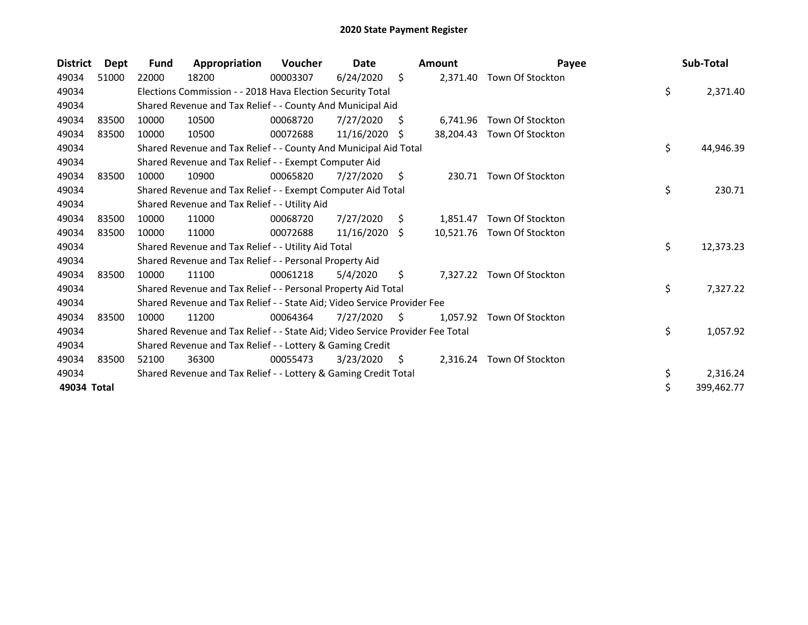| <b>District</b> | Dept  | <b>Fund</b> | Appropriation                                                                 | <b>Voucher</b> | Date       |    | <b>Amount</b> | Payee                      | Sub-Total        |
|-----------------|-------|-------------|-------------------------------------------------------------------------------|----------------|------------|----|---------------|----------------------------|------------------|
| 49034           | 51000 | 22000       | 18200                                                                         | 00003307       | 6/24/2020  | \$ | 2,371.40      | Town Of Stockton           |                  |
| 49034           |       |             | Elections Commission - - 2018 Hava Election Security Total                    |                |            |    |               |                            | \$<br>2,371.40   |
| 49034           |       |             | Shared Revenue and Tax Relief - - County And Municipal Aid                    |                |            |    |               |                            |                  |
| 49034           | 83500 | 10000       | 10500                                                                         | 00068720       | 7/27/2020  | S  | 6.741.96      | Town Of Stockton           |                  |
| 49034           | 83500 | 10000       | 10500                                                                         | 00072688       | 11/16/2020 | S  |               | 38,204.43 Town Of Stockton |                  |
| 49034           |       |             | Shared Revenue and Tax Relief - - County And Municipal Aid Total              |                |            |    |               |                            | \$<br>44,946.39  |
| 49034           |       |             | Shared Revenue and Tax Relief - - Exempt Computer Aid                         |                |            |    |               |                            |                  |
| 49034           | 83500 | 10000       | 10900                                                                         | 00065820       | 7/27/2020  | S. | 230.71        | Town Of Stockton           |                  |
| 49034           |       |             | Shared Revenue and Tax Relief - - Exempt Computer Aid Total                   |                |            |    |               |                            | \$<br>230.71     |
| 49034           |       |             | Shared Revenue and Tax Relief - - Utility Aid                                 |                |            |    |               |                            |                  |
| 49034           | 83500 | 10000       | 11000                                                                         | 00068720       | 7/27/2020  | \$ | 1,851.47      | Town Of Stockton           |                  |
| 49034           | 83500 | 10000       | 11000                                                                         | 00072688       | 11/16/2020 | S. |               | 10,521.76 Town Of Stockton |                  |
| 49034           |       |             | Shared Revenue and Tax Relief - - Utility Aid Total                           |                |            |    |               |                            | \$<br>12,373.23  |
| 49034           |       |             | Shared Revenue and Tax Relief - - Personal Property Aid                       |                |            |    |               |                            |                  |
| 49034           | 83500 | 10000       | 11100                                                                         | 00061218       | 5/4/2020   | Ŝ. | 7.327.22      | Town Of Stockton           |                  |
| 49034           |       |             | Shared Revenue and Tax Relief - - Personal Property Aid Total                 |                |            |    |               |                            | \$<br>7,327.22   |
| 49034           |       |             | Shared Revenue and Tax Relief - - State Aid; Video Service Provider Fee       |                |            |    |               |                            |                  |
| 49034           | 83500 | 10000       | 11200                                                                         | 00064364       | 7/27/2020  | S. | 1.057.92      | Town Of Stockton           |                  |
| 49034           |       |             | Shared Revenue and Tax Relief - - State Aid; Video Service Provider Fee Total |                |            |    |               |                            | \$<br>1,057.92   |
| 49034           |       |             | Shared Revenue and Tax Relief - - Lottery & Gaming Credit                     |                |            |    |               |                            |                  |
| 49034           | 83500 | 52100       | 36300                                                                         | 00055473       | 3/23/2020  | \$ |               | 2,316.24 Town Of Stockton  |                  |
| 49034           |       |             | Shared Revenue and Tax Relief - - Lottery & Gaming Credit Total               |                |            |    |               |                            | \$<br>2,316.24   |
| 49034 Total     |       |             |                                                                               |                |            |    |               |                            | \$<br>399,462.77 |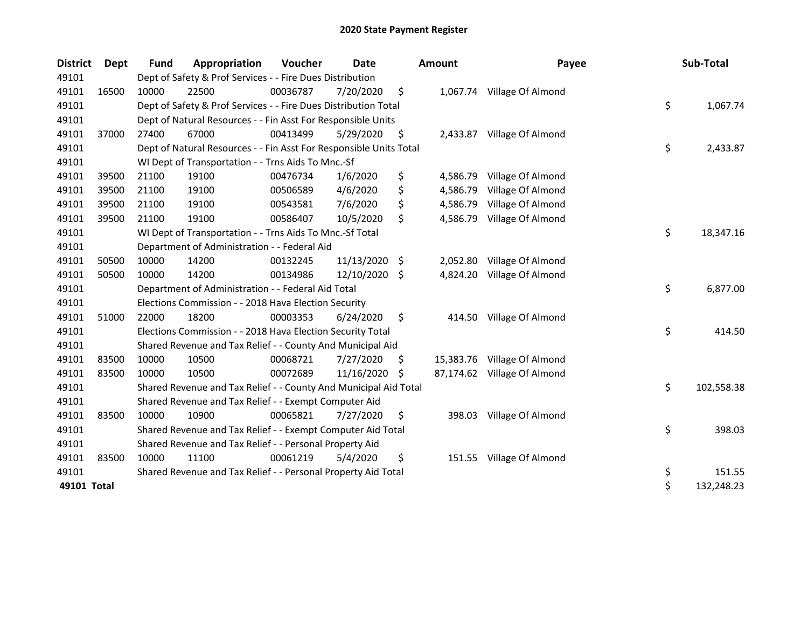| <b>District</b> | Dept  | <b>Fund</b> | Appropriation                                                      | Voucher  | <b>Date</b>   |     | <b>Amount</b> | Payee                       | Sub-Total        |
|-----------------|-------|-------------|--------------------------------------------------------------------|----------|---------------|-----|---------------|-----------------------------|------------------|
| 49101           |       |             | Dept of Safety & Prof Services - - Fire Dues Distribution          |          |               |     |               |                             |                  |
| 49101           | 16500 | 10000       | 22500                                                              | 00036787 | 7/20/2020     | \$  |               | 1,067.74 Village Of Almond  |                  |
| 49101           |       |             | Dept of Safety & Prof Services - - Fire Dues Distribution Total    |          |               |     |               |                             | \$<br>1,067.74   |
| 49101           |       |             | Dept of Natural Resources - - Fin Asst For Responsible Units       |          |               |     |               |                             |                  |
| 49101           | 37000 | 27400       | 67000                                                              | 00413499 | 5/29/2020     | \$  |               | 2,433.87 Village Of Almond  |                  |
| 49101           |       |             | Dept of Natural Resources - - Fin Asst For Responsible Units Total |          |               |     |               |                             | \$<br>2,433.87   |
| 49101           |       |             | WI Dept of Transportation - - Trns Aids To Mnc.-Sf                 |          |               |     |               |                             |                  |
| 49101           | 39500 | 21100       | 19100                                                              | 00476734 | 1/6/2020      | \$  | 4,586.79      | Village Of Almond           |                  |
| 49101           | 39500 | 21100       | 19100                                                              | 00506589 | 4/6/2020      | \$  | 4,586.79      | Village Of Almond           |                  |
| 49101           | 39500 | 21100       | 19100                                                              | 00543581 | 7/6/2020      | \$  | 4,586.79      | Village Of Almond           |                  |
| 49101           | 39500 | 21100       | 19100                                                              | 00586407 | 10/5/2020     | \$  | 4,586.79      | Village Of Almond           |                  |
| 49101           |       |             | WI Dept of Transportation - - Trns Aids To Mnc.-Sf Total           |          |               |     |               |                             | \$<br>18,347.16  |
| 49101           |       |             | Department of Administration - - Federal Aid                       |          |               |     |               |                             |                  |
| 49101           | 50500 | 10000       | 14200                                                              | 00132245 | 11/13/2020 \$ |     | 2,052.80      | Village Of Almond           |                  |
| 49101           | 50500 | 10000       | 14200                                                              | 00134986 | 12/10/2020    | \$  | 4,824.20      | Village Of Almond           |                  |
| 49101           |       |             | Department of Administration - - Federal Aid Total                 |          |               |     |               |                             | \$<br>6,877.00   |
| 49101           |       |             | Elections Commission - - 2018 Hava Election Security               |          |               |     |               |                             |                  |
| 49101           | 51000 | 22000       | 18200                                                              | 00003353 | 6/24/2020     | \$  | 414.50        | Village Of Almond           |                  |
| 49101           |       |             | Elections Commission - - 2018 Hava Election Security Total         |          |               |     |               |                             | \$<br>414.50     |
| 49101           |       |             | Shared Revenue and Tax Relief - - County And Municipal Aid         |          |               |     |               |                             |                  |
| 49101           | 83500 | 10000       | 10500                                                              | 00068721 | 7/27/2020     | \$. |               | 15,383.76 Village Of Almond |                  |
| 49101           | 83500 | 10000       | 10500                                                              | 00072689 | 11/16/2020    | S   |               | 87,174.62 Village Of Almond |                  |
| 49101           |       |             | Shared Revenue and Tax Relief - - County And Municipal Aid Total   |          |               |     |               |                             | \$<br>102,558.38 |
| 49101           |       |             | Shared Revenue and Tax Relief - - Exempt Computer Aid              |          |               |     |               |                             |                  |
| 49101           | 83500 | 10000       | 10900                                                              | 00065821 | 7/27/2020     | \$  | 398.03        | Village Of Almond           |                  |
| 49101           |       |             | Shared Revenue and Tax Relief - - Exempt Computer Aid Total        |          |               |     |               |                             | \$<br>398.03     |
| 49101           |       |             | Shared Revenue and Tax Relief - - Personal Property Aid            |          |               |     |               |                             |                  |
| 49101           | 83500 | 10000       | 11100                                                              | 00061219 | 5/4/2020      | \$  |               | 151.55 Village Of Almond    |                  |
| 49101           |       |             | Shared Revenue and Tax Relief - - Personal Property Aid Total      |          |               |     |               |                             | \$<br>151.55     |
| 49101 Total     |       |             |                                                                    |          |               |     |               |                             | \$<br>132,248.23 |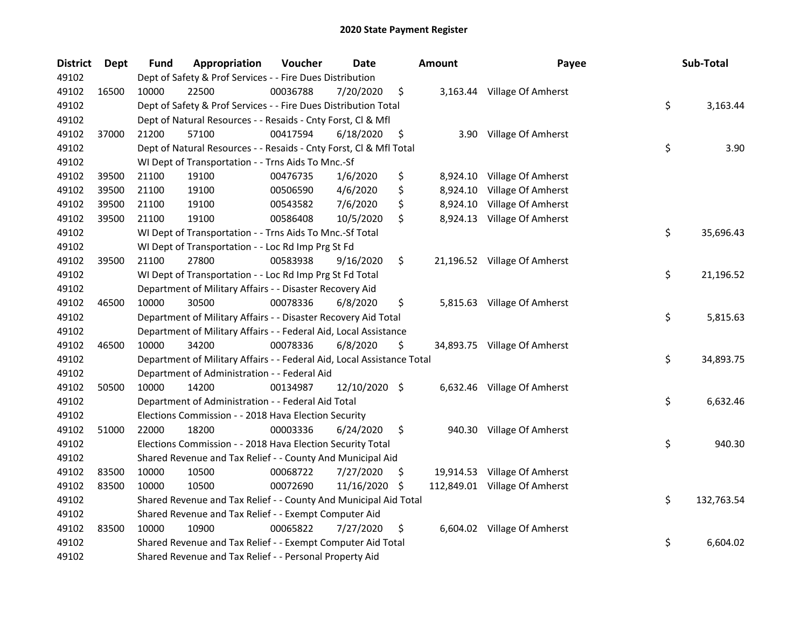| <b>District</b> | Dept  | <b>Fund</b> | Appropriation                                                          | Voucher  | <b>Date</b>   |     | <b>Amount</b> | Payee                         | Sub-Total        |
|-----------------|-------|-------------|------------------------------------------------------------------------|----------|---------------|-----|---------------|-------------------------------|------------------|
| 49102           |       |             | Dept of Safety & Prof Services - - Fire Dues Distribution              |          |               |     |               |                               |                  |
| 49102           | 16500 | 10000       | 22500                                                                  | 00036788 | 7/20/2020     | \$  |               | 3,163.44 Village Of Amherst   |                  |
| 49102           |       |             | Dept of Safety & Prof Services - - Fire Dues Distribution Total        |          |               |     |               |                               | \$<br>3,163.44   |
| 49102           |       |             | Dept of Natural Resources - - Resaids - Cnty Forst, Cl & Mfl           |          |               |     |               |                               |                  |
| 49102           | 37000 | 21200       | 57100                                                                  | 00417594 | 6/18/2020     | \$  |               | 3.90 Village Of Amherst       |                  |
| 49102           |       |             | Dept of Natural Resources - - Resaids - Cnty Forst, Cl & Mfl Total     |          |               |     |               |                               | \$<br>3.90       |
| 49102           |       |             | WI Dept of Transportation - - Trns Aids To Mnc.-Sf                     |          |               |     |               |                               |                  |
| 49102           | 39500 | 21100       | 19100                                                                  | 00476735 | 1/6/2020      | \$  |               | 8,924.10 Village Of Amherst   |                  |
| 49102           | 39500 | 21100       | 19100                                                                  | 00506590 | 4/6/2020      | \$  | 8,924.10      | Village Of Amherst            |                  |
| 49102           | 39500 | 21100       | 19100                                                                  | 00543582 | 7/6/2020      | \$  |               | 8,924.10 Village Of Amherst   |                  |
| 49102           | 39500 | 21100       | 19100                                                                  | 00586408 | 10/5/2020     | \$  |               | 8,924.13 Village Of Amherst   |                  |
| 49102           |       |             | WI Dept of Transportation - - Trns Aids To Mnc.-Sf Total               |          |               |     |               |                               | \$<br>35,696.43  |
| 49102           |       |             | WI Dept of Transportation - - Loc Rd Imp Prg St Fd                     |          |               |     |               |                               |                  |
| 49102           | 39500 | 21100       | 27800                                                                  | 00583938 | 9/16/2020     | \$  |               | 21,196.52 Village Of Amherst  |                  |
| 49102           |       |             | WI Dept of Transportation - - Loc Rd Imp Prg St Fd Total               |          |               |     |               |                               | \$<br>21,196.52  |
| 49102           |       |             | Department of Military Affairs - - Disaster Recovery Aid               |          |               |     |               |                               |                  |
| 49102           | 46500 | 10000       | 30500                                                                  | 00078336 | 6/8/2020      | \$  |               | 5,815.63 Village Of Amherst   |                  |
| 49102           |       |             | Department of Military Affairs - - Disaster Recovery Aid Total         |          |               |     |               |                               | \$<br>5,815.63   |
| 49102           |       |             | Department of Military Affairs - - Federal Aid, Local Assistance       |          |               |     |               |                               |                  |
| 49102           | 46500 | 10000       | 34200                                                                  | 00078336 | 6/8/2020      | \$  |               | 34,893.75 Village Of Amherst  |                  |
| 49102           |       |             | Department of Military Affairs - - Federal Aid, Local Assistance Total |          |               |     |               |                               | \$<br>34,893.75  |
| 49102           |       |             | Department of Administration - - Federal Aid                           |          |               |     |               |                               |                  |
| 49102           | 50500 | 10000       | 14200                                                                  | 00134987 | 12/10/2020 \$ |     |               | 6,632.46 Village Of Amherst   |                  |
| 49102           |       |             | Department of Administration - - Federal Aid Total                     |          |               |     |               |                               | \$<br>6,632.46   |
| 49102           |       |             | Elections Commission - - 2018 Hava Election Security                   |          |               |     |               |                               |                  |
| 49102           | 51000 | 22000       | 18200                                                                  | 00003336 | 6/24/2020     | \$  |               | 940.30 Village Of Amherst     |                  |
| 49102           |       |             | Elections Commission - - 2018 Hava Election Security Total             |          |               |     |               |                               | \$<br>940.30     |
| 49102           |       |             | Shared Revenue and Tax Relief - - County And Municipal Aid             |          |               |     |               |                               |                  |
| 49102           | 83500 | 10000       | 10500                                                                  | 00068722 | 7/27/2020     | \$  |               | 19,914.53 Village Of Amherst  |                  |
| 49102           | 83500 | 10000       | 10500                                                                  | 00072690 | 11/16/2020    | -\$ |               | 112,849.01 Village Of Amherst |                  |
| 49102           |       |             | Shared Revenue and Tax Relief - - County And Municipal Aid Total       |          |               |     |               |                               | \$<br>132,763.54 |
| 49102           |       |             | Shared Revenue and Tax Relief - - Exempt Computer Aid                  |          |               |     |               |                               |                  |
| 49102           | 83500 | 10000       | 10900                                                                  | 00065822 | 7/27/2020     | \$  |               | 6,604.02 Village Of Amherst   |                  |
| 49102           |       |             | Shared Revenue and Tax Relief - - Exempt Computer Aid Total            |          |               |     |               |                               | \$<br>6,604.02   |
| 49102           |       |             | Shared Revenue and Tax Relief - - Personal Property Aid                |          |               |     |               |                               |                  |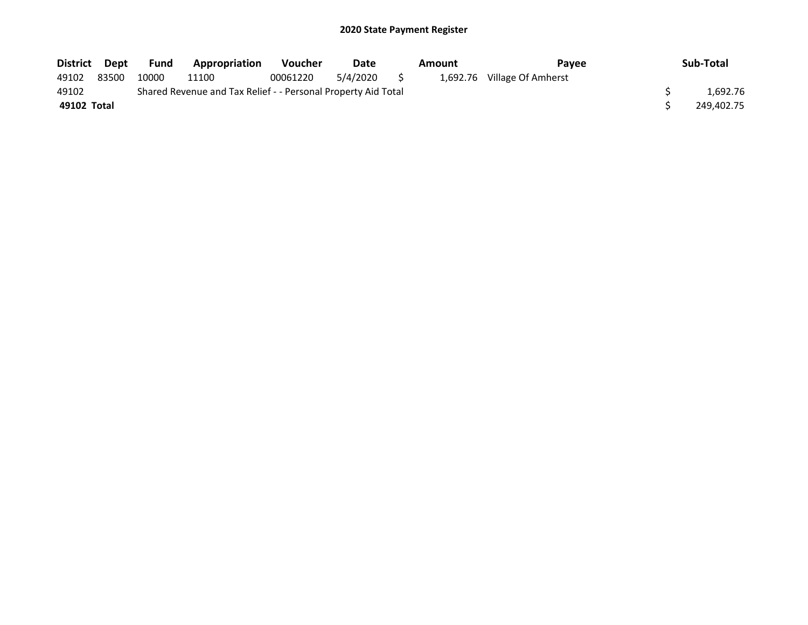| District Dept |       | <b>Fund</b> | <b>Appropriation</b>                                          | <b>Voucher</b> | Date        | Amount | <b>Pavee</b>                | Sub-Total  |
|---------------|-------|-------------|---------------------------------------------------------------|----------------|-------------|--------|-----------------------------|------------|
| 49102         | 83500 | 10000       | 11100                                                         | 00061220       | 5/4/2020 \$ |        | 1,692.76 Village Of Amherst |            |
| 49102         |       |             | Shared Revenue and Tax Relief - - Personal Property Aid Total |                |             |        |                             | 1.692.76   |
| 49102 Total   |       |             |                                                               |                |             |        |                             | 249,402.75 |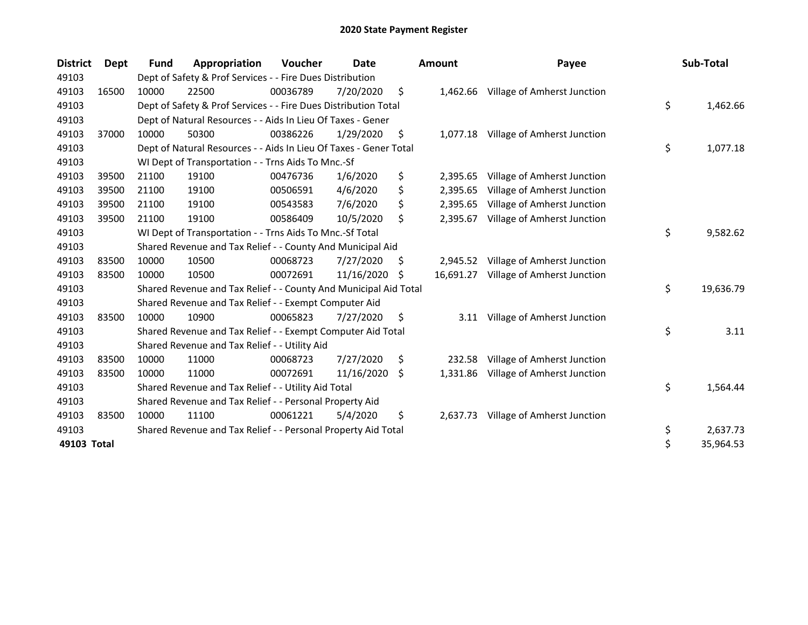| <b>District</b> | <b>Dept</b> | Fund  | Appropriation                                                     | <b>Voucher</b> | Date       |    | <b>Amount</b> | Payee                                | Sub-Total       |
|-----------------|-------------|-------|-------------------------------------------------------------------|----------------|------------|----|---------------|--------------------------------------|-----------------|
| 49103           |             |       | Dept of Safety & Prof Services - - Fire Dues Distribution         |                |            |    |               |                                      |                 |
| 49103           | 16500       | 10000 | 22500                                                             | 00036789       | 7/20/2020  | \$ | 1,462.66      | Village of Amherst Junction          |                 |
| 49103           |             |       | Dept of Safety & Prof Services - - Fire Dues Distribution Total   |                |            |    |               |                                      | \$<br>1,462.66  |
| 49103           |             |       | Dept of Natural Resources - - Aids In Lieu Of Taxes - Gener       |                |            |    |               |                                      |                 |
| 49103           | 37000       | 10000 | 50300                                                             | 00386226       | 1/29/2020  | \$ |               | 1,077.18 Village of Amherst Junction |                 |
| 49103           |             |       | Dept of Natural Resources - - Aids In Lieu Of Taxes - Gener Total |                |            |    |               |                                      | \$<br>1,077.18  |
| 49103           |             |       | WI Dept of Transportation - - Trns Aids To Mnc.-Sf                |                |            |    |               |                                      |                 |
| 49103           | 39500       | 21100 | 19100                                                             | 00476736       | 1/6/2020   | \$ | 2,395.65      | Village of Amherst Junction          |                 |
| 49103           | 39500       | 21100 | 19100                                                             | 00506591       | 4/6/2020   | \$ | 2,395.65      | Village of Amherst Junction          |                 |
| 49103           | 39500       | 21100 | 19100                                                             | 00543583       | 7/6/2020   | \$ | 2,395.65      | Village of Amherst Junction          |                 |
| 49103           | 39500       | 21100 | 19100                                                             | 00586409       | 10/5/2020  | \$ | 2,395.67      | Village of Amherst Junction          |                 |
| 49103           |             |       | WI Dept of Transportation - - Trns Aids To Mnc.-Sf Total          |                |            |    |               |                                      | \$<br>9,582.62  |
| 49103           |             |       | Shared Revenue and Tax Relief - - County And Municipal Aid        |                |            |    |               |                                      |                 |
| 49103           | 83500       | 10000 | 10500                                                             | 00068723       | 7/27/2020  | S  | 2,945.52      | Village of Amherst Junction          |                 |
| 49103           | 83500       | 10000 | 10500                                                             | 00072691       | 11/16/2020 | S  | 16,691.27     | Village of Amherst Junction          |                 |
| 49103           |             |       | Shared Revenue and Tax Relief - - County And Municipal Aid Total  |                |            |    |               |                                      | \$<br>19,636.79 |
| 49103           |             |       | Shared Revenue and Tax Relief - - Exempt Computer Aid             |                |            |    |               |                                      |                 |
| 49103           | 83500       | 10000 | 10900                                                             | 00065823       | 7/27/2020  | \$ | 3.11          | Village of Amherst Junction          |                 |
| 49103           |             |       | Shared Revenue and Tax Relief - - Exempt Computer Aid Total       |                |            |    |               |                                      | \$<br>3.11      |
| 49103           |             |       | Shared Revenue and Tax Relief - - Utility Aid                     |                |            |    |               |                                      |                 |
| 49103           | 83500       | 10000 | 11000                                                             | 00068723       | 7/27/2020  | S  | 232.58        | Village of Amherst Junction          |                 |
| 49103           | 83500       | 10000 | 11000                                                             | 00072691       | 11/16/2020 | \$ | 1,331.86      | Village of Amherst Junction          |                 |
| 49103           |             |       | Shared Revenue and Tax Relief - - Utility Aid Total               |                |            |    |               |                                      | \$<br>1,564.44  |
| 49103           |             |       | Shared Revenue and Tax Relief - - Personal Property Aid           |                |            |    |               |                                      |                 |
| 49103           | 83500       | 10000 | 11100                                                             | 00061221       | 5/4/2020   | \$ | 2,637.73      | Village of Amherst Junction          |                 |
| 49103           |             |       | Shared Revenue and Tax Relief - - Personal Property Aid Total     |                |            |    |               |                                      | \$<br>2,637.73  |
| 49103 Total     |             |       |                                                                   |                |            |    |               |                                      | \$<br>35,964.53 |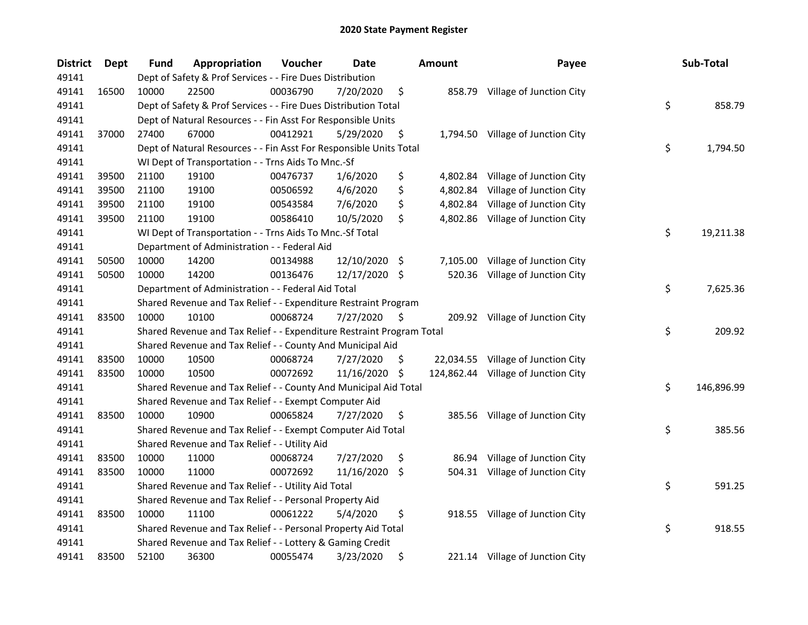| <b>District</b> | Dept  | <b>Fund</b> | Appropriation                                                         | Voucher  | Date          |      | Amount    | Payee                               | Sub-Total        |
|-----------------|-------|-------------|-----------------------------------------------------------------------|----------|---------------|------|-----------|-------------------------------------|------------------|
| 49141           |       |             | Dept of Safety & Prof Services - - Fire Dues Distribution             |          |               |      |           |                                     |                  |
| 49141           | 16500 | 10000       | 22500                                                                 | 00036790 | 7/20/2020     | \$   |           | 858.79 Village of Junction City     |                  |
| 49141           |       |             | Dept of Safety & Prof Services - - Fire Dues Distribution Total       |          |               |      |           |                                     | \$<br>858.79     |
| 49141           |       |             | Dept of Natural Resources - - Fin Asst For Responsible Units          |          |               |      |           |                                     |                  |
| 49141           | 37000 | 27400       | 67000                                                                 | 00412921 | 5/29/2020     | \$   |           | 1,794.50 Village of Junction City   |                  |
| 49141           |       |             | Dept of Natural Resources - - Fin Asst For Responsible Units Total    |          |               |      |           |                                     | \$<br>1,794.50   |
| 49141           |       |             | WI Dept of Transportation - - Trns Aids To Mnc.-Sf                    |          |               |      |           |                                     |                  |
| 49141           | 39500 | 21100       | 19100                                                                 | 00476737 | 1/6/2020      | \$   | 4,802.84  | Village of Junction City            |                  |
| 49141           | 39500 | 21100       | 19100                                                                 | 00506592 | 4/6/2020      | \$   | 4,802.84  | Village of Junction City            |                  |
| 49141           | 39500 | 21100       | 19100                                                                 | 00543584 | 7/6/2020      | \$   | 4,802.84  | Village of Junction City            |                  |
| 49141           | 39500 | 21100       | 19100                                                                 | 00586410 | 10/5/2020     | \$   |           | 4,802.86 Village of Junction City   |                  |
| 49141           |       |             | WI Dept of Transportation - - Trns Aids To Mnc.-Sf Total              |          |               |      |           |                                     | \$<br>19,211.38  |
| 49141           |       |             | Department of Administration - - Federal Aid                          |          |               |      |           |                                     |                  |
| 49141           | 50500 | 10000       | 14200                                                                 | 00134988 | 12/10/2020    | - \$ | 7,105.00  | Village of Junction City            |                  |
| 49141           | 50500 | 10000       | 14200                                                                 | 00136476 | 12/17/2020 \$ |      | 520.36    | Village of Junction City            |                  |
| 49141           |       |             | Department of Administration - - Federal Aid Total                    |          |               |      |           |                                     | \$<br>7,625.36   |
| 49141           |       |             | Shared Revenue and Tax Relief - - Expenditure Restraint Program       |          |               |      |           |                                     |                  |
| 49141           | 83500 | 10000       | 10100                                                                 | 00068724 | 7/27/2020     | \$   |           | 209.92 Village of Junction City     |                  |
| 49141           |       |             | Shared Revenue and Tax Relief - - Expenditure Restraint Program Total |          |               |      |           |                                     | \$<br>209.92     |
| 49141           |       |             | Shared Revenue and Tax Relief - - County And Municipal Aid            |          |               |      |           |                                     |                  |
| 49141           | 83500 | 10000       | 10500                                                                 | 00068724 | 7/27/2020     | \$.  | 22,034.55 | Village of Junction City            |                  |
| 49141           | 83500 | 10000       | 10500                                                                 | 00072692 | 11/16/2020    | \$   |           | 124,862.44 Village of Junction City |                  |
| 49141           |       |             | Shared Revenue and Tax Relief - - County And Municipal Aid Total      |          |               |      |           |                                     | \$<br>146,896.99 |
| 49141           |       |             | Shared Revenue and Tax Relief - - Exempt Computer Aid                 |          |               |      |           |                                     |                  |
| 49141           | 83500 | 10000       | 10900                                                                 | 00065824 | 7/27/2020     | \$   |           | 385.56 Village of Junction City     |                  |
| 49141           |       |             | Shared Revenue and Tax Relief - - Exempt Computer Aid Total           |          |               |      |           |                                     | \$<br>385.56     |
| 49141           |       |             | Shared Revenue and Tax Relief - - Utility Aid                         |          |               |      |           |                                     |                  |
| 49141           | 83500 | 10000       | 11000                                                                 | 00068724 | 7/27/2020     | \$   | 86.94     | Village of Junction City            |                  |
| 49141           | 83500 | 10000       | 11000                                                                 | 00072692 | 11/16/2020    | \$   |           | 504.31 Village of Junction City     |                  |
| 49141           |       |             | Shared Revenue and Tax Relief - - Utility Aid Total                   |          |               |      |           |                                     | \$<br>591.25     |
| 49141           |       |             | Shared Revenue and Tax Relief - - Personal Property Aid               |          |               |      |           |                                     |                  |
| 49141           | 83500 | 10000       | 11100                                                                 | 00061222 | 5/4/2020      | \$   |           | 918.55 Village of Junction City     |                  |
| 49141           |       |             | Shared Revenue and Tax Relief - - Personal Property Aid Total         |          |               |      |           |                                     | \$<br>918.55     |
| 49141           |       |             | Shared Revenue and Tax Relief - - Lottery & Gaming Credit             |          |               |      |           |                                     |                  |
| 49141           | 83500 | 52100       | 36300                                                                 | 00055474 | 3/23/2020     | \$   |           | 221.14 Village of Junction City     |                  |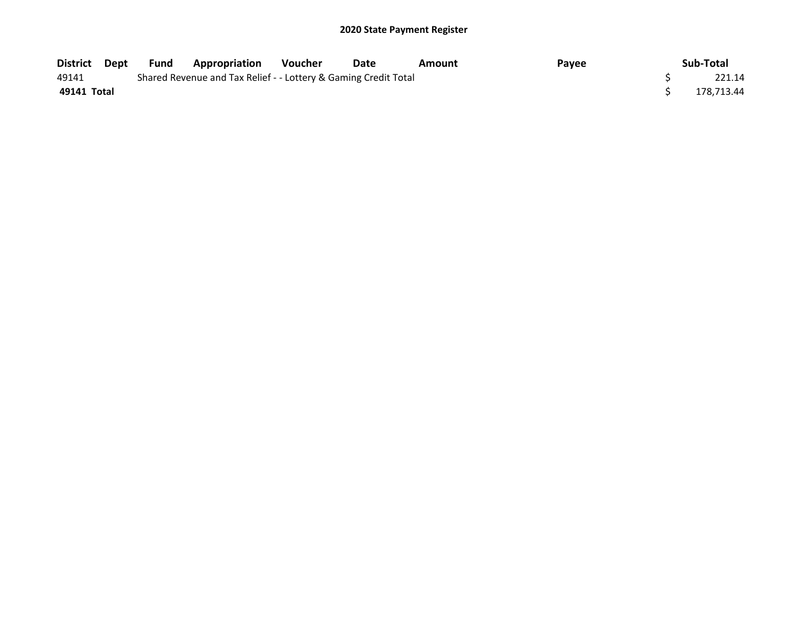| District Dept | Fund | <b>Appropriation</b>                                            | <b>Voucher</b> | Date | Amount | Payee | Sub-Total  |
|---------------|------|-----------------------------------------------------------------|----------------|------|--------|-------|------------|
| 49141         |      | Shared Revenue and Tax Relief - - Lottery & Gaming Credit Total |                |      |        |       | 221.14     |
| 49141 Total   |      |                                                                 |                |      |        |       | 178.713.44 |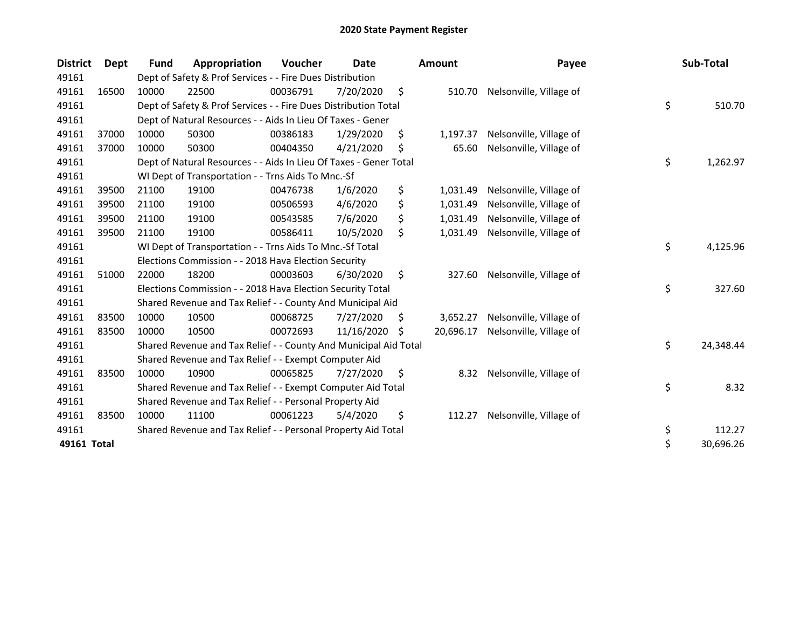| <b>District</b> | Dept  | Fund  | Appropriation                                                     | Voucher  | Date       |    | <b>Amount</b> | Payee                   | Sub-Total       |
|-----------------|-------|-------|-------------------------------------------------------------------|----------|------------|----|---------------|-------------------------|-----------------|
| 49161           |       |       | Dept of Safety & Prof Services - - Fire Dues Distribution         |          |            |    |               |                         |                 |
| 49161           | 16500 | 10000 | 22500                                                             | 00036791 | 7/20/2020  | \$ | 510.70        | Nelsonville, Village of |                 |
| 49161           |       |       | Dept of Safety & Prof Services - - Fire Dues Distribution Total   |          |            |    |               |                         | \$<br>510.70    |
| 49161           |       |       | Dept of Natural Resources - - Aids In Lieu Of Taxes - Gener       |          |            |    |               |                         |                 |
| 49161           | 37000 | 10000 | 50300                                                             | 00386183 | 1/29/2020  | \$ | 1,197.37      | Nelsonville, Village of |                 |
| 49161           | 37000 | 10000 | 50300                                                             | 00404350 | 4/21/2020  | \$ | 65.60         | Nelsonville, Village of |                 |
| 49161           |       |       | Dept of Natural Resources - - Aids In Lieu Of Taxes - Gener Total |          |            |    |               |                         | \$<br>1,262.97  |
| 49161           |       |       | WI Dept of Transportation - - Trns Aids To Mnc.-Sf                |          |            |    |               |                         |                 |
| 49161           | 39500 | 21100 | 19100                                                             | 00476738 | 1/6/2020   | \$ | 1,031.49      | Nelsonville, Village of |                 |
| 49161           | 39500 | 21100 | 19100                                                             | 00506593 | 4/6/2020   | \$ | 1,031.49      | Nelsonville, Village of |                 |
| 49161           | 39500 | 21100 | 19100                                                             | 00543585 | 7/6/2020   | \$ | 1,031.49      | Nelsonville, Village of |                 |
| 49161           | 39500 | 21100 | 19100                                                             | 00586411 | 10/5/2020  | \$ | 1,031.49      | Nelsonville, Village of |                 |
| 49161           |       |       | WI Dept of Transportation - - Trns Aids To Mnc.-Sf Total          |          |            |    |               |                         | \$<br>4,125.96  |
| 49161           |       |       | Elections Commission - - 2018 Hava Election Security              |          |            |    |               |                         |                 |
| 49161           | 51000 | 22000 | 18200                                                             | 00003603 | 6/30/2020  | \$ | 327.60        | Nelsonville, Village of |                 |
| 49161           |       |       | Elections Commission - - 2018 Hava Election Security Total        |          |            |    |               |                         | \$<br>327.60    |
| 49161           |       |       | Shared Revenue and Tax Relief - - County And Municipal Aid        |          |            |    |               |                         |                 |
| 49161           | 83500 | 10000 | 10500                                                             | 00068725 | 7/27/2020  | \$ | 3,652.27      | Nelsonville, Village of |                 |
| 49161           | 83500 | 10000 | 10500                                                             | 00072693 | 11/16/2020 | Ś. | 20,696.17     | Nelsonville, Village of |                 |
| 49161           |       |       | Shared Revenue and Tax Relief - - County And Municipal Aid Total  |          |            |    |               |                         | \$<br>24,348.44 |
| 49161           |       |       | Shared Revenue and Tax Relief - - Exempt Computer Aid             |          |            |    |               |                         |                 |
| 49161           | 83500 | 10000 | 10900                                                             | 00065825 | 7/27/2020  | \$ | 8.32          | Nelsonville, Village of |                 |
| 49161           |       |       | Shared Revenue and Tax Relief - - Exempt Computer Aid Total       |          |            |    |               |                         | \$<br>8.32      |
| 49161           |       |       | Shared Revenue and Tax Relief - - Personal Property Aid           |          |            |    |               |                         |                 |
| 49161           | 83500 | 10000 | 11100                                                             | 00061223 | 5/4/2020   | \$ | 112.27        | Nelsonville, Village of |                 |
| 49161           |       |       | Shared Revenue and Tax Relief - - Personal Property Aid Total     |          |            |    |               |                         | \$<br>112.27    |
| 49161 Total     |       |       |                                                                   |          |            |    |               |                         | \$<br>30,696.26 |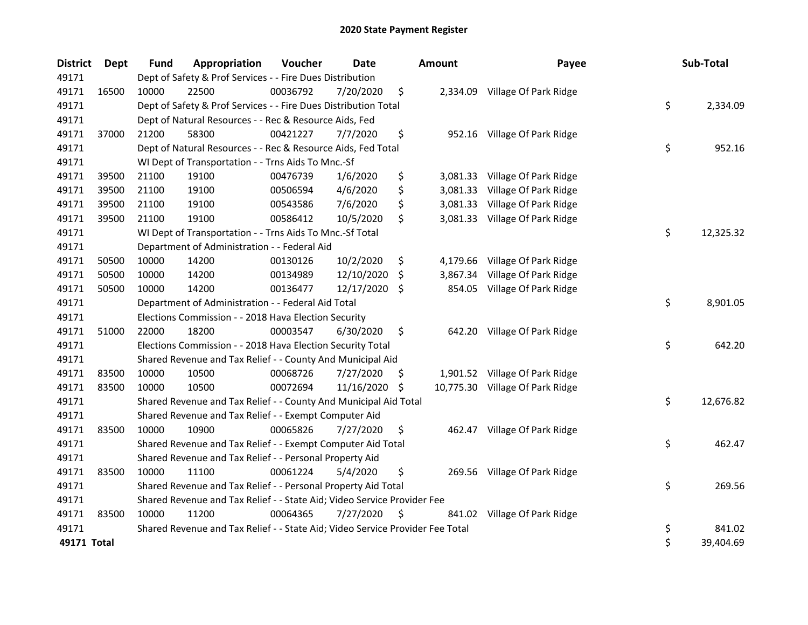| <b>District</b> | <b>Dept</b> | Fund  | Appropriation                                                                 | Voucher  | <b>Date</b> |     | <b>Amount</b> | Payee                           | Sub-Total       |
|-----------------|-------------|-------|-------------------------------------------------------------------------------|----------|-------------|-----|---------------|---------------------------------|-----------------|
| 49171           |             |       | Dept of Safety & Prof Services - - Fire Dues Distribution                     |          |             |     |               |                                 |                 |
| 49171           | 16500       | 10000 | 22500                                                                         | 00036792 | 7/20/2020   | \$  |               | 2,334.09 Village Of Park Ridge  |                 |
| 49171           |             |       | Dept of Safety & Prof Services - - Fire Dues Distribution Total               |          |             |     |               |                                 | \$<br>2,334.09  |
| 49171           |             |       | Dept of Natural Resources - - Rec & Resource Aids, Fed                        |          |             |     |               |                                 |                 |
| 49171           | 37000       | 21200 | 58300                                                                         | 00421227 | 7/7/2020    | \$  |               | 952.16 Village Of Park Ridge    |                 |
| 49171           |             |       | Dept of Natural Resources - - Rec & Resource Aids, Fed Total                  |          |             |     |               |                                 | \$<br>952.16    |
| 49171           |             |       | WI Dept of Transportation - - Trns Aids To Mnc.-Sf                            |          |             |     |               |                                 |                 |
| 49171           | 39500       | 21100 | 19100                                                                         | 00476739 | 1/6/2020    | \$  | 3,081.33      | Village Of Park Ridge           |                 |
| 49171           | 39500       | 21100 | 19100                                                                         | 00506594 | 4/6/2020    | \$  | 3,081.33      | Village Of Park Ridge           |                 |
| 49171           | 39500       | 21100 | 19100                                                                         | 00543586 | 7/6/2020    | \$  | 3,081.33      | Village Of Park Ridge           |                 |
| 49171           | 39500       | 21100 | 19100                                                                         | 00586412 | 10/5/2020   | \$  |               | 3,081.33 Village Of Park Ridge  |                 |
| 49171           |             |       | WI Dept of Transportation - - Trns Aids To Mnc.-Sf Total                      |          |             |     |               |                                 | \$<br>12,325.32 |
| 49171           |             |       | Department of Administration - - Federal Aid                                  |          |             |     |               |                                 |                 |
| 49171           | 50500       | 10000 | 14200                                                                         | 00130126 | 10/2/2020   | \$  | 4,179.66      | Village Of Park Ridge           |                 |
| 49171           | 50500       | 10000 | 14200                                                                         | 00134989 | 12/10/2020  | S   | 3,867.34      | Village Of Park Ridge           |                 |
| 49171           | 50500       | 10000 | 14200                                                                         | 00136477 | 12/17/2020  | -S  | 854.05        | Village Of Park Ridge           |                 |
| 49171           |             |       | Department of Administration - - Federal Aid Total                            |          |             |     |               |                                 | \$<br>8,901.05  |
| 49171           |             |       | Elections Commission - - 2018 Hava Election Security                          |          |             |     |               |                                 |                 |
| 49171           | 51000       | 22000 | 18200                                                                         | 00003547 | 6/30/2020   | \$  |               | 642.20 Village Of Park Ridge    |                 |
| 49171           |             |       | Elections Commission - - 2018 Hava Election Security Total                    |          |             |     |               |                                 | \$<br>642.20    |
| 49171           |             |       | Shared Revenue and Tax Relief - - County And Municipal Aid                    |          |             |     |               |                                 |                 |
| 49171           | 83500       | 10000 | 10500                                                                         | 00068726 | 7/27/2020   | S   |               | 1,901.52 Village Of Park Ridge  |                 |
| 49171           | 83500       | 10000 | 10500                                                                         | 00072694 | 11/16/2020  | -S  |               | 10,775.30 Village Of Park Ridge |                 |
| 49171           |             |       | Shared Revenue and Tax Relief - - County And Municipal Aid Total              |          |             |     |               |                                 | \$<br>12,676.82 |
| 49171           |             |       | Shared Revenue and Tax Relief - - Exempt Computer Aid                         |          |             |     |               |                                 |                 |
| 49171           | 83500       | 10000 | 10900                                                                         | 00065826 | 7/27/2020   | \$  |               | 462.47 Village Of Park Ridge    |                 |
| 49171           |             |       | Shared Revenue and Tax Relief - - Exempt Computer Aid Total                   |          |             |     |               |                                 | \$<br>462.47    |
| 49171           |             |       | Shared Revenue and Tax Relief - - Personal Property Aid                       |          |             |     |               |                                 |                 |
| 49171           | 83500       | 10000 | 11100                                                                         | 00061224 | 5/4/2020    | \$  |               | 269.56 Village Of Park Ridge    |                 |
| 49171           |             |       | Shared Revenue and Tax Relief - - Personal Property Aid Total                 |          |             |     |               |                                 | \$<br>269.56    |
| 49171           |             |       | Shared Revenue and Tax Relief - - State Aid; Video Service Provider Fee       |          |             |     |               |                                 |                 |
| 49171           | 83500       | 10000 | 11200                                                                         | 00064365 | 7/27/2020   | \$, |               | 841.02 Village Of Park Ridge    |                 |
| 49171           |             |       | Shared Revenue and Tax Relief - - State Aid; Video Service Provider Fee Total |          |             |     |               |                                 | \$<br>841.02    |
| 49171 Total     |             |       |                                                                               |          |             |     |               |                                 | \$<br>39,404.69 |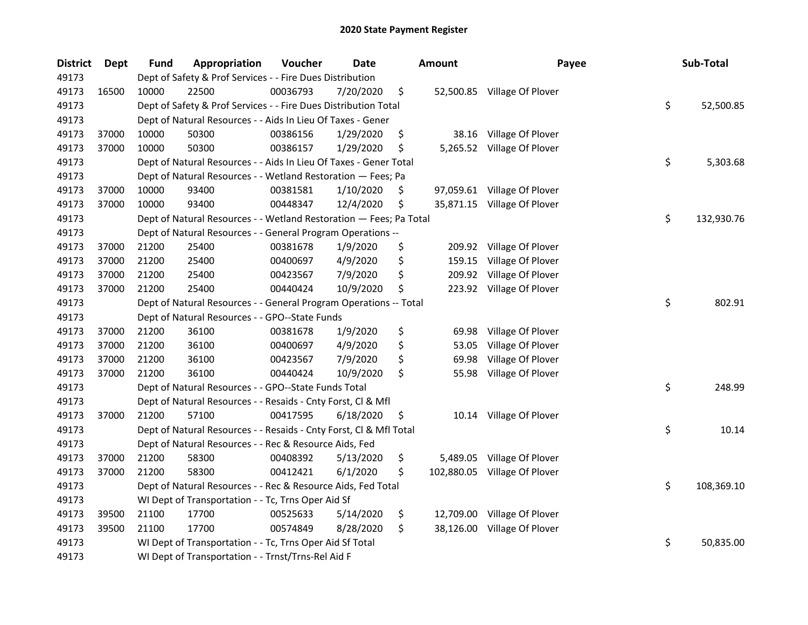| <b>District</b> | Dept  | Fund  | Appropriation                                                      | Voucher  | <b>Date</b> | <b>Amount</b>   | Payee                        | Sub-Total        |
|-----------------|-------|-------|--------------------------------------------------------------------|----------|-------------|-----------------|------------------------------|------------------|
| 49173           |       |       | Dept of Safety & Prof Services - - Fire Dues Distribution          |          |             |                 |                              |                  |
| 49173           | 16500 | 10000 | 22500                                                              | 00036793 | 7/20/2020   | \$              | 52,500.85 Village Of Plover  |                  |
| 49173           |       |       | Dept of Safety & Prof Services - - Fire Dues Distribution Total    |          |             |                 |                              | \$<br>52,500.85  |
| 49173           |       |       | Dept of Natural Resources - - Aids In Lieu Of Taxes - Gener        |          |             |                 |                              |                  |
| 49173           | 37000 | 10000 | 50300                                                              | 00386156 | 1/29/2020   | \$<br>38.16     | Village Of Plover            |                  |
| 49173           | 37000 | 10000 | 50300                                                              | 00386157 | 1/29/2020   | \$              | 5,265.52 Village Of Plover   |                  |
| 49173           |       |       | Dept of Natural Resources - - Aids In Lieu Of Taxes - Gener Total  |          |             |                 |                              | \$<br>5,303.68   |
| 49173           |       |       | Dept of Natural Resources - - Wetland Restoration - Fees; Pa       |          |             |                 |                              |                  |
| 49173           | 37000 | 10000 | 93400                                                              | 00381581 | 1/10/2020   | \$              | 97,059.61 Village Of Plover  |                  |
| 49173           | 37000 | 10000 | 93400                                                              | 00448347 | 12/4/2020   | \$              | 35,871.15 Village Of Plover  |                  |
| 49173           |       |       | Dept of Natural Resources - - Wetland Restoration - Fees; Pa Total |          |             |                 |                              | \$<br>132,930.76 |
| 49173           |       |       | Dept of Natural Resources - - General Program Operations --        |          |             |                 |                              |                  |
| 49173           | 37000 | 21200 | 25400                                                              | 00381678 | 1/9/2020    | \$              | 209.92 Village Of Plover     |                  |
| 49173           | 37000 | 21200 | 25400                                                              | 00400697 | 4/9/2020    | \$<br>159.15    | Village Of Plover            |                  |
| 49173           | 37000 | 21200 | 25400                                                              | 00423567 | 7/9/2020    | \$<br>209.92    | Village Of Plover            |                  |
| 49173           | 37000 | 21200 | 25400                                                              | 00440424 | 10/9/2020   | \$              | 223.92 Village Of Plover     |                  |
| 49173           |       |       | Dept of Natural Resources - - General Program Operations -- Total  |          |             |                 |                              | \$<br>802.91     |
| 49173           |       |       | Dept of Natural Resources - - GPO--State Funds                     |          |             |                 |                              |                  |
| 49173           | 37000 | 21200 | 36100                                                              | 00381678 | 1/9/2020    | \$<br>69.98     | Village Of Plover            |                  |
| 49173           | 37000 | 21200 | 36100                                                              | 00400697 | 4/9/2020    | \$<br>53.05     | Village Of Plover            |                  |
| 49173           | 37000 | 21200 | 36100                                                              | 00423567 | 7/9/2020    | \$<br>69.98     | Village Of Plover            |                  |
| 49173           | 37000 | 21200 | 36100                                                              | 00440424 | 10/9/2020   | \$<br>55.98     | Village Of Plover            |                  |
| 49173           |       |       | Dept of Natural Resources - - GPO--State Funds Total               |          |             |                 |                              | \$<br>248.99     |
| 49173           |       |       | Dept of Natural Resources - - Resaids - Cnty Forst, Cl & Mfl       |          |             |                 |                              |                  |
| 49173           | 37000 | 21200 | 57100                                                              | 00417595 | 6/18/2020   | \$              | 10.14 Village Of Plover      |                  |
| 49173           |       |       | Dept of Natural Resources - - Resaids - Cnty Forst, Cl & Mfl Total |          |             |                 |                              | \$<br>10.14      |
| 49173           |       |       | Dept of Natural Resources - - Rec & Resource Aids, Fed             |          |             |                 |                              |                  |
| 49173           | 37000 | 21200 | 58300                                                              | 00408392 | 5/13/2020   | \$<br>5,489.05  | Village Of Plover            |                  |
| 49173           | 37000 | 21200 | 58300                                                              | 00412421 | 6/1/2020    | \$              | 102,880.05 Village Of Plover |                  |
| 49173           |       |       | Dept of Natural Resources - - Rec & Resource Aids, Fed Total       |          |             |                 |                              | \$<br>108,369.10 |
| 49173           |       |       | WI Dept of Transportation - - Tc, Trns Oper Aid Sf                 |          |             |                 |                              |                  |
| 49173           | 39500 | 21100 | 17700                                                              | 00525633 | 5/14/2020   | \$<br>12,709.00 | Village Of Plover            |                  |
| 49173           | 39500 | 21100 | 17700                                                              | 00574849 | 8/28/2020   | \$<br>38,126.00 | Village Of Plover            |                  |
| 49173           |       |       | WI Dept of Transportation - - Tc, Trns Oper Aid Sf Total           |          |             |                 |                              | \$<br>50,835.00  |
| 49173           |       |       | WI Dept of Transportation - - Trnst/Trns-Rel Aid F                 |          |             |                 |                              |                  |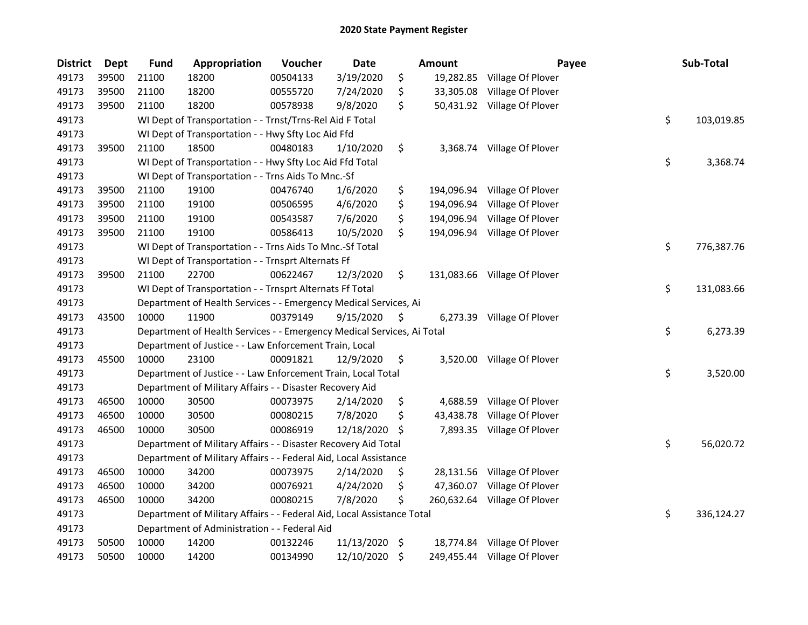| <b>District</b> | <b>Dept</b> | <b>Fund</b> | Appropriation                                                          | Voucher  | Date       |                    | <b>Amount</b> | Payee                        | Sub-Total        |
|-----------------|-------------|-------------|------------------------------------------------------------------------|----------|------------|--------------------|---------------|------------------------------|------------------|
| 49173           | 39500       | 21100       | 18200                                                                  | 00504133 | 3/19/2020  | \$                 | 19,282.85     | Village Of Plover            |                  |
| 49173           | 39500       | 21100       | 18200                                                                  | 00555720 | 7/24/2020  | \$                 | 33,305.08     | Village Of Plover            |                  |
| 49173           | 39500       | 21100       | 18200                                                                  | 00578938 | 9/8/2020   | \$                 |               | 50,431.92 Village Of Plover  |                  |
| 49173           |             |             | WI Dept of Transportation - - Trnst/Trns-Rel Aid F Total               |          |            |                    |               |                              | \$<br>103,019.85 |
| 49173           |             |             | WI Dept of Transportation - - Hwy Sfty Loc Aid Ffd                     |          |            |                    |               |                              |                  |
| 49173           | 39500       | 21100       | 18500                                                                  | 00480183 | 1/10/2020  | \$                 |               | 3,368.74 Village Of Plover   |                  |
| 49173           |             |             | WI Dept of Transportation - - Hwy Sfty Loc Aid Ffd Total               |          |            |                    |               |                              | \$<br>3,368.74   |
| 49173           |             |             | WI Dept of Transportation - - Trns Aids To Mnc.-Sf                     |          |            |                    |               |                              |                  |
| 49173           | 39500       | 21100       | 19100                                                                  | 00476740 | 1/6/2020   | \$                 |               | 194,096.94 Village Of Plover |                  |
| 49173           | 39500       | 21100       | 19100                                                                  | 00506595 | 4/6/2020   | \$                 | 194,096.94    | Village Of Plover            |                  |
| 49173           | 39500       | 21100       | 19100                                                                  | 00543587 | 7/6/2020   | \$                 | 194,096.94    | Village Of Plover            |                  |
| 49173           | 39500       | 21100       | 19100                                                                  | 00586413 | 10/5/2020  | \$                 | 194,096.94    | Village Of Plover            |                  |
| 49173           |             |             | WI Dept of Transportation - - Trns Aids To Mnc.-Sf Total               |          |            |                    |               |                              | \$<br>776,387.76 |
| 49173           |             |             | WI Dept of Transportation - - Trnsprt Alternats Ff                     |          |            |                    |               |                              |                  |
| 49173           | 39500       | 21100       | 22700                                                                  | 00622467 | 12/3/2020  | \$                 |               | 131,083.66 Village Of Plover |                  |
| 49173           |             |             | WI Dept of Transportation - - Trnsprt Alternats Ff Total               |          |            |                    |               |                              | \$<br>131,083.66 |
| 49173           |             |             | Department of Health Services - - Emergency Medical Services, Ai       |          |            |                    |               |                              |                  |
| 49173           | 43500       | 10000       | 11900                                                                  | 00379149 | 9/15/2020  | \$                 | 6,273.39      | Village Of Plover            |                  |
| 49173           |             |             | Department of Health Services - - Emergency Medical Services, Ai Total |          |            |                    |               |                              | \$<br>6,273.39   |
| 49173           |             |             | Department of Justice - - Law Enforcement Train, Local                 |          |            |                    |               |                              |                  |
| 49173           | 45500       | 10000       | 23100                                                                  | 00091821 | 12/9/2020  | \$                 |               | 3,520.00 Village Of Plover   |                  |
| 49173           |             |             | Department of Justice - - Law Enforcement Train, Local Total           |          |            |                    |               |                              | \$<br>3,520.00   |
| 49173           |             |             | Department of Military Affairs - - Disaster Recovery Aid               |          |            |                    |               |                              |                  |
| 49173           | 46500       | 10000       | 30500                                                                  | 00073975 | 2/14/2020  | \$                 | 4,688.59      | Village Of Plover            |                  |
| 49173           | 46500       | 10000       | 30500                                                                  | 00080215 | 7/8/2020   | \$                 | 43,438.78     | Village Of Plover            |                  |
| 49173           | 46500       | 10000       | 30500                                                                  | 00086919 | 12/18/2020 | -S                 |               | 7,893.35 Village Of Plover   |                  |
| 49173           |             |             | Department of Military Affairs - - Disaster Recovery Aid Total         |          |            |                    |               |                              | \$<br>56,020.72  |
| 49173           |             |             | Department of Military Affairs - - Federal Aid, Local Assistance       |          |            |                    |               |                              |                  |
| 49173           | 46500       | 10000       | 34200                                                                  | 00073975 | 2/14/2020  | \$                 |               | 28,131.56 Village Of Plover  |                  |
| 49173           | 46500       | 10000       | 34200                                                                  | 00076921 | 4/24/2020  | \$                 | 47,360.07     | Village Of Plover            |                  |
| 49173           | 46500       | 10000       | 34200                                                                  | 00080215 | 7/8/2020   | \$                 | 260,632.64    | Village Of Plover            |                  |
| 49173           |             |             | Department of Military Affairs - - Federal Aid, Local Assistance Total |          |            |                    |               |                              | \$<br>336,124.27 |
| 49173           |             |             | Department of Administration - - Federal Aid                           |          |            |                    |               |                              |                  |
| 49173           | 50500       | 10000       | 14200                                                                  | 00132246 | 11/13/2020 | $\ddot{\varsigma}$ |               | 18,774.84 Village Of Plover  |                  |
| 49173           | 50500       | 10000       | 14200                                                                  | 00134990 | 12/10/2020 | \$                 |               | 249,455.44 Village Of Plover |                  |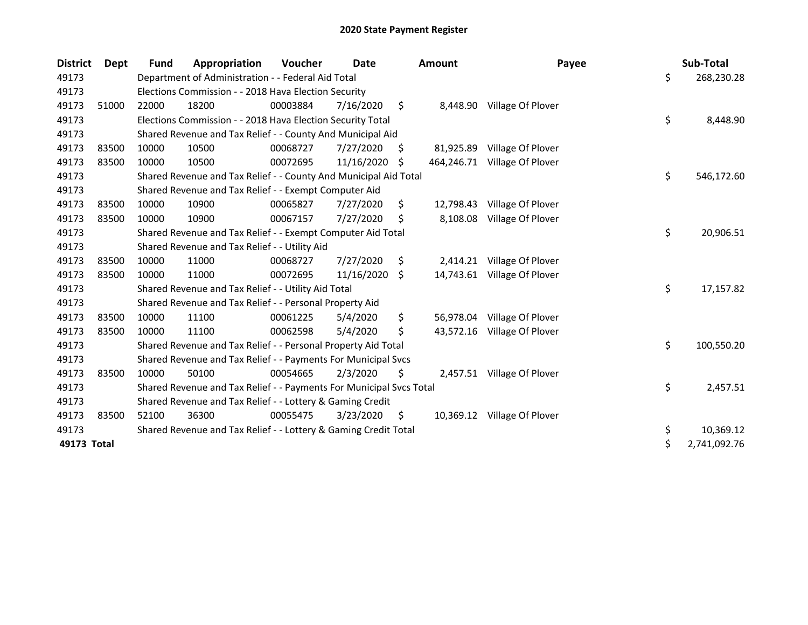| <b>District</b> | Dept  | Fund  | Appropriation                                                       | Voucher  | <b>Date</b> |     | <b>Amount</b> | Payee                       | Sub-Total          |
|-----------------|-------|-------|---------------------------------------------------------------------|----------|-------------|-----|---------------|-----------------------------|--------------------|
| 49173           |       |       | Department of Administration - - Federal Aid Total                  |          |             |     |               |                             | \$<br>268,230.28   |
| 49173           |       |       | Elections Commission - - 2018 Hava Election Security                |          |             |     |               |                             |                    |
| 49173           | 51000 | 22000 | 18200                                                               | 00003884 | 7/16/2020   | \$  | 8,448.90      | Village Of Plover           |                    |
| 49173           |       |       | Elections Commission - - 2018 Hava Election Security Total          |          |             |     |               |                             | \$<br>8,448.90     |
| 49173           |       |       | Shared Revenue and Tax Relief - - County And Municipal Aid          |          |             |     |               |                             |                    |
| 49173           | 83500 | 10000 | 10500                                                               | 00068727 | 7/27/2020   | \$. | 81,925.89     | Village Of Plover           |                    |
| 49173           | 83500 | 10000 | 10500                                                               | 00072695 | 11/16/2020  | \$  | 464,246.71    | Village Of Plover           |                    |
| 49173           |       |       | Shared Revenue and Tax Relief - - County And Municipal Aid Total    |          |             |     |               |                             | \$<br>546,172.60   |
| 49173           |       |       | Shared Revenue and Tax Relief - - Exempt Computer Aid               |          |             |     |               |                             |                    |
| 49173           | 83500 | 10000 | 10900                                                               | 00065827 | 7/27/2020   | \$  | 12,798.43     | Village Of Plover           |                    |
| 49173           | 83500 | 10000 | 10900                                                               | 00067157 | 7/27/2020   | S   | 8,108.08      | Village Of Plover           |                    |
| 49173           |       |       | Shared Revenue and Tax Relief - - Exempt Computer Aid Total         |          |             |     |               |                             | \$<br>20,906.51    |
| 49173           |       |       | Shared Revenue and Tax Relief - - Utility Aid                       |          |             |     |               |                             |                    |
| 49173           | 83500 | 10000 | 11000                                                               | 00068727 | 7/27/2020   | \$  | 2,414.21      | Village Of Plover           |                    |
| 49173           | 83500 | 10000 | 11000                                                               | 00072695 | 11/16/2020  | S.  |               | 14,743.61 Village Of Plover |                    |
| 49173           |       |       | Shared Revenue and Tax Relief - - Utility Aid Total                 |          |             |     |               |                             | \$<br>17,157.82    |
| 49173           |       |       | Shared Revenue and Tax Relief - - Personal Property Aid             |          |             |     |               |                             |                    |
| 49173           | 83500 | 10000 | 11100                                                               | 00061225 | 5/4/2020    | \$  |               | 56,978.04 Village Of Plover |                    |
| 49173           | 83500 | 10000 | 11100                                                               | 00062598 | 5/4/2020    | \$  |               | 43,572.16 Village Of Plover |                    |
| 49173           |       |       | Shared Revenue and Tax Relief - - Personal Property Aid Total       |          |             |     |               |                             | \$<br>100,550.20   |
| 49173           |       |       | Shared Revenue and Tax Relief - - Payments For Municipal Svcs       |          |             |     |               |                             |                    |
| 49173           | 83500 | 10000 | 50100                                                               | 00054665 | 2/3/2020    | \$  |               | 2,457.51 Village Of Plover  |                    |
| 49173           |       |       | Shared Revenue and Tax Relief - - Payments For Municipal Svcs Total |          |             |     |               |                             | \$<br>2,457.51     |
| 49173           |       |       | Shared Revenue and Tax Relief - - Lottery & Gaming Credit           |          |             |     |               |                             |                    |
| 49173           | 83500 | 52100 | 36300                                                               | 00055475 | 3/23/2020   | \$  |               | 10,369.12 Village Of Plover |                    |
| 49173           |       |       | Shared Revenue and Tax Relief - - Lottery & Gaming Credit Total     |          |             |     |               |                             | \$<br>10,369.12    |
| 49173 Total     |       |       |                                                                     |          |             |     |               |                             | \$<br>2,741,092.76 |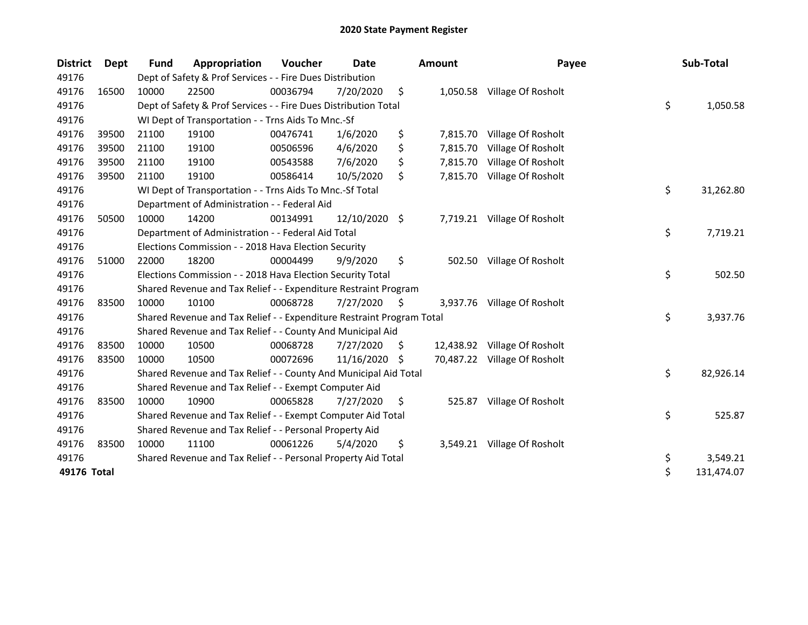| <b>District</b> | <b>Dept</b> | Fund                                                    | Appropriation                                                         | <b>Voucher</b> | Date          |     | <b>Amount</b> | Payee                        |    | Sub-Total  |
|-----------------|-------------|---------------------------------------------------------|-----------------------------------------------------------------------|----------------|---------------|-----|---------------|------------------------------|----|------------|
| 49176           |             |                                                         | Dept of Safety & Prof Services - - Fire Dues Distribution             |                |               |     |               |                              |    |            |
| 49176           | 16500       | 10000                                                   | 22500                                                                 | 00036794       | 7/20/2020     | \$  | 1,050.58      | Village Of Rosholt           |    |            |
| 49176           |             |                                                         | Dept of Safety & Prof Services - - Fire Dues Distribution Total       |                |               |     |               |                              | \$ | 1,050.58   |
| 49176           |             |                                                         | WI Dept of Transportation - - Trns Aids To Mnc.-Sf                    |                |               |     |               |                              |    |            |
| 49176           | 39500       | 21100                                                   | 19100                                                                 | 00476741       | 1/6/2020      | \$  | 7,815.70      | Village Of Rosholt           |    |            |
| 49176           | 39500       | 21100                                                   | 19100                                                                 | 00506596       | 4/6/2020      | \$  | 7,815.70      | Village Of Rosholt           |    |            |
| 49176           | 39500       | 21100                                                   | 19100                                                                 | 00543588       | 7/6/2020      | \$  | 7,815.70      | Village Of Rosholt           |    |            |
| 49176           | 39500       | 21100                                                   | 19100                                                                 | 00586414       | 10/5/2020     | \$  | 7,815.70      | Village Of Rosholt           |    |            |
| 49176           |             |                                                         | WI Dept of Transportation - - Trns Aids To Mnc.-Sf Total              |                |               |     |               |                              | \$ | 31,262.80  |
| 49176           |             |                                                         | Department of Administration - - Federal Aid                          |                |               |     |               |                              |    |            |
| 49176           | 50500       | 10000                                                   | 14200                                                                 | 00134991       | 12/10/2020 \$ |     |               | 7,719.21 Village Of Rosholt  |    |            |
| 49176           |             |                                                         | Department of Administration - - Federal Aid Total                    |                |               |     |               |                              |    | 7,719.21   |
| 49176           |             | Elections Commission - - 2018 Hava Election Security    |                                                                       |                |               |     |               |                              |    |            |
| 49176           | 51000       | 22000                                                   | 18200                                                                 | 00004499       | 9/9/2020      | \$  | 502.50        | Village Of Rosholt           |    |            |
| 49176           |             |                                                         | Elections Commission - - 2018 Hava Election Security Total            |                |               |     |               |                              | \$ | 502.50     |
| 49176           |             |                                                         | Shared Revenue and Tax Relief - - Expenditure Restraint Program       |                |               |     |               |                              |    |            |
| 49176           | 83500       | 10000                                                   | 10100                                                                 | 00068728       | 7/27/2020     | \$. |               | 3,937.76 Village Of Rosholt  |    |            |
| 49176           |             |                                                         | Shared Revenue and Tax Relief - - Expenditure Restraint Program Total |                |               |     |               |                              | \$ | 3,937.76   |
| 49176           |             |                                                         | Shared Revenue and Tax Relief - - County And Municipal Aid            |                |               |     |               |                              |    |            |
| 49176           | 83500       | 10000                                                   | 10500                                                                 | 00068728       | 7/27/2020     | S   |               | 12,438.92 Village Of Rosholt |    |            |
| 49176           | 83500       | 10000                                                   | 10500                                                                 | 00072696       | 11/16/2020    | S   |               | 70,487.22 Village Of Rosholt |    |            |
| 49176           |             |                                                         | Shared Revenue and Tax Relief - - County And Municipal Aid Total      |                |               |     |               |                              | \$ | 82,926.14  |
| 49176           |             |                                                         | Shared Revenue and Tax Relief - - Exempt Computer Aid                 |                |               |     |               |                              |    |            |
| 49176           | 83500       | 10000                                                   | 10900                                                                 | 00065828       | 7/27/2020     | \$  | 525.87        | Village Of Rosholt           |    |            |
| 49176           |             |                                                         | Shared Revenue and Tax Relief - - Exempt Computer Aid Total           |                |               |     |               |                              | \$ | 525.87     |
| 49176           |             | Shared Revenue and Tax Relief - - Personal Property Aid |                                                                       |                |               |     |               |                              |    |            |
| 49176           | 83500       | 10000                                                   | 11100                                                                 | 00061226       | 5/4/2020      | \$  | 3,549.21      | Village Of Rosholt           |    |            |
| 49176           |             |                                                         | Shared Revenue and Tax Relief - - Personal Property Aid Total         |                |               |     |               |                              | \$ | 3,549.21   |
| 49176 Total     |             |                                                         |                                                                       |                |               |     |               |                              | \$ | 131,474.07 |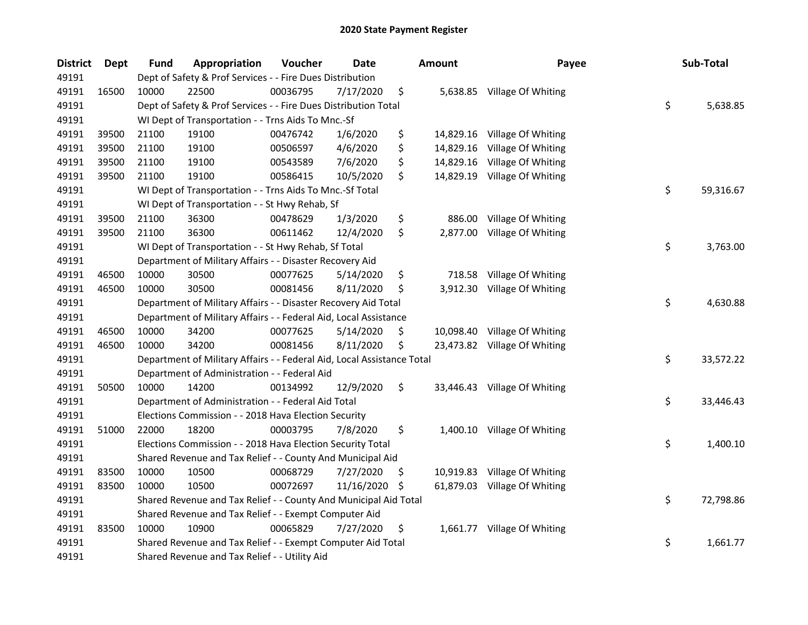| <b>District</b> | Dept  | Fund                                                  | Appropriation                                                          | Voucher  | <b>Date</b> |     | <b>Amount</b> | Payee                        |    | Sub-Total |
|-----------------|-------|-------------------------------------------------------|------------------------------------------------------------------------|----------|-------------|-----|---------------|------------------------------|----|-----------|
| 49191           |       |                                                       | Dept of Safety & Prof Services - - Fire Dues Distribution              |          |             |     |               |                              |    |           |
| 49191           | 16500 | 10000                                                 | 22500                                                                  | 00036795 | 7/17/2020   | \$  |               | 5,638.85 Village Of Whiting  |    |           |
| 49191           |       |                                                       | Dept of Safety & Prof Services - - Fire Dues Distribution Total        |          |             |     |               |                              | \$ | 5,638.85  |
| 49191           |       |                                                       | WI Dept of Transportation - - Trns Aids To Mnc.-Sf                     |          |             |     |               |                              |    |           |
| 49191           | 39500 | 21100                                                 | 19100                                                                  | 00476742 | 1/6/2020    | \$  |               | 14,829.16 Village Of Whiting |    |           |
| 49191           | 39500 | 21100                                                 | 19100                                                                  | 00506597 | 4/6/2020    | \$  | 14,829.16     | Village Of Whiting           |    |           |
| 49191           | 39500 | 21100                                                 | 19100                                                                  | 00543589 | 7/6/2020    | \$  |               | 14,829.16 Village Of Whiting |    |           |
| 49191           | 39500 | 21100                                                 | 19100                                                                  | 00586415 | 10/5/2020   | \$  |               | 14,829.19 Village Of Whiting |    |           |
| 49191           |       |                                                       | WI Dept of Transportation - - Trns Aids To Mnc.-Sf Total               |          |             |     |               |                              | \$ | 59,316.67 |
| 49191           |       |                                                       | WI Dept of Transportation - - St Hwy Rehab, Sf                         |          |             |     |               |                              |    |           |
| 49191           | 39500 | 21100                                                 | 36300                                                                  | 00478629 | 1/3/2020    | \$  | 886.00        | Village Of Whiting           |    |           |
| 49191           | 39500 | 21100                                                 | 36300                                                                  | 00611462 | 12/4/2020   | \$  | 2,877.00      | Village Of Whiting           |    |           |
| 49191           |       |                                                       | WI Dept of Transportation - - St Hwy Rehab, Sf Total                   |          |             |     |               |                              | \$ | 3,763.00  |
| 49191           |       |                                                       | Department of Military Affairs - - Disaster Recovery Aid               |          |             |     |               |                              |    |           |
| 49191           | 46500 | 10000                                                 | 30500                                                                  | 00077625 | 5/14/2020   | \$  | 718.58        | Village Of Whiting           |    |           |
| 49191           | 46500 | 10000                                                 | 30500                                                                  | 00081456 | 8/11/2020   | \$  | 3,912.30      | Village Of Whiting           |    |           |
| 49191           |       |                                                       | Department of Military Affairs - - Disaster Recovery Aid Total         |          |             |     |               |                              | \$ | 4,630.88  |
| 49191           |       |                                                       | Department of Military Affairs - - Federal Aid, Local Assistance       |          |             |     |               |                              |    |           |
| 49191           | 46500 | 10000                                                 | 34200                                                                  | 00077625 | 5/14/2020   | \$  | 10,098.40     | Village Of Whiting           |    |           |
| 49191           | 46500 | 10000                                                 | 34200                                                                  | 00081456 | 8/11/2020   | \$  |               | 23,473.82 Village Of Whiting |    |           |
| 49191           |       |                                                       | Department of Military Affairs - - Federal Aid, Local Assistance Total |          |             |     |               |                              | \$ | 33,572.22 |
| 49191           |       |                                                       | Department of Administration - - Federal Aid                           |          |             |     |               |                              |    |           |
| 49191           | 50500 | 10000                                                 | 14200                                                                  | 00134992 | 12/9/2020   | \$  |               | 33,446.43 Village Of Whiting |    |           |
| 49191           |       |                                                       | Department of Administration - - Federal Aid Total                     |          |             |     |               |                              | \$ | 33,446.43 |
| 49191           |       |                                                       | Elections Commission - - 2018 Hava Election Security                   |          |             |     |               |                              |    |           |
| 49191           | 51000 | 22000                                                 | 18200                                                                  | 00003795 | 7/8/2020    | \$  |               | 1,400.10 Village Of Whiting  |    |           |
| 49191           |       |                                                       | Elections Commission - - 2018 Hava Election Security Total             |          |             |     |               |                              | \$ | 1,400.10  |
| 49191           |       |                                                       | Shared Revenue and Tax Relief - - County And Municipal Aid             |          |             |     |               |                              |    |           |
| 49191           | 83500 | 10000                                                 | 10500                                                                  | 00068729 | 7/27/2020   | S   |               | 10,919.83 Village Of Whiting |    |           |
| 49191           | 83500 | 10000                                                 | 10500                                                                  | 00072697 | 11/16/2020  | \$. |               | 61,879.03 Village Of Whiting |    |           |
| 49191           |       |                                                       | Shared Revenue and Tax Relief - - County And Municipal Aid Total       |          |             |     |               |                              | \$ | 72,798.86 |
| 49191           |       | Shared Revenue and Tax Relief - - Exempt Computer Aid |                                                                        |          |             |     |               |                              |    |           |
| 49191           | 83500 | 10000                                                 | 10900                                                                  | 00065829 | 7/27/2020   | \$  |               | 1,661.77 Village Of Whiting  |    |           |
| 49191           |       |                                                       | Shared Revenue and Tax Relief - - Exempt Computer Aid Total            |          |             |     |               |                              | \$ | 1,661.77  |
| 49191           |       |                                                       | Shared Revenue and Tax Relief - - Utility Aid                          |          |             |     |               |                              |    |           |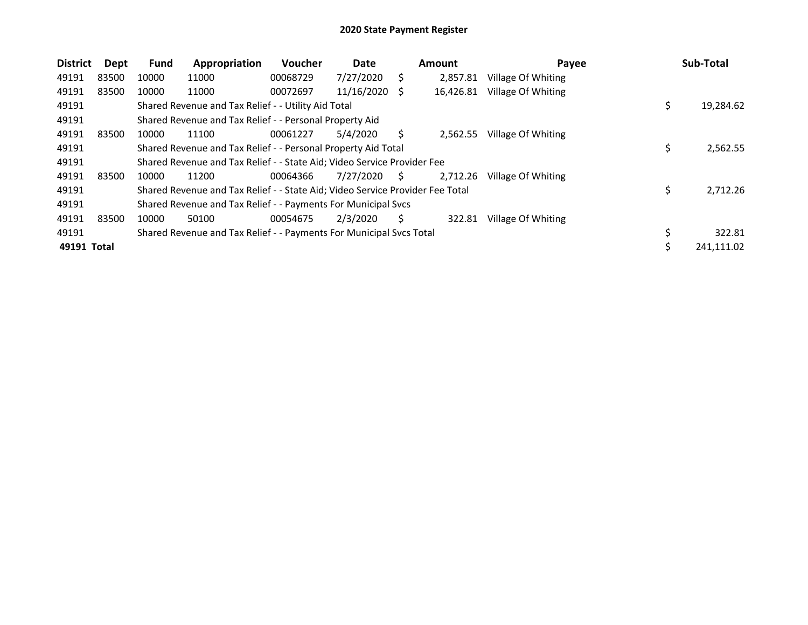| <b>District</b> | Dept  | <b>Fund</b>                                                             | Appropriation                                                                 | <b>Voucher</b> | Date       |    | <b>Amount</b> | Payee              |     | Sub-Total  |
|-----------------|-------|-------------------------------------------------------------------------|-------------------------------------------------------------------------------|----------------|------------|----|---------------|--------------------|-----|------------|
| 49191           | 83500 | 10000                                                                   | 11000                                                                         | 00068729       | 7/27/2020  | S. | 2,857.81      | Village Of Whiting |     |            |
| 49191           | 83500 | 10000                                                                   | 11000                                                                         | 00072697       | 11/16/2020 | -S | 16,426.81     | Village Of Whiting |     |            |
| 49191           |       |                                                                         | Shared Revenue and Tax Relief - - Utility Aid Total                           |                |            |    |               |                    | \$  | 19,284.62  |
| 49191           |       |                                                                         | Shared Revenue and Tax Relief - - Personal Property Aid                       |                |            |    |               |                    |     |            |
| 49191           | 83500 | 10000                                                                   | 11100                                                                         | 00061227       | 5/4/2020   | S. | 2,562.55      | Village Of Whiting |     |            |
| 49191           |       |                                                                         | Shared Revenue and Tax Relief - - Personal Property Aid Total                 |                | 2,562.55   |    |               |                    |     |            |
| 49191           |       | Shared Revenue and Tax Relief - - State Aid; Video Service Provider Fee |                                                                               |                |            |    |               |                    |     |            |
| 49191           | 83500 | 10000                                                                   | 11200                                                                         | 00064366       | 7/27/2020  | S. | 2.712.26      | Village Of Whiting |     |            |
| 49191           |       |                                                                         | Shared Revenue and Tax Relief - - State Aid; Video Service Provider Fee Total |                |            |    |               |                    | \$  | 2,712.26   |
| 49191           |       |                                                                         | Shared Revenue and Tax Relief - - Payments For Municipal Svcs                 |                |            |    |               |                    |     |            |
| 49191           | 83500 | 10000                                                                   | 50100                                                                         | 00054675       | 2/3/2020   | S  | 322.81        | Village Of Whiting |     |            |
| 49191           |       |                                                                         | Shared Revenue and Tax Relief - - Payments For Municipal Svcs Total           |                |            |    |               |                    |     | 322.81     |
| 49191 Total     |       |                                                                         |                                                                               |                |            |    |               |                    | \$. | 241,111.02 |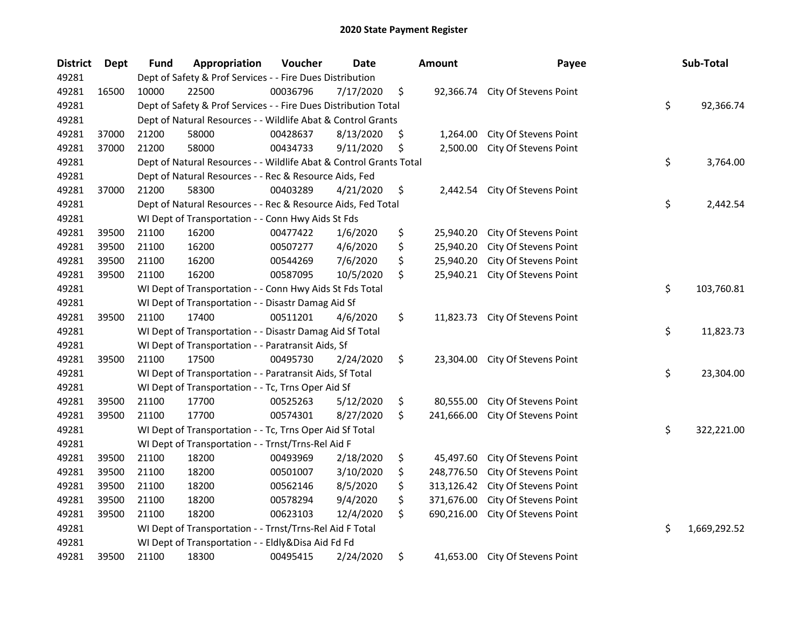| <b>District</b> | <b>Dept</b> | Fund  | Appropriation                                                      | Voucher          | <b>Date</b>    | <b>Amount</b>    | Payee                           | Sub-Total          |
|-----------------|-------------|-------|--------------------------------------------------------------------|------------------|----------------|------------------|---------------------------------|--------------------|
| 49281           |             |       | Dept of Safety & Prof Services - - Fire Dues Distribution          |                  |                |                  |                                 |                    |
| 49281           | 16500       | 10000 | 22500                                                              | 00036796         | 7/17/2020      | \$               | 92,366.74 City Of Stevens Point |                    |
| 49281           |             |       | Dept of Safety & Prof Services - - Fire Dues Distribution Total    |                  |                |                  |                                 | \$<br>92,366.74    |
| 49281           |             |       | Dept of Natural Resources - - Wildlife Abat & Control Grants       |                  |                |                  |                                 |                    |
| 49281           | 37000       | 21200 | 58000                                                              | 00428637         | 8/13/2020      | \$<br>1,264.00   | City Of Stevens Point           |                    |
| 49281           | 37000       | 21200 | 58000                                                              | 00434733         | 9/11/2020      | \$<br>2,500.00   | City Of Stevens Point           |                    |
| 49281           |             |       | Dept of Natural Resources - - Wildlife Abat & Control Grants Total |                  |                |                  |                                 | \$<br>3,764.00     |
| 49281           |             |       | Dept of Natural Resources - - Rec & Resource Aids, Fed             |                  |                |                  |                                 |                    |
| 49281           | 37000       | 21200 | 58300                                                              | 00403289         | 4/21/2020      | \$               | 2,442.54 City Of Stevens Point  |                    |
| 49281           |             |       | Dept of Natural Resources - - Rec & Resource Aids, Fed Total       |                  | \$<br>2,442.54 |                  |                                 |                    |
| 49281           |             |       | WI Dept of Transportation - - Conn Hwy Aids St Fds                 |                  |                |                  |                                 |                    |
| 49281           | 39500       | 21100 | 16200                                                              | 00477422         | 1/6/2020       | \$<br>25,940.20  | City Of Stevens Point           |                    |
| 49281           | 39500       | 21100 | 16200                                                              | 00507277         | 4/6/2020       | \$<br>25,940.20  | City Of Stevens Point           |                    |
| 49281           | 39500       | 21100 | 16200                                                              | 00544269         | 7/6/2020       | \$<br>25,940.20  | City Of Stevens Point           |                    |
| 49281           | 39500       | 21100 | 16200                                                              | 00587095         | 10/5/2020      | \$<br>25,940.21  | City Of Stevens Point           |                    |
| 49281           |             |       | WI Dept of Transportation - - Conn Hwy Aids St Fds Total           | \$<br>103,760.81 |                |                  |                                 |                    |
| 49281           |             |       | WI Dept of Transportation - - Disastr Damag Aid Sf                 |                  |                |                  |                                 |                    |
| 49281           | 39500       | 21100 | 17400                                                              | 00511201         | 4/6/2020       | \$<br>11,823.73  | City Of Stevens Point           |                    |
| 49281           |             |       | WI Dept of Transportation - - Disastr Damag Aid Sf Total           |                  |                |                  |                                 | \$<br>11,823.73    |
| 49281           |             |       | WI Dept of Transportation - - Paratransit Aids, Sf                 |                  |                |                  |                                 |                    |
| 49281           | 39500       | 21100 | 17500                                                              | 00495730         | 2/24/2020      | \$<br>23,304.00  | City Of Stevens Point           |                    |
| 49281           |             |       | WI Dept of Transportation - - Paratransit Aids, Sf Total           |                  |                |                  |                                 | \$<br>23,304.00    |
| 49281           |             |       | WI Dept of Transportation - - Tc, Trns Oper Aid Sf                 |                  |                |                  |                                 |                    |
| 49281           | 39500       | 21100 | 17700                                                              | 00525263         | 5/12/2020      | \$<br>80,555.00  | City Of Stevens Point           |                    |
| 49281           | 39500       | 21100 | 17700                                                              | 00574301         | 8/27/2020      | \$<br>241,666.00 | City Of Stevens Point           |                    |
| 49281           |             |       | WI Dept of Transportation - - Tc, Trns Oper Aid Sf Total           |                  |                |                  |                                 | \$<br>322,221.00   |
| 49281           |             |       | WI Dept of Transportation - - Trnst/Trns-Rel Aid F                 |                  |                |                  |                                 |                    |
| 49281           | 39500       | 21100 | 18200                                                              | 00493969         | 2/18/2020      | \$<br>45,497.60  | City Of Stevens Point           |                    |
| 49281           | 39500       | 21100 | 18200                                                              | 00501007         | 3/10/2020      | \$<br>248,776.50 | City Of Stevens Point           |                    |
| 49281           | 39500       | 21100 | 18200                                                              | 00562146         | 8/5/2020       | \$<br>313,126.42 | City Of Stevens Point           |                    |
| 49281           | 39500       | 21100 | 18200                                                              | 00578294         | 9/4/2020       | \$<br>371,676.00 | City Of Stevens Point           |                    |
| 49281           | 39500       | 21100 | 18200                                                              | 00623103         | 12/4/2020      | \$<br>690,216.00 | City Of Stevens Point           |                    |
| 49281           |             |       | WI Dept of Transportation - - Trnst/Trns-Rel Aid F Total           |                  |                |                  |                                 | \$<br>1,669,292.52 |
| 49281           |             |       | WI Dept of Transportation - - Eldly&Disa Aid Fd Fd                 |                  |                |                  |                                 |                    |
| 49281           | 39500       | 21100 | 18300                                                              | 00495415         | 2/24/2020      | \$<br>41,653.00  | City Of Stevens Point           |                    |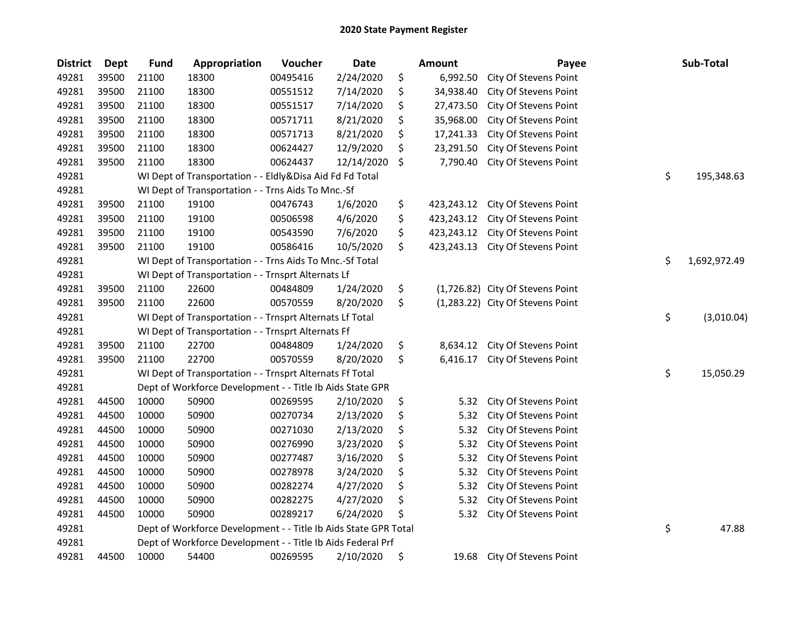| <b>District</b> | Dept  | <b>Fund</b> | Appropriation                                                   | Voucher  | <b>Date</b> | <b>Amount</b>    | Payee                            | Sub-Total          |
|-----------------|-------|-------------|-----------------------------------------------------------------|----------|-------------|------------------|----------------------------------|--------------------|
| 49281           | 39500 | 21100       | 18300                                                           | 00495416 | 2/24/2020   | \$<br>6,992.50   | City Of Stevens Point            |                    |
| 49281           | 39500 | 21100       | 18300                                                           | 00551512 | 7/14/2020   | \$<br>34,938.40  | City Of Stevens Point            |                    |
| 49281           | 39500 | 21100       | 18300                                                           | 00551517 | 7/14/2020   | \$<br>27,473.50  | City Of Stevens Point            |                    |
| 49281           | 39500 | 21100       | 18300                                                           | 00571711 | 8/21/2020   | \$<br>35,968.00  | City Of Stevens Point            |                    |
| 49281           | 39500 | 21100       | 18300                                                           | 00571713 | 8/21/2020   | \$<br>17,241.33  | City Of Stevens Point            |                    |
| 49281           | 39500 | 21100       | 18300                                                           | 00624427 | 12/9/2020   | \$<br>23,291.50  | City Of Stevens Point            |                    |
| 49281           | 39500 | 21100       | 18300                                                           | 00624437 | 12/14/2020  | \$<br>7,790.40   | City Of Stevens Point            |                    |
| 49281           |       |             | WI Dept of Transportation - - Eldly&Disa Aid Fd Fd Total        |          |             |                  |                                  | \$<br>195,348.63   |
| 49281           |       |             | WI Dept of Transportation - - Trns Aids To Mnc.-Sf              |          |             |                  |                                  |                    |
| 49281           | 39500 | 21100       | 19100                                                           | 00476743 | 1/6/2020    | \$<br>423,243.12 | City Of Stevens Point            |                    |
| 49281           | 39500 | 21100       | 19100                                                           | 00506598 | 4/6/2020    | \$<br>423,243.12 | City Of Stevens Point            |                    |
| 49281           | 39500 | 21100       | 19100                                                           | 00543590 | 7/6/2020    | \$<br>423,243.12 | City Of Stevens Point            |                    |
| 49281           | 39500 | 21100       | 19100                                                           | 00586416 | 10/5/2020   | \$<br>423,243.13 | City Of Stevens Point            |                    |
| 49281           |       |             | WI Dept of Transportation - - Trns Aids To Mnc.-Sf Total        |          |             |                  |                                  | \$<br>1,692,972.49 |
| 49281           |       |             | WI Dept of Transportation - - Trnsprt Alternats Lf              |          |             |                  |                                  |                    |
| 49281           | 39500 | 21100       | 22600                                                           | 00484809 | 1/24/2020   | \$               | (1,726.82) City Of Stevens Point |                    |
| 49281           | 39500 | 21100       | 22600                                                           | 00570559 | 8/20/2020   | \$               | (1,283.22) City Of Stevens Point |                    |
| 49281           |       |             | WI Dept of Transportation - - Trnsprt Alternats Lf Total        |          |             |                  |                                  | \$<br>(3,010.04)   |
| 49281           |       |             | WI Dept of Transportation - - Trnsprt Alternats Ff              |          |             |                  |                                  |                    |
| 49281           | 39500 | 21100       | 22700                                                           | 00484809 | 1/24/2020   | \$<br>8,634.12   | City Of Stevens Point            |                    |
| 49281           | 39500 | 21100       | 22700                                                           | 00570559 | 8/20/2020   | \$<br>6,416.17   | City Of Stevens Point            |                    |
| 49281           |       |             | WI Dept of Transportation - - Trnsprt Alternats Ff Total        |          |             |                  |                                  | \$<br>15,050.29    |
| 49281           |       |             | Dept of Workforce Development - - Title Ib Aids State GPR       |          |             |                  |                                  |                    |
| 49281           | 44500 | 10000       | 50900                                                           | 00269595 | 2/10/2020   | \$<br>5.32       | City Of Stevens Point            |                    |
| 49281           | 44500 | 10000       | 50900                                                           | 00270734 | 2/13/2020   | \$<br>5.32       | City Of Stevens Point            |                    |
| 49281           | 44500 | 10000       | 50900                                                           | 00271030 | 2/13/2020   | \$<br>5.32       | City Of Stevens Point            |                    |
| 49281           | 44500 | 10000       | 50900                                                           | 00276990 | 3/23/2020   | \$<br>5.32       | City Of Stevens Point            |                    |
| 49281           | 44500 | 10000       | 50900                                                           | 00277487 | 3/16/2020   | \$<br>5.32       | City Of Stevens Point            |                    |
| 49281           | 44500 | 10000       | 50900                                                           | 00278978 | 3/24/2020   | \$<br>5.32       | City Of Stevens Point            |                    |
| 49281           | 44500 | 10000       | 50900                                                           | 00282274 | 4/27/2020   | \$<br>5.32       | City Of Stevens Point            |                    |
| 49281           | 44500 | 10000       | 50900                                                           | 00282275 | 4/27/2020   | \$<br>5.32       | City Of Stevens Point            |                    |
| 49281           | 44500 | 10000       | 50900                                                           | 00289217 | 6/24/2020   | \$<br>5.32       | City Of Stevens Point            |                    |
| 49281           |       |             | Dept of Workforce Development - - Title Ib Aids State GPR Total |          |             |                  |                                  | \$<br>47.88        |
| 49281           |       |             | Dept of Workforce Development - - Title Ib Aids Federal Prf     |          |             |                  |                                  |                    |
| 49281           | 44500 | 10000       | 54400                                                           | 00269595 | 2/10/2020   | \$<br>19.68      | City Of Stevens Point            |                    |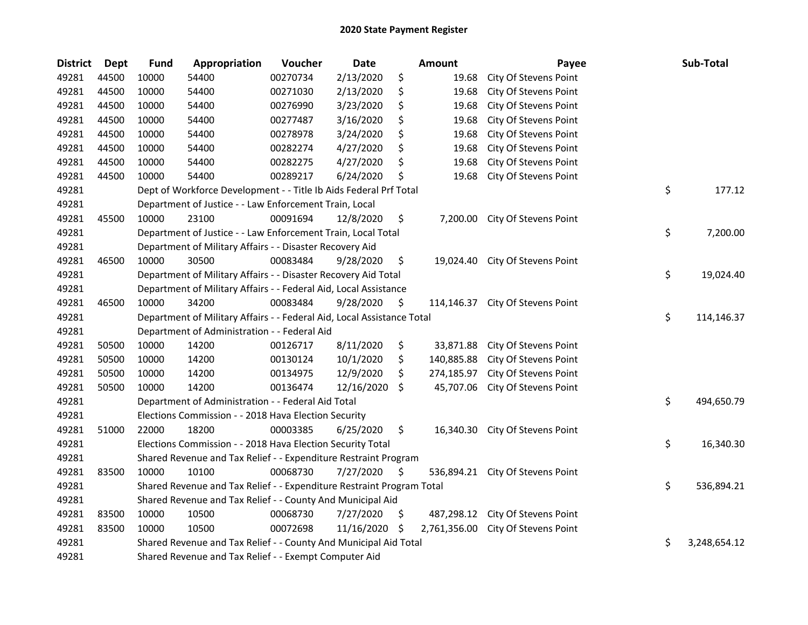| <b>District</b> | <b>Dept</b> | <b>Fund</b>                                                      | Appropriation                                                          | Voucher  | <b>Date</b> |     | Amount       | Payee                            |    | Sub-Total    |
|-----------------|-------------|------------------------------------------------------------------|------------------------------------------------------------------------|----------|-------------|-----|--------------|----------------------------------|----|--------------|
| 49281           | 44500       | 10000                                                            | 54400                                                                  | 00270734 | 2/13/2020   | \$  | 19.68        | City Of Stevens Point            |    |              |
| 49281           | 44500       | 10000                                                            | 54400                                                                  | 00271030 | 2/13/2020   | \$  | 19.68        | City Of Stevens Point            |    |              |
| 49281           | 44500       | 10000                                                            | 54400                                                                  | 00276990 | 3/23/2020   | \$  | 19.68        | City Of Stevens Point            |    |              |
| 49281           | 44500       | 10000                                                            | 54400                                                                  | 00277487 | 3/16/2020   | \$  | 19.68        | City Of Stevens Point            |    |              |
| 49281           | 44500       | 10000                                                            | 54400                                                                  | 00278978 | 3/24/2020   | \$  | 19.68        | City Of Stevens Point            |    |              |
| 49281           | 44500       | 10000                                                            | 54400                                                                  | 00282274 | 4/27/2020   | \$  | 19.68        | City Of Stevens Point            |    |              |
| 49281           | 44500       | 10000                                                            | 54400                                                                  | 00282275 | 4/27/2020   | \$  | 19.68        | City Of Stevens Point            |    |              |
| 49281           | 44500       | 10000                                                            | 54400                                                                  | 00289217 | 6/24/2020   | \$  | 19.68        | City Of Stevens Point            |    |              |
| 49281           |             |                                                                  | Dept of Workforce Development - - Title Ib Aids Federal Prf Total      |          |             |     |              |                                  | \$ | 177.12       |
| 49281           |             |                                                                  | Department of Justice - - Law Enforcement Train, Local                 |          |             |     |              |                                  |    |              |
| 49281           | 45500       | 10000                                                            | 23100                                                                  | 00091694 | 12/8/2020   | \$  |              | 7,200.00 City Of Stevens Point   |    |              |
| 49281           |             |                                                                  | Department of Justice - - Law Enforcement Train, Local Total           |          |             |     |              |                                  | \$ | 7,200.00     |
| 49281           |             |                                                                  | Department of Military Affairs - - Disaster Recovery Aid               |          |             |     |              |                                  |    |              |
| 49281           | 46500       | 10000                                                            | 30500                                                                  | 00083484 | 9/28/2020   | \$  | 19,024.40    | City Of Stevens Point            |    |              |
| 49281           |             |                                                                  | Department of Military Affairs - - Disaster Recovery Aid Total         |          |             |     |              |                                  | \$ | 19,024.40    |
| 49281           |             | Department of Military Affairs - - Federal Aid, Local Assistance |                                                                        |          |             |     |              |                                  |    |              |
| 49281           | 46500       | 10000                                                            | 34200                                                                  | 00083484 | 9/28/2020   | \$  | 114,146.37   | City Of Stevens Point            |    |              |
| 49281           |             |                                                                  | Department of Military Affairs - - Federal Aid, Local Assistance Total |          |             |     |              |                                  | \$ | 114,146.37   |
| 49281           |             |                                                                  | Department of Administration - - Federal Aid                           |          |             |     |              |                                  |    |              |
| 49281           | 50500       | 10000                                                            | 14200                                                                  | 00126717 | 8/11/2020   | \$  | 33,871.88    | City Of Stevens Point            |    |              |
| 49281           | 50500       | 10000                                                            | 14200                                                                  | 00130124 | 10/1/2020   | \$  | 140,885.88   | City Of Stevens Point            |    |              |
| 49281           | 50500       | 10000                                                            | 14200                                                                  | 00134975 | 12/9/2020   | \$  | 274,185.97   | City Of Stevens Point            |    |              |
| 49281           | 50500       | 10000                                                            | 14200                                                                  | 00136474 | 12/16/2020  | -\$ | 45,707.06    | City Of Stevens Point            |    |              |
| 49281           |             |                                                                  | Department of Administration - - Federal Aid Total                     |          |             |     |              |                                  | \$ | 494,650.79   |
| 49281           |             |                                                                  | Elections Commission - - 2018 Hava Election Security                   |          |             |     |              |                                  |    |              |
| 49281           | 51000       | 22000                                                            | 18200                                                                  | 00003385 | 6/25/2020   | \$  | 16,340.30    | City Of Stevens Point            |    |              |
| 49281           |             |                                                                  | Elections Commission - - 2018 Hava Election Security Total             |          |             |     |              |                                  | \$ | 16,340.30    |
| 49281           |             |                                                                  | Shared Revenue and Tax Relief - - Expenditure Restraint Program        |          |             |     |              |                                  |    |              |
| 49281           | 83500       | 10000                                                            | 10100                                                                  | 00068730 | 7/27/2020   | \$  |              | 536,894.21 City Of Stevens Point |    |              |
| 49281           |             |                                                                  | Shared Revenue and Tax Relief - - Expenditure Restraint Program Total  |          |             |     |              |                                  | \$ | 536,894.21   |
| 49281           |             |                                                                  | Shared Revenue and Tax Relief - - County And Municipal Aid             |          |             |     |              |                                  |    |              |
| 49281           | 83500       | 10000                                                            | 10500                                                                  | 00068730 | 7/27/2020   | \$  | 487,298.12   | City Of Stevens Point            |    |              |
| 49281           | 83500       | 10000                                                            | 10500                                                                  | 00072698 | 11/16/2020  | \$  | 2,761,356.00 | City Of Stevens Point            |    |              |
| 49281           |             |                                                                  | Shared Revenue and Tax Relief - - County And Municipal Aid Total       |          |             |     |              |                                  | \$ | 3,248,654.12 |
| 49281           |             | Shared Revenue and Tax Relief - - Exempt Computer Aid            |                                                                        |          |             |     |              |                                  |    |              |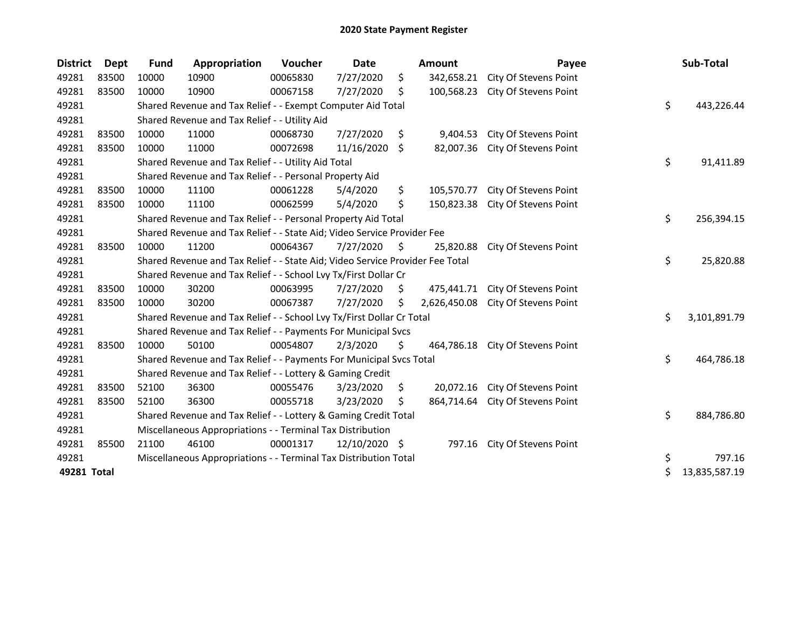| <b>District</b> | Dept  | <b>Fund</b>                                                                   | Appropriation                                                         | <b>Voucher</b> | <b>Date</b>   |            | <b>Amount</b> | Payee                 |    | Sub-Total     |
|-----------------|-------|-------------------------------------------------------------------------------|-----------------------------------------------------------------------|----------------|---------------|------------|---------------|-----------------------|----|---------------|
| 49281           | 83500 | 10000                                                                         | 10900                                                                 | 00065830       | 7/27/2020     | \$         | 342,658.21    | City Of Stevens Point |    |               |
| 49281           | 83500 | 10000                                                                         | 10900                                                                 | 00067158       | 7/27/2020     | \$         | 100,568.23    | City Of Stevens Point |    |               |
| 49281           |       |                                                                               | Shared Revenue and Tax Relief - - Exempt Computer Aid Total           |                |               |            |               |                       | \$ | 443,226.44    |
| 49281           |       |                                                                               | Shared Revenue and Tax Relief - - Utility Aid                         |                |               |            |               |                       |    |               |
| 49281           | 83500 | 10000                                                                         | 11000                                                                 | 00068730       | 7/27/2020     | \$         | 9,404.53      | City Of Stevens Point |    |               |
| 49281           | 83500 | 10000                                                                         | 11000                                                                 | 00072698       | 11/16/2020    | \$         | 82,007.36     | City Of Stevens Point |    |               |
| 49281           |       |                                                                               | Shared Revenue and Tax Relief - - Utility Aid Total                   |                |               |            |               |                       | \$ | 91,411.89     |
| 49281           |       |                                                                               | Shared Revenue and Tax Relief - - Personal Property Aid               |                |               |            |               |                       |    |               |
| 49281           | 83500 | 10000                                                                         | 11100                                                                 | 00061228       | 5/4/2020      | \$         | 105,570.77    | City Of Stevens Point |    |               |
| 49281           | 83500 | 10000                                                                         | 11100                                                                 | 00062599       | 5/4/2020      | Ś.         | 150,823.38    | City Of Stevens Point |    |               |
| 49281           |       |                                                                               | Shared Revenue and Tax Relief - - Personal Property Aid Total         |                | \$            | 256,394.15 |               |                       |    |               |
| 49281           |       | Shared Revenue and Tax Relief - - State Aid; Video Service Provider Fee       |                                                                       |                |               |            |               |                       |    |               |
| 49281           | 83500 | 10000                                                                         | 11200                                                                 | 00064367       | 7/27/2020     | - \$       | 25,820.88     | City Of Stevens Point |    |               |
| 49281           |       | Shared Revenue and Tax Relief - - State Aid; Video Service Provider Fee Total |                                                                       |                |               |            |               |                       |    | 25,820.88     |
| 49281           |       |                                                                               | Shared Revenue and Tax Relief - - School Lvy Tx/First Dollar Cr       |                |               |            |               |                       |    |               |
| 49281           | 83500 | 10000                                                                         | 30200                                                                 | 00063995       | 7/27/2020     | \$         | 475,441.71    | City Of Stevens Point |    |               |
| 49281           | 83500 | 10000                                                                         | 30200                                                                 | 00067387       | 7/27/2020     | \$.        | 2,626,450.08  | City Of Stevens Point |    |               |
| 49281           |       |                                                                               | Shared Revenue and Tax Relief - - School Lvy Tx/First Dollar Cr Total |                |               |            |               |                       | \$ | 3,101,891.79  |
| 49281           |       |                                                                               | Shared Revenue and Tax Relief - - Payments For Municipal Svcs         |                |               |            |               |                       |    |               |
| 49281           | 83500 | 10000                                                                         | 50100                                                                 | 00054807       | 2/3/2020      | \$         | 464,786.18    | City Of Stevens Point |    |               |
| 49281           |       |                                                                               | Shared Revenue and Tax Relief - - Payments For Municipal Svcs Total   |                |               |            |               |                       | \$ | 464,786.18    |
| 49281           |       |                                                                               | Shared Revenue and Tax Relief - - Lottery & Gaming Credit             |                |               |            |               |                       |    |               |
| 49281           | 83500 | 52100                                                                         | 36300                                                                 | 00055476       | 3/23/2020     | \$         | 20,072.16     | City Of Stevens Point |    |               |
| 49281           | 83500 | 52100                                                                         | 36300                                                                 | 00055718       | 3/23/2020     | \$         | 864,714.64    | City Of Stevens Point |    |               |
| 49281           |       |                                                                               | Shared Revenue and Tax Relief - - Lottery & Gaming Credit Total       |                |               |            |               |                       | \$ | 884,786.80    |
| 49281           |       | Miscellaneous Appropriations - - Terminal Tax Distribution                    |                                                                       |                |               |            |               |                       |    |               |
| 49281           | 85500 | 21100                                                                         | 46100                                                                 | 00001317       | 12/10/2020 \$ |            | 797.16        | City Of Stevens Point |    |               |
| 49281           |       |                                                                               | Miscellaneous Appropriations - - Terminal Tax Distribution Total      |                |               |            |               |                       | \$ | 797.16        |
| 49281 Total     |       |                                                                               |                                                                       |                |               |            |               |                       | \$ | 13,835,587.19 |